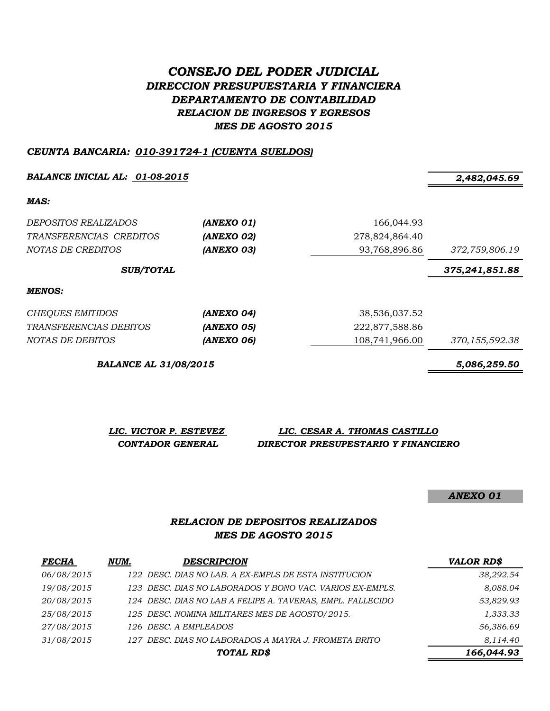# *CONSEJO DEL PODER JUDICIAL DIRECCION PRESUPUESTARIA Y FINANCIERA DEPARTAMENTO DE CONTABILIDAD RELACION DE INGRESOS Y EGRESOS MES DE AGOSTO 2015*

#### *CEUNTA BANCARIA: 010-391724-1 (CUENTA SUELDOS)*

*BALANCE INICIAL AL: 01-08-2015 2,482,045.69*

*MAS:*

| <i>DEPOSITOS REALIZADOS</i><br>TRANSFERENCIAS CREDITOS<br>NOTAS DE CREDITOS | (ANEXO 01)<br>(ANEXO 02)<br>(ANEXO 03) | 166,044.93<br>278,824,864.40<br>93,768,896.86 | 372,759,806.19   |
|-----------------------------------------------------------------------------|----------------------------------------|-----------------------------------------------|------------------|
| <b>SUB/TOTAL</b>                                                            |                                        |                                               | 375, 241, 851.88 |
| MENOS:                                                                      |                                        |                                               |                  |
| <b>CHEQUES EMITIDOS</b>                                                     | (ANEXO 04)                             | 38,536,037.52                                 |                  |
| <i>TRANSFERENCIAS DEBITOS</i>                                               | (ANEXO 05)                             | 222,877,588.86                                |                  |
| NOTAS DE DEBITOS                                                            | (ANEXO 06)                             | 108,741,966.00                                | 370, 155, 592.38 |

*BALANCE AL 31/08/2015 5,086,259.50*

*LIC. VICTOR P. ESTEVEZ LIC. CESAR A. THOMAS CASTILLO CONTADOR GENERAL DIRECTOR PRESUPESTARIO Y FINANCIERO*

*ANEXO 01*

#### *RELACION DE DEPOSITOS REALIZADOS MES DE AGOSTO 2015*

| <b>FECHA</b> | NUM. | <b>DESCRIPCION</b>                                         | <b>VALOR RD\$</b> |
|--------------|------|------------------------------------------------------------|-------------------|
| 06/08/2015   |      | 122 DESC. DIAS NO LAB. A EX-EMPLS DE ESTA INSTITUCION      | 38,292.54         |
| 19/08/2015   |      | 123 DESC. DIAS NO LABORADOS Y BONO VAC. VARIOS EX-EMPLS.   | 8,088.04          |
| 20/08/2015   |      | 124 DESC. DIAS NO LAB A FELIPE A. TAVERAS, EMPL. FALLECIDO | 53,829.93         |
| 25/08/2015   |      | 125 DESC. NOMINA MILITARES MES DE AGOSTO/2015.             | 1,333.33          |
| 27/08/2015   |      | 126 DESC. A EMPLEADOS                                      | 56,386.69         |
| 31/08/2015   |      | 127 DESC. DIAS NO LABORADOS A MAYRA J. FROMETA BRITO       | 8,114.40          |
|              |      | TOTAL RD\$                                                 | 166,044.93        |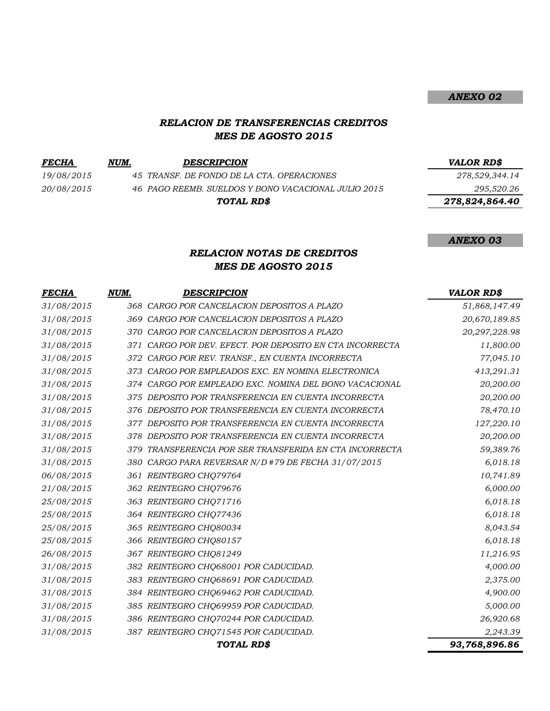#### *RELACION DE TRANSFERENCIAS CREDITOS MES DE AGOSTO 2015*

 $FECHA$  *NUM. DESCRIPCION*</u>

*19/08/2015 45 TRANSF. DE FONDO DE LA CTA. OPERACIONES 278,529,344.14 20/08/2015 46 PAGO REEMB. SUELDOS Y BONO VACACIONAL JULIO 2015 295,520.26*

*TOTAL RD\$*

| <b>VALOR RD\$</b> |
|-------------------|
| 278,529,344.14    |

*ANEXO 02*

 *278,824,864.40*

#### *ANEXO 03*

## *RELACION NOTAS DE CREDITOS MES DE AGOSTO 2015*

| <b>FECHA</b> | NUM. | <b>DESCRIPCION</b>                                       | <b>VALOR RD\$</b> |
|--------------|------|----------------------------------------------------------|-------------------|
| 31/08/2015   |      | 368 CARGO POR CANCELACION DEPOSITOS A PLAZO              | 51,868,147.49     |
| 31/08/2015   |      | 369 CARGO POR CANCELACION DEPOSITOS A PLAZO              | 20,670,189.85     |
| 31/08/2015   |      | 370 CARGO POR CANCELACION DEPOSITOS A PLAZO              | 20,297,228.98     |
| 31/08/2015   |      | 371 CARGO POR DEV. EFECT. POR DEPOSITO EN CTA INCORRECTA | 11,800.00         |
| 31/08/2015   |      | 372 CARGO POR REV. TRANSF., EN CUENTA INCORRECTA         | 77,045.10         |
| 31/08/2015   | 373  | CARGO POR EMPLEADOS EXC. EN NOMINA ELECTRONICA           | 413,291.31        |
| 31/08/2015   |      | 374 CARGO POR EMPLEADO EXC. NOMINA DEL BONO VACACIONAL   | 20,200.00         |
| 31/08/2015   |      | 375 DEPOSITO POR TRANSFERENCIA EN CUENTA INCORRECTA      | 20,200.00         |
| 31/08/2015   |      | 376 DEPOSITO POR TRANSFERENCIA EN CUENTA INCORRECTA      | 78,470.10         |
| 31/08/2015   |      | 377 DEPOSITO POR TRANSFERENCIA EN CUENTA INCORRECTA      | 127,220.10        |
| 31/08/2015   |      | 378 DEPOSITO POR TRANSFERENCIA EN CUENTA INCORRECTA      | 20,200.00         |
| 31/08/2015   |      | 379 TRANSFERENCIA POR SER TRANSFERIDA EN CTA INCORRECTA  | 59,389.76         |
| 31/08/2015   |      | 380 CARGO PARA REVERSAR N/D #79 DE FECHA 31/07/2015      | 6,018.18          |
| 06/08/2015   |      | 361 REINTEGRO CHQ79764                                   | 10,741.89         |
| 21/08/2015   |      | 362 REINTEGRO CHQ79676                                   | 6,000.00          |
| 25/08/2015   |      | 363 REINTEGRO CHQ71716                                   | 6,018.18          |
| 25/08/2015   |      | 364 REINTEGRO CHQ77436                                   | 6,018.18          |
| 25/08/2015   |      | 365 REINTEGRO CHQ80034                                   | 8,043.54          |
| 25/08/2015   |      | 366 REINTEGRO CHQ80157                                   | 6,018.18          |
| 26/08/2015   |      | 367 REINTEGRO CHQ81249                                   | 11,216.95         |
| 31/08/2015   |      | 382 REINTEGRO CHQ68001 POR CADUCIDAD.                    | 4,000.00          |
| 31/08/2015   |      | 383 REINTEGRO CHQ68691 POR CADUCIDAD.                    | 2,375.00          |
| 31/08/2015   |      | 384 REINTEGRO CHQ69462 POR CADUCIDAD.                    | 4,900.00          |
| 31/08/2015   |      | 385 REINTEGRO CHQ69959 POR CADUCIDAD.                    | 5,000.00          |
| 31/08/2015   |      | 386 REINTEGRO CHQ70244 POR CADUCIDAD.                    | 26,920.68         |
| 31/08/2015   |      | 387 REINTEGRO CHQ71545 POR CADUCIDAD.                    | 2,243.39          |
|              |      | TOTAL RD\$                                               | 93,768,896.86     |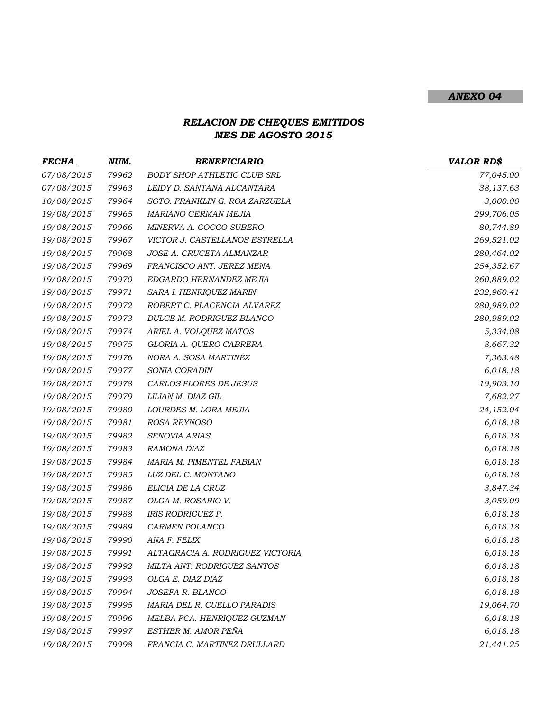## *ANEXO 04*

## *RELACION DE CHEQUES EMITIDOS MES DE AGOSTO 2015*

| FECHA      | NUM.  | <b>BENEFICIARIO</b>              | <b>VALOR RD\$</b> |
|------------|-------|----------------------------------|-------------------|
| 07/08/2015 | 79962 | BODY SHOP ATHLETIC CLUB SRL      | 77,045.00         |
| 07/08/2015 | 79963 | LEIDY D. SANTANA ALCANTARA       | 38,137.63         |
| 10/08/2015 | 79964 | SGTO. FRANKLIN G. ROA ZARZUELA   | 3,000.00          |
| 19/08/2015 | 79965 | MARIANO GERMAN MEJIA             | 299,706.05        |
| 19/08/2015 | 79966 | MINERVA A. COCCO SUBERO          | 80,744.89         |
| 19/08/2015 | 79967 | VICTOR J. CASTELLANOS ESTRELLA   | 269,521.02        |
| 19/08/2015 | 79968 | JOSE A. CRUCETA ALMANZAR         | 280,464.02        |
| 19/08/2015 | 79969 | FRANCISCO ANT. JEREZ MENA        | 254,352.67        |
| 19/08/2015 | 79970 | EDGARDO HERNANDEZ MEJIA          | 260,889.02        |
| 19/08/2015 | 79971 | SARA I. HENRIQUEZ MARIN          | 232,960.41        |
| 19/08/2015 | 79972 | ROBERT C. PLACENCIA ALVAREZ      | 280,989.02        |
| 19/08/2015 | 79973 | DULCE M. RODRIGUEZ BLANCO        | 280,989.02        |
| 19/08/2015 | 79974 | ARIEL A. VOLQUEZ MATOS           | 5,334.08          |
| 19/08/2015 | 79975 | GLORIA A. QUERO CABRERA          | 8,667.32          |
| 19/08/2015 | 79976 | NORA A. SOSA MARTINEZ            | 7,363.48          |
| 19/08/2015 | 79977 | SONIA CORADIN                    | 6,018.18          |
| 19/08/2015 | 79978 | CARLOS FLORES DE JESUS           | 19,903.10         |
| 19/08/2015 | 79979 | LILIAN M. DIAZ GIL               | 7,682.27          |
| 19/08/2015 | 79980 | LOURDES M. LORA MEJIA            | 24,152.04         |
| 19/08/2015 | 79981 | ROSA REYNOSO                     | 6,018.18          |
| 19/08/2015 | 79982 | <b>SENOVIA ARIAS</b>             | 6,018.18          |
| 19/08/2015 | 79983 | RAMONA DIAZ                      | 6,018.18          |
| 19/08/2015 | 79984 | MARIA M. PIMENTEL FABIAN         | 6,018.18          |
| 19/08/2015 | 79985 | LUZ DEL C. MONTANO               | 6,018.18          |
| 19/08/2015 | 79986 | ELIGIA DE LA CRUZ                | 3,847.34          |
| 19/08/2015 | 79987 | OLGA M. ROSARIO V.               | 3,059.09          |
| 19/08/2015 | 79988 | <b>IRIS RODRIGUEZ P.</b>         | 6,018.18          |
| 19/08/2015 | 79989 | CARMEN POLANCO                   | 6,018.18          |
| 19/08/2015 | 79990 | ANA F. FELIX                     | 6,018.18          |
| 19/08/2015 | 79991 | ALTAGRACIA A. RODRIGUEZ VICTORIA | 6,018.18          |
| 19/08/2015 | 79992 | MILTA ANT. RODRIGUEZ SANTOS      | 6,018.18          |
| 19/08/2015 | 79993 | OLGA E. DIAZ DIAZ                | 6,018.18          |
| 19/08/2015 | 79994 | JOSEFA R. BLANCO                 | 6,018.18          |
| 19/08/2015 | 79995 | MARIA DEL R. CUELLO PARADIS      | 19,064.70         |
| 19/08/2015 | 79996 | MELBA FCA. HENRIQUEZ GUZMAN      | 6,018.18          |
| 19/08/2015 | 79997 | ESTHER M. AMOR PEÑA              | 6,018.18          |
| 19/08/2015 | 79998 | FRANCIA C. MARTINEZ DRULLARD     | 21,441.25         |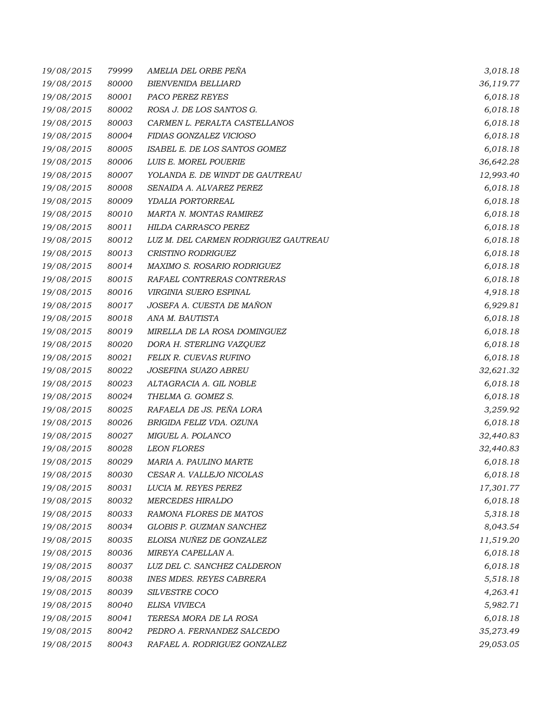| 19/08/2015 | 79999 | AMELIA DEL ORBE PEÑA                 | 3,018.18  |
|------------|-------|--------------------------------------|-----------|
| 19/08/2015 | 80000 | <b>BIENVENIDA BELLIARD</b>           | 36,119.77 |
| 19/08/2015 | 80001 | PACO PEREZ REYES                     | 6,018.18  |
| 19/08/2015 | 80002 | ROSA J. DE LOS SANTOS G.             | 6,018.18  |
| 19/08/2015 | 80003 | CARMEN L. PERALTA CASTELLANOS        | 6,018.18  |
| 19/08/2015 | 80004 | FIDIAS GONZALEZ VICIOSO              | 6,018.18  |
| 19/08/2015 | 80005 | ISABEL E. DE LOS SANTOS GOMEZ        | 6,018.18  |
| 19/08/2015 | 80006 | LUIS E. MOREL POUERIE                | 36,642.28 |
| 19/08/2015 | 80007 | YOLANDA E. DE WINDT DE GAUTREAU      | 12,993.40 |
| 19/08/2015 | 80008 | SENAIDA A. ALVAREZ PEREZ             | 6,018.18  |
| 19/08/2015 | 80009 | YDALIA PORTORREAL                    | 6,018.18  |
| 19/08/2015 | 80010 | <b>MARTA N. MONTAS RAMIREZ</b>       | 6,018.18  |
| 19/08/2015 | 80011 | HILDA CARRASCO PEREZ                 | 6,018.18  |
| 19/08/2015 | 80012 | LUZ M. DEL CARMEN RODRIGUEZ GAUTREAU | 6,018.18  |
| 19/08/2015 | 80013 | <b>CRISTINO RODRIGUEZ</b>            | 6,018.18  |
| 19/08/2015 | 80014 | MAXIMO S. ROSARIO RODRIGUEZ          | 6,018.18  |
| 19/08/2015 | 80015 | RAFAEL CONTRERAS CONTRERAS           | 6,018.18  |
| 19/08/2015 | 80016 | VIRGINIA SUERO ESPINAL               | 4,918.18  |
| 19/08/2015 | 80017 | JOSEFA A. CUESTA DE MAÑON            | 6,929.81  |
| 19/08/2015 | 80018 | ANA M. BAUTISTA                      | 6,018.18  |
| 19/08/2015 | 80019 | MIRELLA DE LA ROSA DOMINGUEZ         | 6,018.18  |
| 19/08/2015 | 80020 | DORA H. STERLING VAZQUEZ             | 6,018.18  |
| 19/08/2015 | 80021 | FELIX R. CUEVAS RUFINO               | 6,018.18  |
| 19/08/2015 | 80022 | JOSEFINA SUAZO ABREU                 | 32,621.32 |
| 19/08/2015 | 80023 | ALTAGRACIA A. GIL NOBLE              | 6,018.18  |
| 19/08/2015 | 80024 | THELMA G. GOMEZ S.                   | 6,018.18  |
| 19/08/2015 | 80025 | RAFAELA DE JS. PEÑA LORA             | 3,259.92  |
| 19/08/2015 | 80026 | BRIGIDA FELIZ VDA. OZUNA             | 6,018.18  |
| 19/08/2015 | 80027 | MIGUEL A. POLANCO                    | 32,440.83 |
| 19/08/2015 | 80028 | <b>LEON FLORES</b>                   | 32,440.83 |
| 19/08/2015 | 80029 | MARIA A. PAULINO MARTE               | 6,018.18  |
| 19/08/2015 | 80030 | CESAR A. VALLEJO NICOLAS             | 6,018.18  |
| 19/08/2015 | 80031 | LUCIA M. REYES PEREZ                 | 17,301.77 |
| 19/08/2015 | 80032 | <b>MERCEDES HIRALDO</b>              | 6,018.18  |
| 19/08/2015 | 80033 | RAMONA FLORES DE MATOS               | 5,318.18  |
| 19/08/2015 | 80034 | GLOBIS P. GUZMAN SANCHEZ             | 8,043.54  |
| 19/08/2015 | 80035 | ELOISA NUÑEZ DE GONZALEZ             | 11,519.20 |
| 19/08/2015 | 80036 | MIREYA CAPELLAN A.                   | 6,018.18  |
| 19/08/2015 | 80037 | LUZ DEL C. SANCHEZ CALDERON          | 6,018.18  |
| 19/08/2015 | 80038 | <b>INES MDES. REYES CABRERA</b>      | 5,518.18  |
| 19/08/2015 | 80039 | SILVESTRE COCO                       | 4,263.41  |
| 19/08/2015 | 80040 | ELISA VIVIECA                        | 5,982.71  |
| 19/08/2015 | 80041 | TERESA MORA DE LA ROSA               | 6,018.18  |
| 19/08/2015 | 80042 | PEDRO A. FERNANDEZ SALCEDO           | 35,273.49 |
| 19/08/2015 | 80043 | RAFAEL A. RODRIGUEZ GONZALEZ         | 29,053.05 |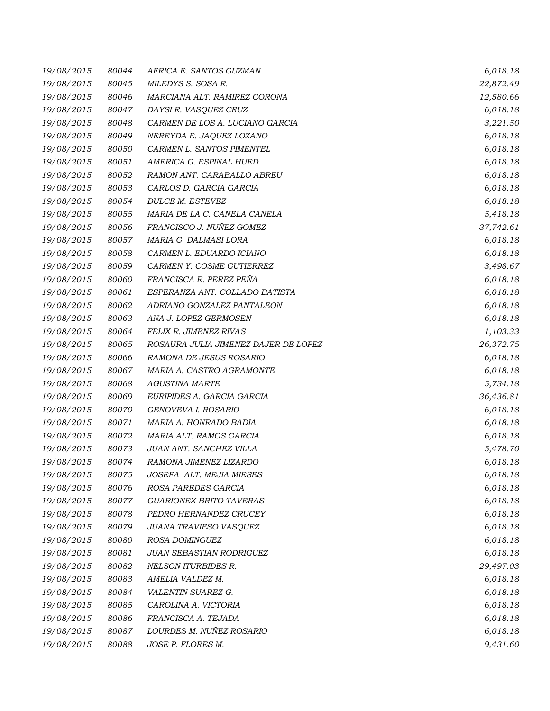| 19/08/2015 | 80044 | AFRICA E. SANTOS GUZMAN              | 6,018.18  |
|------------|-------|--------------------------------------|-----------|
| 19/08/2015 | 80045 | MILEDYS S. SOSA R.                   | 22,872.49 |
| 19/08/2015 | 80046 | MARCIANA ALT. RAMIREZ CORONA         | 12,580.66 |
| 19/08/2015 | 80047 | DAYSI R. VASQUEZ CRUZ                | 6,018.18  |
| 19/08/2015 | 80048 | CARMEN DE LOS A. LUCIANO GARCIA      | 3,221.50  |
| 19/08/2015 | 80049 | NEREYDA E. JAQUEZ LOZANO             | 6,018.18  |
| 19/08/2015 | 80050 | CARMEN L. SANTOS PIMENTEL            | 6,018.18  |
| 19/08/2015 | 80051 | AMERICA G. ESPINAL HUED              | 6,018.18  |
| 19/08/2015 | 80052 | RAMON ANT. CARABALLO ABREU           | 6,018.18  |
| 19/08/2015 | 80053 | CARLOS D. GARCIA GARCIA              | 6,018.18  |
| 19/08/2015 | 80054 | DULCE M. ESTEVEZ                     | 6,018.18  |
| 19/08/2015 | 80055 | MARIA DE LA C. CANELA CANELA         | 5,418.18  |
| 19/08/2015 | 80056 | FRANCISCO J. NUÑEZ GOMEZ             | 37,742.61 |
| 19/08/2015 | 80057 | MARIA G. DALMASI LORA                | 6,018.18  |
| 19/08/2015 | 80058 | CARMEN L. EDUARDO ICIANO             | 6,018.18  |
| 19/08/2015 | 80059 | CARMEN Y. COSME GUTIERREZ            | 3,498.67  |
| 19/08/2015 | 80060 | FRANCISCA R. PEREZ PEÑA              | 6,018.18  |
| 19/08/2015 | 80061 | ESPERANZA ANT. COLLADO BATISTA       | 6,018.18  |
| 19/08/2015 | 80062 | ADRIANO GONZALEZ PANTALEON           | 6,018.18  |
| 19/08/2015 | 80063 | ANA J. LOPEZ GERMOSEN                | 6,018.18  |
| 19/08/2015 | 80064 | FELIX R. JIMENEZ RIVAS               | 1,103.33  |
| 19/08/2015 | 80065 | ROSAURA JULIA JIMENEZ DAJER DE LOPEZ | 26,372.75 |
| 19/08/2015 | 80066 | RAMONA DE JESUS ROSARIO              | 6,018.18  |
| 19/08/2015 | 80067 | MARIA A. CASTRO AGRAMONTE            | 6,018.18  |
| 19/08/2015 | 80068 | <b>AGUSTINA MARTE</b>                | 5,734.18  |
| 19/08/2015 | 80069 | EURIPIDES A. GARCIA GARCIA           | 36,436.81 |
| 19/08/2015 | 80070 | GENOVEVA I. ROSARIO                  | 6,018.18  |
| 19/08/2015 | 80071 | MARIA A. HONRADO BADIA               | 6,018.18  |
| 19/08/2015 | 80072 | MARIA ALT. RAMOS GARCIA              | 6,018.18  |
| 19/08/2015 | 80073 | JUAN ANT. SANCHEZ VILLA              | 5,478.70  |
| 19/08/2015 | 80074 | RAMONA JIMENEZ LIZARDO               | 6,018.18  |
| 19/08/2015 | 80075 | JOSEFA ALT. MEJIA MIESES             | 6,018.18  |
| 19/08/2015 | 80076 | ROSA PAREDES GARCIA                  | 6,018.18  |
| 19/08/2015 | 80077 | <b>GUARIONEX BRITO TAVERAS</b>       | 6,018.18  |
| 19/08/2015 | 80078 | PEDRO HERNANDEZ CRUCEY               | 6,018.18  |
| 19/08/2015 | 80079 | JUANA TRAVIESO VASQUEZ               | 6,018.18  |
| 19/08/2015 | 80080 | ROSA DOMINGUEZ                       | 6,018.18  |
| 19/08/2015 | 80081 | JUAN SEBASTIAN RODRIGUEZ             | 6,018.18  |
| 19/08/2015 | 80082 | <b>NELSON ITURBIDES R.</b>           | 29,497.03 |
| 19/08/2015 | 80083 | AMELIA VALDEZ M.                     | 6,018.18  |
| 19/08/2015 | 80084 | VALENTIN SUAREZ G.                   | 6,018.18  |
| 19/08/2015 | 80085 | CAROLINA A. VICTORIA                 | 6,018.18  |
| 19/08/2015 | 80086 | FRANCISCA A. TEJADA                  | 6,018.18  |
| 19/08/2015 | 80087 | LOURDES M. NUÑEZ ROSARIO             | 6,018.18  |
| 19/08/2015 | 80088 | JOSE P. FLORES M.                    | 9,431.60  |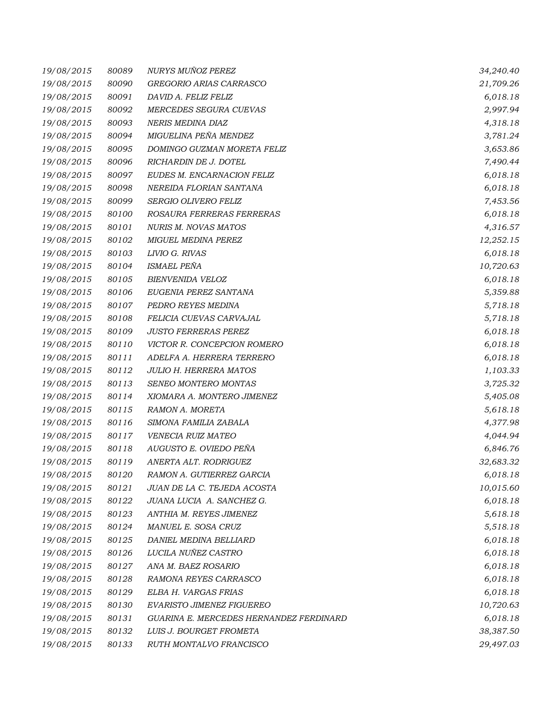| 19/08/2015 | 80089 | NURYS MUÑOZ PEREZ                       | 34,240.40 |
|------------|-------|-----------------------------------------|-----------|
| 19/08/2015 | 80090 | GREGORIO ARIAS CARRASCO                 | 21,709.26 |
| 19/08/2015 | 80091 | DAVID A. FELIZ FELIZ                    | 6,018.18  |
| 19/08/2015 | 80092 | MERCEDES SEGURA CUEVAS                  | 2,997.94  |
| 19/08/2015 | 80093 | NERIS MEDINA DIAZ                       | 4,318.18  |
| 19/08/2015 | 80094 | MIGUELINA PEÑA MENDEZ                   | 3,781.24  |
| 19/08/2015 | 80095 | DOMINGO GUZMAN MORETA FELIZ             | 3,653.86  |
| 19/08/2015 | 80096 | RICHARDIN DE J. DOTEL                   | 7,490.44  |
| 19/08/2015 | 80097 | EUDES M. ENCARNACION FELIZ              | 6,018.18  |
| 19/08/2015 | 80098 | NEREIDA FLORIAN SANTANA                 | 6,018.18  |
| 19/08/2015 | 80099 | SERGIO OLIVERO FELIZ                    | 7,453.56  |
| 19/08/2015 | 80100 | ROSAURA FERRERAS FERRERAS               | 6,018.18  |
| 19/08/2015 | 80101 | NURIS M. NOVAS MATOS                    | 4,316.57  |
| 19/08/2015 | 80102 | MIGUEL MEDINA PEREZ                     | 12,252.15 |
| 19/08/2015 | 80103 | LIVIO G. RIVAS                          | 6,018.18  |
| 19/08/2015 | 80104 | <b>ISMAEL PEÑA</b>                      | 10,720.63 |
| 19/08/2015 | 80105 | <b>BIENVENIDA VELOZ</b>                 | 6,018.18  |
| 19/08/2015 | 80106 | EUGENIA PEREZ SANTANA                   | 5,359.88  |
| 19/08/2015 | 80107 | PEDRO REYES MEDINA                      | 5,718.18  |
| 19/08/2015 | 80108 | FELICIA CUEVAS CARVAJAL                 | 5,718.18  |
| 19/08/2015 | 80109 | <b>JUSTO FERRERAS PEREZ</b>             | 6,018.18  |
| 19/08/2015 | 80110 | VICTOR R. CONCEPCION ROMERO             | 6,018.18  |
| 19/08/2015 | 80111 | ADELFA A. HERRERA TERRERO               | 6,018.18  |
| 19/08/2015 | 80112 | <b>JULIO H. HERRERA MATOS</b>           | 1,103.33  |
| 19/08/2015 | 80113 | SENEO MONTERO MONTAS                    | 3,725.32  |
| 19/08/2015 | 80114 | XIOMARA A. MONTERO JIMENEZ              | 5,405.08  |
| 19/08/2015 | 80115 | RAMON A. MORETA                         | 5,618.18  |
| 19/08/2015 | 80116 | SIMONA FAMILIA ZABALA                   | 4,377.98  |
| 19/08/2015 | 80117 | VENECIA RUIZ MATEO                      | 4,044.94  |
| 19/08/2015 | 80118 | AUGUSTO E. OVIEDO PEÑA                  | 6,846.76  |
| 19/08/2015 | 80119 | ANERTA ALT. RODRIGUEZ                   | 32,683.32 |
| 19/08/2015 | 80120 | RAMON A. GUTIERREZ GARCIA               | 6,018.18  |
| 19/08/2015 | 80121 | JUAN DE LA C. TEJEDA ACOSTA             | 10,015.60 |
| 19/08/2015 | 80122 | JUANA LUCIA A. SANCHEZ G.               | 6,018.18  |
| 19/08/2015 | 80123 | ANTHIA M. REYES JIMENEZ                 | 5,618.18  |
| 19/08/2015 | 80124 | MANUEL E. SOSA CRUZ                     | 5,518.18  |
| 19/08/2015 | 80125 | DANIEL MEDINA BELLIARD                  | 6,018.18  |
| 19/08/2015 | 80126 | LUCILA NUÑEZ CASTRO                     | 6,018.18  |
| 19/08/2015 | 80127 | ANA M. BAEZ ROSARIO                     | 6,018.18  |
| 19/08/2015 | 80128 | RAMONA REYES CARRASCO                   | 6,018.18  |
| 19/08/2015 | 80129 | ELBA H. VARGAS FRIAS                    | 6,018.18  |
| 19/08/2015 | 80130 | EVARISTO JIMENEZ FIGUEREO               | 10,720.63 |
| 19/08/2015 | 80131 | GUARINA E. MERCEDES HERNANDEZ FERDINARD | 6,018.18  |
| 19/08/2015 | 80132 | LUIS J. BOURGET FROMETA                 | 38,387.50 |
| 19/08/2015 | 80133 | RUTH MONTALVO FRANCISCO                 | 29,497.03 |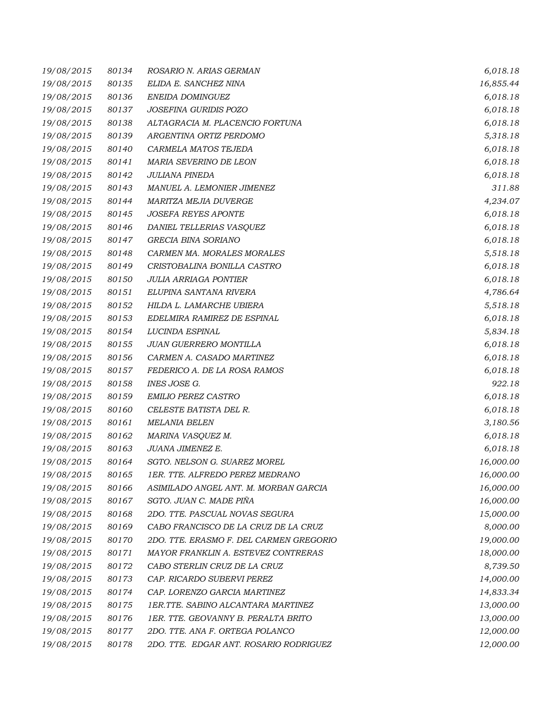| 19/08/2015 | 80134 | ROSARIO N. ARIAS GERMAN                 | 6,018.18  |
|------------|-------|-----------------------------------------|-----------|
| 19/08/2015 | 80135 | ELIDA E. SANCHEZ NINA                   | 16,855.44 |
| 19/08/2015 | 80136 | ENEIDA DOMINGUEZ                        | 6,018.18  |
| 19/08/2015 | 80137 | JOSEFINA GURIDIS POZO                   | 6,018.18  |
| 19/08/2015 | 80138 | ALTAGRACIA M. PLACENCIO FORTUNA         | 6,018.18  |
| 19/08/2015 | 80139 | ARGENTINA ORTIZ PERDOMO                 | 5,318.18  |
| 19/08/2015 | 80140 | CARMELA MATOS TEJEDA                    | 6,018.18  |
| 19/08/2015 | 80141 | MARIA SEVERINO DE LEON                  | 6,018.18  |
| 19/08/2015 | 80142 | JULIANA PINEDA                          | 6,018.18  |
| 19/08/2015 | 80143 | MANUEL A. LEMONIER JIMENEZ              | 311.88    |
| 19/08/2015 | 80144 | MARITZA MEJIA DUVERGE                   | 4,234.07  |
| 19/08/2015 | 80145 | <b>JOSEFA REYES APONTE</b>              | 6,018.18  |
| 19/08/2015 | 80146 | DANIEL TELLERIAS VASQUEZ                | 6,018.18  |
| 19/08/2015 | 80147 | <b>GRECIA BINA SORIANO</b>              | 6,018.18  |
| 19/08/2015 | 80148 | CARMEN MA. MORALES MORALES              | 5,518.18  |
| 19/08/2015 | 80149 | CRISTOBALINA BONILLA CASTRO             | 6,018.18  |
| 19/08/2015 | 80150 | <b>JULIA ARRIAGA PONTIER</b>            | 6,018.18  |
| 19/08/2015 | 80151 | ELUPINA SANTANA RIVERA                  | 4,786.64  |
| 19/08/2015 | 80152 | HILDA L. LAMARCHE UBIERA                | 5,518.18  |
| 19/08/2015 | 80153 | EDELMIRA RAMIREZ DE ESPINAL             | 6,018.18  |
| 19/08/2015 | 80154 | LUCINDA ESPINAL                         | 5,834.18  |
| 19/08/2015 | 80155 | JUAN GUERRERO MONTILLA                  | 6,018.18  |
| 19/08/2015 | 80156 | CARMEN A. CASADO MARTINEZ               | 6,018.18  |
| 19/08/2015 | 80157 | FEDERICO A. DE LA ROSA RAMOS            | 6,018.18  |
| 19/08/2015 | 80158 | INES JOSE G.                            | 922.18    |
| 19/08/2015 | 80159 | <b>EMILIO PEREZ CASTRO</b>              | 6,018.18  |
| 19/08/2015 | 80160 | CELESTE BATISTA DEL R.                  | 6,018.18  |
| 19/08/2015 | 80161 | <b>MELANIA BELEN</b>                    | 3,180.56  |
| 19/08/2015 | 80162 | MARINA VASQUEZ M.                       | 6,018.18  |
| 19/08/2015 | 80163 | JUANA JIMENEZ E.                        | 6,018.18  |
| 19/08/2015 | 80164 | SGTO. NELSON G. SUAREZ MOREL            | 16,000.00 |
| 19/08/2015 | 80165 | 1ER. TTE. ALFREDO PEREZ MEDRANO         | 16,000.00 |
| 19/08/2015 | 80166 | ASIMILADO ANGEL ANT. M. MORBAN GARCIA   | 16,000.00 |
| 19/08/2015 | 80167 | SGTO. JUAN C. MADE PIÑA                 | 16,000.00 |
| 19/08/2015 | 80168 | 2DO. TTE. PASCUAL NOVAS SEGURA          | 15,000.00 |
| 19/08/2015 | 80169 | CABO FRANCISCO DE LA CRUZ DE LA CRUZ    | 8,000.00  |
| 19/08/2015 | 80170 | 2DO. TTE. ERASMO F. DEL CARMEN GREGORIO | 19,000.00 |
| 19/08/2015 | 80171 | MAYOR FRANKLIN A. ESTEVEZ CONTRERAS     | 18,000.00 |
| 19/08/2015 | 80172 | CABO STERLIN CRUZ DE LA CRUZ            | 8,739.50  |
| 19/08/2015 | 80173 | CAP. RICARDO SUBERVI PEREZ              | 14,000.00 |
| 19/08/2015 | 80174 | CAP. LORENZO GARCIA MARTINEZ            | 14,833.34 |
| 19/08/2015 | 80175 | 1ER.TTE. SABINO ALCANTARA MARTINEZ      | 13,000.00 |
| 19/08/2015 | 80176 | 1ER. TTE. GEOVANNY B. PERALTA BRITO     | 13,000.00 |
| 19/08/2015 | 80177 | 2DO. TTE. ANA F. ORTEGA POLANCO         | 12,000.00 |
| 19/08/2015 | 80178 | 2DO. TTE. EDGAR ANT. ROSARIO RODRIGUEZ  | 12,000.00 |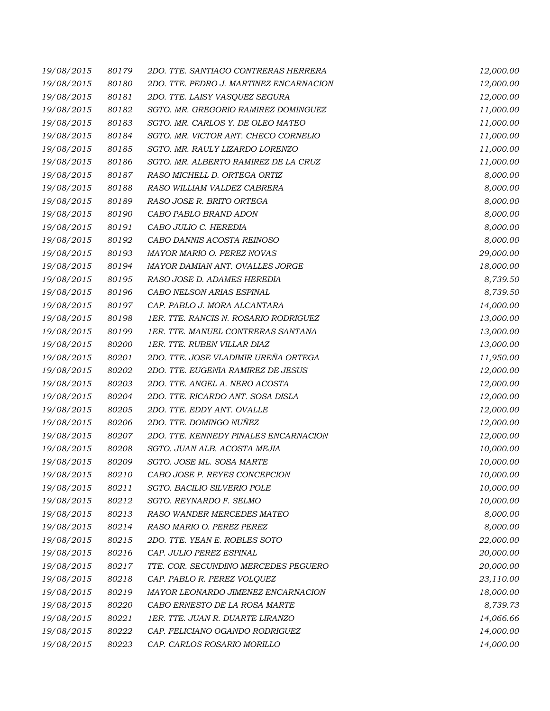| 19/08/2015 | 80179 | 2DO. TTE. SANTIAGO CONTRERAS HERRERA    | 12,000.00 |
|------------|-------|-----------------------------------------|-----------|
| 19/08/2015 | 80180 | 2DO. TTE. PEDRO J. MARTINEZ ENCARNACION | 12,000.00 |
| 19/08/2015 | 80181 | 2DO. TTE. LAISY VASQUEZ SEGURA          | 12,000.00 |
| 19/08/2015 | 80182 | SGTO. MR. GREGORIO RAMIREZ DOMINGUEZ    | 11,000.00 |
| 19/08/2015 | 80183 | SGTO. MR. CARLOS Y. DE OLEO MATEO       | 11,000.00 |
| 19/08/2015 | 80184 | SGTO. MR. VICTOR ANT. CHECO CORNELIO    | 11,000.00 |
| 19/08/2015 | 80185 | SGTO. MR. RAULY LIZARDO LORENZO         | 11,000.00 |
| 19/08/2015 | 80186 | SGTO. MR. ALBERTO RAMIREZ DE LA CRUZ    | 11,000.00 |
| 19/08/2015 | 80187 | RASO MICHELL D. ORTEGA ORTIZ            | 8,000.00  |
| 19/08/2015 | 80188 | RASO WILLIAM VALDEZ CABRERA             | 8,000.00  |
| 19/08/2015 | 80189 | RASO JOSE R. BRITO ORTEGA               | 8,000.00  |
| 19/08/2015 | 80190 | CABO PABLO BRAND ADON                   | 8,000.00  |
| 19/08/2015 | 80191 | CABO JULIO C. HEREDIA                   | 8,000.00  |
| 19/08/2015 | 80192 | CABO DANNIS ACOSTA REINOSO              | 8,000.00  |
| 19/08/2015 | 80193 | MAYOR MARIO O. PEREZ NOVAS              | 29,000.00 |
| 19/08/2015 | 80194 | MAYOR DAMIAN ANT. OVALLES JORGE         | 18,000.00 |
| 19/08/2015 | 80195 | RASO JOSE D. ADAMES HEREDIA             | 8,739.50  |
| 19/08/2015 | 80196 | CABO NELSON ARIAS ESPINAL               | 8,739.50  |
| 19/08/2015 | 80197 | CAP. PABLO J. MORA ALCANTARA            | 14,000.00 |
| 19/08/2015 | 80198 | 1ER. TTE. RANCIS N. ROSARIO RODRIGUEZ   | 13,000.00 |
| 19/08/2015 | 80199 | 1ER. TTE. MANUEL CONTRERAS SANTANA      | 13,000.00 |
| 19/08/2015 | 80200 | 1ER. TTE. RUBEN VILLAR DIAZ             | 13,000.00 |
| 19/08/2015 | 80201 | 2DO. TTE. JOSE VLADIMIR UREÑA ORTEGA    | 11,950.00 |
| 19/08/2015 | 80202 | 2DO. TTE. EUGENIA RAMIREZ DE JESUS      | 12,000.00 |
| 19/08/2015 | 80203 | 2DO. TTE. ANGEL A. NERO ACOSTA          | 12,000.00 |
| 19/08/2015 | 80204 | 2DO. TTE. RICARDO ANT. SOSA DISLA       | 12,000.00 |
| 19/08/2015 | 80205 | 2DO. TTE. EDDY ANT. OVALLE              | 12,000.00 |
| 19/08/2015 | 80206 | 2DO. TTE. DOMINGO NUÑEZ                 | 12,000.00 |
| 19/08/2015 | 80207 | 2DO. TTE. KENNEDY PINALES ENCARNACION   | 12,000.00 |
| 19/08/2015 | 80208 | SGTO. JUAN ALB. ACOSTA MEJIA            | 10,000.00 |
| 19/08/2015 | 80209 | SGTO. JOSE ML. SOSA MARTE               | 10,000.00 |
| 19/08/2015 | 80210 | CABO JOSE P. REYES CONCEPCION           | 10,000.00 |
| 19/08/2015 | 80211 | SGTO. BACILIO SILVERIO POLE             | 10,000.00 |
| 19/08/2015 | 80212 | SGTO. REYNARDO F. SELMO                 | 10,000.00 |
| 19/08/2015 | 80213 | RASO WANDER MERCEDES MATEO              | 8,000.00  |
| 19/08/2015 | 80214 | RASO MARIO O. PEREZ PEREZ               | 8,000.00  |
| 19/08/2015 | 80215 | 2DO. TTE. YEAN E. ROBLES SOTO           | 22,000.00 |
| 19/08/2015 | 80216 | CAP. JULIO PEREZ ESPINAL                | 20,000.00 |
| 19/08/2015 | 80217 | TTE. COR. SECUNDINO MERCEDES PEGUERO    | 20,000.00 |
| 19/08/2015 | 80218 | CAP. PABLO R. PEREZ VOLQUEZ             | 23,110.00 |
| 19/08/2015 | 80219 | MAYOR LEONARDO JIMENEZ ENCARNACION      | 18,000.00 |
| 19/08/2015 | 80220 | CABO ERNESTO DE LA ROSA MARTE           | 8,739.73  |
| 19/08/2015 | 80221 | 1ER. TTE. JUAN R. DUARTE LIRANZO        | 14,066.66 |
| 19/08/2015 | 80222 | CAP. FELICIANO OGANDO RODRIGUEZ         | 14,000.00 |
| 19/08/2015 | 80223 | CAP. CARLOS ROSARIO MORILLO             | 14,000.00 |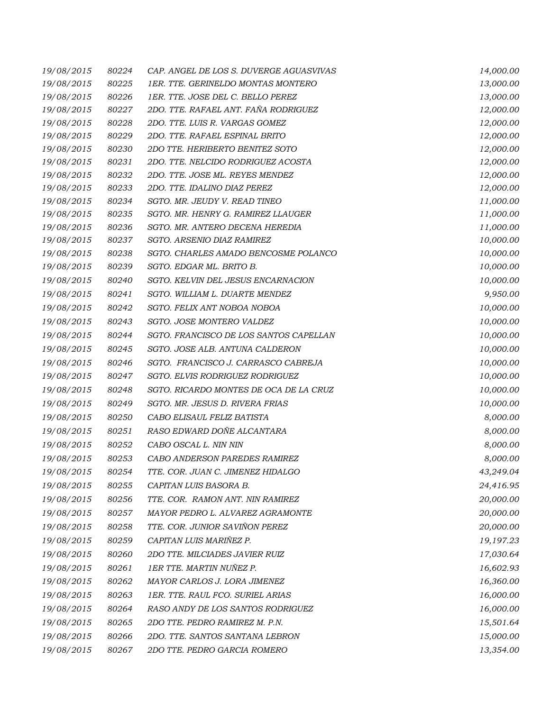| 19/08/2015 | 80224 | CAP. ANGEL DE LOS S. DUVERGE AGUASVIVAS | 14,000.00 |
|------------|-------|-----------------------------------------|-----------|
| 19/08/2015 | 80225 | 1ER. TTE. GERINELDO MONTAS MONTERO      | 13,000.00 |
| 19/08/2015 | 80226 | 1ER. TTE. JOSE DEL C. BELLO PEREZ       | 13,000.00 |
| 19/08/2015 | 80227 | 2DO. TTE. RAFAEL ANT. FAÑA RODRIGUEZ    | 12,000.00 |
| 19/08/2015 | 80228 | 2DO. TTE. LUIS R. VARGAS GOMEZ          | 12,000.00 |
| 19/08/2015 | 80229 | 2DO. TTE. RAFAEL ESPINAL BRITO          | 12,000.00 |
| 19/08/2015 | 80230 | 2DO TTE. HERIBERTO BENITEZ SOTO         | 12,000.00 |
| 19/08/2015 | 80231 | 2DO. TTE. NELCIDO RODRIGUEZ ACOSTA      | 12,000.00 |
| 19/08/2015 | 80232 | 2DO. TTE. JOSE ML. REYES MENDEZ         | 12,000.00 |
| 19/08/2015 | 80233 | 2DO. TTE. IDALINO DIAZ PEREZ            | 12,000.00 |
| 19/08/2015 | 80234 | SGTO. MR. JEUDY V. READ TINEO           | 11,000.00 |
| 19/08/2015 | 80235 | SGTO. MR. HENRY G. RAMIREZ LLAUGER      | 11,000.00 |
| 19/08/2015 | 80236 | SGTO. MR. ANTERO DECENA HEREDIA         | 11,000.00 |
| 19/08/2015 | 80237 | SGTO. ARSENIO DIAZ RAMIREZ              | 10,000.00 |
| 19/08/2015 | 80238 | SGTO. CHARLES AMADO BENCOSME POLANCO    | 10,000.00 |
| 19/08/2015 | 80239 | SGTO. EDGAR ML. BRITO B.                | 10,000.00 |
| 19/08/2015 | 80240 | SGTO. KELVIN DEL JESUS ENCARNACION      | 10,000.00 |
| 19/08/2015 | 80241 | SGTO. WILLIAM L. DUARTE MENDEZ          | 9,950.00  |
| 19/08/2015 | 80242 | SGTO. FELIX ANT NOBOA NOBOA             | 10,000.00 |
| 19/08/2015 | 80243 | SGTO. JOSE MONTERO VALDEZ               | 10,000.00 |
| 19/08/2015 | 80244 | SGTO. FRANCISCO DE LOS SANTOS CAPELLAN  | 10,000.00 |
| 19/08/2015 | 80245 | SGTO. JOSE ALB. ANTUNA CALDERON         | 10,000.00 |
| 19/08/2015 | 80246 | SGTO. FRANCISCO J. CARRASCO CABREJA     | 10,000.00 |
| 19/08/2015 | 80247 | SGTO. ELVIS RODRIGUEZ RODRIGUEZ         | 10,000.00 |
| 19/08/2015 | 80248 | SGTO. RICARDO MONTES DE OCA DE LA CRUZ  | 10,000.00 |
| 19/08/2015 | 80249 | SGTO. MR. JESUS D. RIVERA FRIAS         | 10,000.00 |
| 19/08/2015 | 80250 | CABO ELISAUL FELIZ BATISTA              | 8,000.00  |
| 19/08/2015 | 80251 | RASO EDWARD DOÑE ALCANTARA              | 8,000.00  |
| 19/08/2015 | 80252 | CABO OSCAL L. NIN NIN                   | 8,000.00  |
| 19/08/2015 | 80253 | CABO ANDERSON PAREDES RAMIREZ           | 8,000.00  |
| 19/08/2015 | 80254 | TTE. COR. JUAN C. JIMENEZ HIDALGO       | 43,249.04 |
| 19/08/2015 | 80255 | CAPITAN LUIS BASORA B.                  | 24,416.95 |
| 19/08/2015 | 80256 | TTE. COR. RAMON ANT. NIN RAMIREZ        | 20,000.00 |
| 19/08/2015 | 80257 | MAYOR PEDRO L. ALVAREZ AGRAMONTE        | 20,000.00 |
| 19/08/2015 | 80258 | TTE. COR. JUNIOR SAVIÑON PEREZ          | 20,000.00 |
| 19/08/2015 | 80259 | CAPITAN LUIS MARIÑEZ P.                 | 19,197.23 |
| 19/08/2015 | 80260 | 2DO TTE. MILCIADES JAVIER RUIZ          | 17,030.64 |
| 19/08/2015 | 80261 | 1ER TTE. MARTIN NUÑEZ P.                | 16,602.93 |
| 19/08/2015 | 80262 | MAYOR CARLOS J. LORA JIMENEZ            | 16,360.00 |
| 19/08/2015 | 80263 | 1ER. TTE. RAUL FCO. SURIEL ARIAS        | 16,000.00 |
| 19/08/2015 | 80264 | RASO ANDY DE LOS SANTOS RODRIGUEZ       | 16,000.00 |
| 19/08/2015 | 80265 | 2DO TTE. PEDRO RAMIREZ M. P.N.          | 15,501.64 |
| 19/08/2015 | 80266 | 2DO. TTE. SANTOS SANTANA LEBRON         | 15,000.00 |
| 19/08/2015 | 80267 | 2DO TTE. PEDRO GARCIA ROMERO            | 13,354.00 |
|            |       |                                         |           |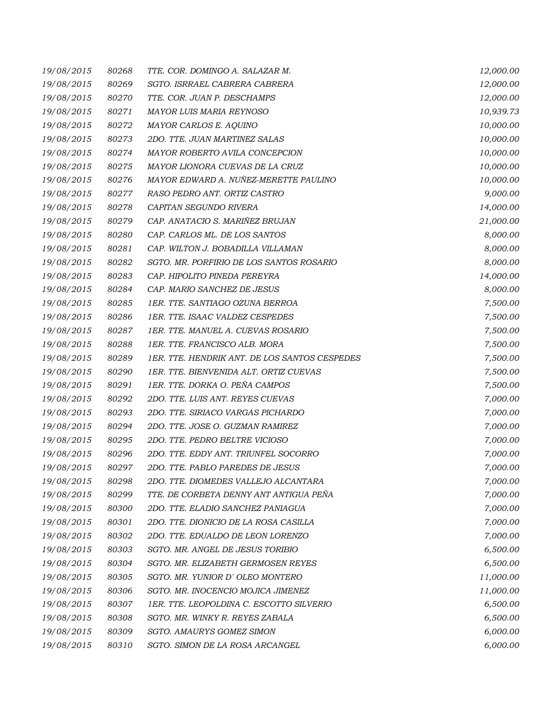| 19/08/2015 | 80268 | TTE. COR. DOMINGO A. SALAZAR M.               | 12,000.00 |
|------------|-------|-----------------------------------------------|-----------|
| 19/08/2015 | 80269 | SGTO. ISRRAEL CABRERA CABRERA                 | 12,000.00 |
| 19/08/2015 | 80270 | TTE. COR. JUAN P. DESCHAMPS                   | 12,000.00 |
| 19/08/2015 | 80271 | MAYOR LUIS MARIA REYNOSO                      | 10,939.73 |
| 19/08/2015 | 80272 | MAYOR CARLOS E. AQUINO                        | 10,000.00 |
| 19/08/2015 | 80273 | 2DO. TTE. JUAN MARTINEZ SALAS                 | 10,000.00 |
| 19/08/2015 | 80274 | MAYOR ROBERTO AVILA CONCEPCION                | 10,000.00 |
| 19/08/2015 | 80275 | MAYOR LIONORA CUEVAS DE LA CRUZ               | 10,000.00 |
| 19/08/2015 | 80276 | MAYOR EDWARD A. NUÑEZ-MERETTE PAULINO         | 10,000.00 |
| 19/08/2015 | 80277 | RASO PEDRO ANT. ORTIZ CASTRO                  | 9,000.00  |
| 19/08/2015 | 80278 | CAPITAN SEGUNDO RIVERA                        | 14,000.00 |
| 19/08/2015 | 80279 | CAP. ANATACIO S. MARIÑEZ BRUJAN               | 21,000.00 |
| 19/08/2015 | 80280 | CAP. CARLOS ML. DE LOS SANTOS                 | 8,000.00  |
| 19/08/2015 | 80281 | CAP. WILTON J. BOBADILLA VILLAMAN             | 8,000.00  |
| 19/08/2015 | 80282 | SGTO. MR. PORFIRIO DE LOS SANTOS ROSARIO      | 8,000.00  |
| 19/08/2015 | 80283 | CAP. HIPOLITO PINEDA PEREYRA                  | 14,000.00 |
| 19/08/2015 | 80284 | CAP. MARIO SANCHEZ DE JESUS                   | 8,000.00  |
| 19/08/2015 | 80285 | 1ER. TTE. SANTIAGO OZUNA BERROA               | 7,500.00  |
| 19/08/2015 | 80286 | 1ER. TTE. ISAAC VALDEZ CESPEDES               | 7,500.00  |
| 19/08/2015 | 80287 | 1ER. TTE. MANUEL A. CUEVAS ROSARIO            | 7,500.00  |
| 19/08/2015 | 80288 | 1ER. TTE. FRANCISCO ALB. MORA                 | 7,500.00  |
| 19/08/2015 | 80289 | 1ER. TTE. HENDRIK ANT. DE LOS SANTOS CESPEDES | 7,500.00  |
| 19/08/2015 | 80290 | 1ER. TTE. BIENVENIDA ALT. ORTIZ CUEVAS        | 7,500.00  |
| 19/08/2015 | 80291 | 1ER. TTE. DORKA O. PEÑA CAMPOS                | 7,500.00  |
| 19/08/2015 | 80292 | 2DO. TTE. LUIS ANT. REYES CUEVAS              | 7,000.00  |
| 19/08/2015 | 80293 | 2DO. TTE. SIRIACO VARGAS PICHARDO             | 7,000.00  |
| 19/08/2015 | 80294 | 2DO. TTE. JOSE O. GUZMAN RAMIREZ              | 7,000.00  |
| 19/08/2015 | 80295 | 2DO. TTE. PEDRO BELTRE VICIOSO                | 7,000.00  |
| 19/08/2015 | 80296 | 2DO. TTE. EDDY ANT. TRIUNFEL SOCORRO          | 7,000.00  |
| 19/08/2015 | 80297 | 2DO. TTE. PABLO PAREDES DE JESUS              | 7,000.00  |
| 19/08/2015 | 80298 | 2DO. TTE. DIOMEDES VALLEJO ALCANTARA          | 7,000.00  |
| 19/08/2015 | 80299 | TTE. DE CORBETA DENNY ANT ANTIGUA PEÑA        | 7,000.00  |
| 19/08/2015 | 80300 | 2DO. TTE. ELADIO SANCHEZ PANIAGUA             | 7,000.00  |
| 19/08/2015 | 80301 | 2DO. TTE. DIONICIO DE LA ROSA CASILLA         | 7,000.00  |
| 19/08/2015 | 80302 | 2DO. TTE. EDUALDO DE LEON LORENZO             | 7,000.00  |
| 19/08/2015 | 80303 | SGTO. MR. ANGEL DE JESUS TORIBIO              | 6,500.00  |
| 19/08/2015 | 80304 | SGTO. MR. ELIZABETH GERMOSEN REYES            | 6,500.00  |
| 19/08/2015 | 80305 | SGTO. MR. YUNIOR D'OLEO MONTERO               | 11,000.00 |
| 19/08/2015 | 80306 | SGTO. MR. INOCENCIO MOJICA JIMENEZ            | 11,000.00 |
| 19/08/2015 | 80307 | 1ER. TTE. LEOPOLDINA C. ESCOTTO SILVERIO      | 6,500.00  |
| 19/08/2015 | 80308 | SGTO. MR. WINKY R. REYES ZABALA               | 6,500.00  |
| 19/08/2015 | 80309 | SGTO. AMAURYS GOMEZ SIMON                     | 6,000.00  |
| 19/08/2015 | 80310 | SGTO. SIMON DE LA ROSA ARCANGEL               | 6,000.00  |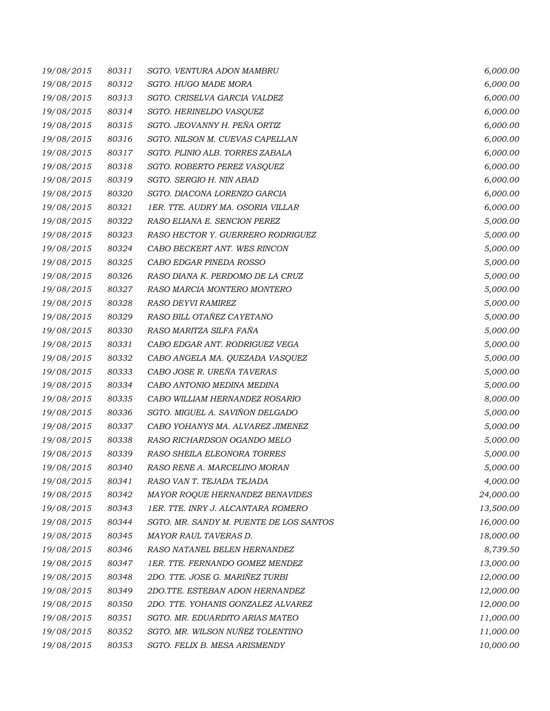| 19/08/2015 | 80311 | SGTO. VENTURA ADON MAMBRU               | 6,000.00  |
|------------|-------|-----------------------------------------|-----------|
| 19/08/2015 | 80312 | SGTO. HUGO MADE MORA                    | 6,000.00  |
| 19/08/2015 | 80313 | SGTO. CRISELVA GARCIA VALDEZ            | 6,000.00  |
| 19/08/2015 | 80314 | SGTO. HERINELDO VASQUEZ                 | 6,000.00  |
| 19/08/2015 | 80315 | SGTO. JEOVANNY H. PEÑA ORTIZ            | 6,000.00  |
| 19/08/2015 | 80316 | SGTO. NILSON M. CUEVAS CAPELLAN         | 6,000.00  |
| 19/08/2015 | 80317 | SGTO. PLINIO ALB. TORRES ZABALA         | 6,000.00  |
| 19/08/2015 | 80318 | SGTO. ROBERTO PEREZ VASQUEZ             | 6,000.00  |
| 19/08/2015 | 80319 | SGTO. SERGIO H. NIN ABAD                | 6,000.00  |
| 19/08/2015 | 80320 | SGTO. DIACONA LORENZO GARCIA            | 6,000.00  |
| 19/08/2015 | 80321 | 1ER. TTE. AUDRY MA. OSORIA VILLAR       | 6,000.00  |
| 19/08/2015 | 80322 | RASO ELIANA E. SENCION PEREZ            | 5,000.00  |
| 19/08/2015 | 80323 | RASO HECTOR Y. GUERRERO RODRIGUEZ       | 5,000.00  |
| 19/08/2015 | 80324 | CABO BECKERT ANT. WES RINCON            | 5,000.00  |
| 19/08/2015 | 80325 | CABO EDGAR PINEDA ROSSO                 | 5,000.00  |
| 19/08/2015 | 80326 | RASO DIANA K. PERDOMO DE LA CRUZ        | 5,000.00  |
| 19/08/2015 | 80327 | RASO MARCIA MONTERO MONTERO             | 5,000.00  |
| 19/08/2015 | 80328 | RASO DEYVI RAMIREZ                      | 5,000.00  |
| 19/08/2015 | 80329 | RASO BILL OTAÑEZ CAYETANO               | 5,000.00  |
| 19/08/2015 | 80330 | RASO MARITZA SILFA FAÑA                 | 5,000.00  |
| 19/08/2015 | 80331 | CABO EDGAR ANT. RODRIGUEZ VEGA          | 5,000.00  |
| 19/08/2015 | 80332 | CABO ANGELA MA. QUEZADA VASQUEZ         | 5,000.00  |
| 19/08/2015 | 80333 | CABO JOSE R. UREÑA TAVERAS              | 5,000.00  |
| 19/08/2015 | 80334 | CABO ANTONIO MEDINA MEDINA              | 5,000.00  |
| 19/08/2015 | 80335 | CABO WILLIAM HERNANDEZ ROSARIO          | 8,000.00  |
| 19/08/2015 | 80336 | SGTO. MIGUEL A. SAVIÑON DELGADO         | 5,000.00  |
| 19/08/2015 | 80337 | CABO YOHANYS MA. ALVAREZ JIMENEZ        | 5,000.00  |
| 19/08/2015 | 80338 | RASO RICHARDSON OGANDO MELO             | 5,000.00  |
| 19/08/2015 | 80339 | RASO SHEILA ELEONORA TORRES             | 5,000.00  |
| 19/08/2015 | 80340 | RASO RENE A. MARCELINO MORAN            | 5,000.00  |
| 19/08/2015 | 80341 | RASO VAN T. TEJADA TEJADA               | 4,000.00  |
| 19/08/2015 | 80342 | MAYOR ROQUE HERNANDEZ BENAVIDES         | 24,000.00 |
| 19/08/2015 | 80343 | 1ER. TTE. INRY J. ALCANTARA ROMERO      | 13,500.00 |
| 19/08/2015 | 80344 | SGTO. MR. SANDY M. PUENTE DE LOS SANTOS | 16,000.00 |
| 19/08/2015 | 80345 | MAYOR RAUL TAVERAS D.                   | 18,000.00 |
| 19/08/2015 | 80346 | RASO NATANEL BELEN HERNANDEZ            | 8,739.50  |
| 19/08/2015 | 80347 | 1ER. TTE. FERNANDO GOMEZ MENDEZ         | 13,000.00 |
| 19/08/2015 | 80348 | 2DO. TTE. JOSE G. MARIÑEZ TURBI         | 12,000.00 |
| 19/08/2015 | 80349 | 2DO.TTE. ESTEBAN ADON HERNANDEZ         | 12,000.00 |
| 19/08/2015 | 80350 | 2DO. TTE. YOHANIS GONZALEZ ALVAREZ      | 12,000.00 |
| 19/08/2015 | 80351 | SGTO. MR. EDUARDITO ARIAS MATEO         | 11,000.00 |
| 19/08/2015 | 80352 | SGTO. MR. WILSON NUÑEZ TOLENTINO        | 11,000.00 |
| 19/08/2015 | 80353 | SGTO. FELIX B. MESA ARISMENDY           | 10,000.00 |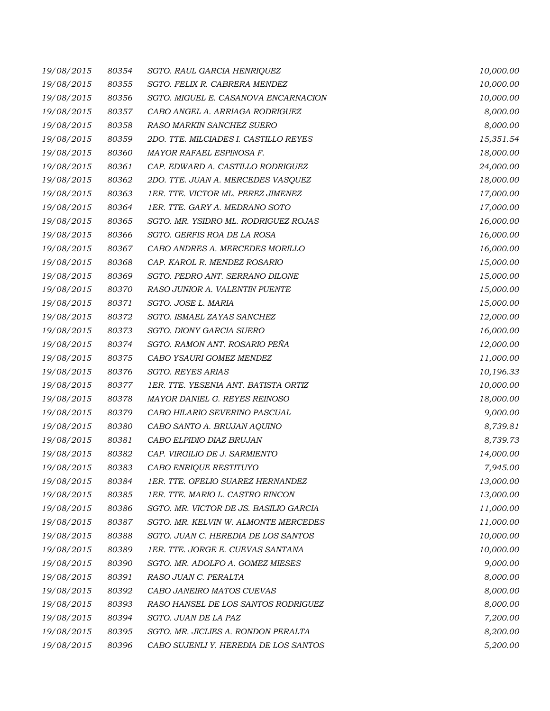| 19/08/2015 | 80354 | SGTO. RAUL GARCIA HENRIQUEZ            | 10,000.00 |
|------------|-------|----------------------------------------|-----------|
| 19/08/2015 | 80355 | SGTO. FELIX R. CABRERA MENDEZ          | 10,000.00 |
| 19/08/2015 | 80356 | SGTO. MIGUEL E. CASANOVA ENCARNACION   | 10,000.00 |
| 19/08/2015 | 80357 | CABO ANGEL A. ARRIAGA RODRIGUEZ        | 8,000.00  |
| 19/08/2015 | 80358 | RASO MARKIN SANCHEZ SUERO              | 8,000.00  |
| 19/08/2015 | 80359 | 2DO. TTE. MILCIADES I. CASTILLO REYES  | 15,351.54 |
| 19/08/2015 | 80360 | MAYOR RAFAEL ESPINOSA F.               | 18,000.00 |
| 19/08/2015 | 80361 | CAP. EDWARD A. CASTILLO RODRIGUEZ      | 24,000.00 |
| 19/08/2015 | 80362 | 2DO. TTE. JUAN A. MERCEDES VASQUEZ     | 18,000.00 |
| 19/08/2015 | 80363 | 1ER. TTE. VICTOR ML. PEREZ JIMENEZ     | 17,000.00 |
| 19/08/2015 | 80364 | 1ER. TTE. GARY A. MEDRANO SOTO         | 17,000.00 |
| 19/08/2015 | 80365 | SGTO. MR. YSIDRO ML. RODRIGUEZ ROJAS   | 16,000.00 |
| 19/08/2015 | 80366 | SGTO. GERFIS ROA DE LA ROSA            | 16,000.00 |
| 19/08/2015 | 80367 | CABO ANDRES A. MERCEDES MORILLO        | 16,000.00 |
| 19/08/2015 | 80368 | CAP. KAROL R. MENDEZ ROSARIO           | 15,000.00 |
| 19/08/2015 | 80369 | SGTO. PEDRO ANT. SERRANO DILONE        | 15,000.00 |
| 19/08/2015 | 80370 | RASO JUNIOR A. VALENTIN PUENTE         | 15,000.00 |
| 19/08/2015 | 80371 | SGTO. JOSE L. MARIA                    | 15,000.00 |
| 19/08/2015 | 80372 | SGTO. ISMAEL ZAYAS SANCHEZ             | 12,000.00 |
| 19/08/2015 | 80373 | SGTO. DIONY GARCIA SUERO               | 16,000.00 |
| 19/08/2015 | 80374 | SGTO. RAMON ANT. ROSARIO PEÑA          | 12,000.00 |
| 19/08/2015 | 80375 | CABO YSAURI GOMEZ MENDEZ               | 11,000.00 |
| 19/08/2015 | 80376 | <b>SGTO. REYES ARIAS</b>               | 10,196.33 |
| 19/08/2015 | 80377 | 1ER. TTE. YESENIA ANT. BATISTA ORTIZ   | 10,000.00 |
| 19/08/2015 | 80378 | MAYOR DANIEL G. REYES REINOSO          | 18,000.00 |
| 19/08/2015 | 80379 | CABO HILARIO SEVERINO PASCUAL          | 9,000.00  |
| 19/08/2015 | 80380 | CABO SANTO A. BRUJAN AQUINO            | 8,739.81  |
| 19/08/2015 | 80381 | CABO ELPIDIO DIAZ BRUJAN               | 8,739.73  |
| 19/08/2015 | 80382 | CAP. VIRGILIO DE J. SARMIENTO          | 14,000.00 |
| 19/08/2015 | 80383 | CABO ENRIQUE RESTITUYO                 | 7,945.00  |
| 19/08/2015 | 80384 | 1ER. TTE. OFELIO SUAREZ HERNANDEZ      | 13,000.00 |
| 19/08/2015 | 80385 | 1ER. TTE. MARIO L. CASTRO RINCON       | 13,000.00 |
| 19/08/2015 | 80386 | SGTO. MR. VICTOR DE JS. BASILIO GARCIA | 11,000.00 |
| 19/08/2015 | 80387 | SGTO. MR. KELVIN W. ALMONTE MERCEDES   | 11,000.00 |
| 19/08/2015 | 80388 | SGTO. JUAN C. HEREDIA DE LOS SANTOS    | 10,000.00 |
| 19/08/2015 | 80389 | 1ER. TTE. JORGE E. CUEVAS SANTANA      | 10,000.00 |
| 19/08/2015 | 80390 | SGTO. MR. ADOLFO A. GOMEZ MIESES       | 9,000.00  |
| 19/08/2015 | 80391 | RASO JUAN C. PERALTA                   | 8,000.00  |
| 19/08/2015 | 80392 | CABO JANEIRO MATOS CUEVAS              | 8,000.00  |
| 19/08/2015 | 80393 | RASO HANSEL DE LOS SANTOS RODRIGUEZ    | 8,000.00  |
| 19/08/2015 | 80394 | SGTO. JUAN DE LA PAZ                   | 7,200.00  |
| 19/08/2015 | 80395 | SGTO. MR. JICLIES A. RONDON PERALTA    | 8,200.00  |
| 19/08/2015 | 80396 | CABO SUJENLI Y. HEREDIA DE LOS SANTOS  | 5,200.00  |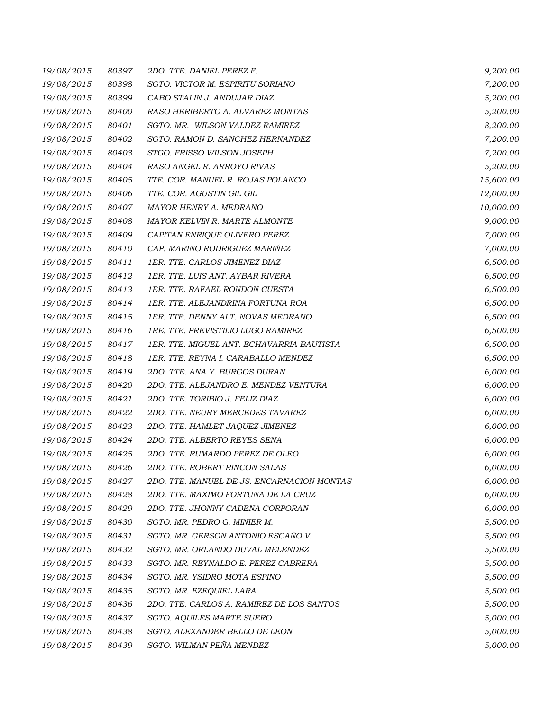| 19/08/2015 | 80397 | 2DO. TTE. DANIEL PEREZ F.                  | 9,200.00  |
|------------|-------|--------------------------------------------|-----------|
| 19/08/2015 | 80398 | SGTO. VICTOR M. ESPIRITU SORIANO           | 7,200.00  |
| 19/08/2015 | 80399 | CABO STALIN J. ANDUJAR DIAZ                | 5,200.00  |
| 19/08/2015 | 80400 | RASO HERIBERTO A. ALVAREZ MONTAS           | 5,200.00  |
| 19/08/2015 | 80401 | SGTO. MR. WILSON VALDEZ RAMIREZ            | 8,200.00  |
| 19/08/2015 | 80402 | SGTO. RAMON D. SANCHEZ HERNANDEZ           | 7,200.00  |
| 19/08/2015 | 80403 | STGO. FRISSO WILSON JOSEPH                 | 7,200.00  |
| 19/08/2015 | 80404 | RASO ANGEL R. ARROYO RIVAS                 | 5,200.00  |
| 19/08/2015 | 80405 | TTE. COR. MANUEL R. ROJAS POLANCO          | 15,600.00 |
| 19/08/2015 | 80406 | TTE. COR. AGUSTIN GIL GIL                  | 12,000.00 |
| 19/08/2015 | 80407 | MAYOR HENRY A. MEDRANO                     | 10,000.00 |
| 19/08/2015 | 80408 | MAYOR KELVIN R. MARTE ALMONTE              | 9,000.00  |
| 19/08/2015 | 80409 | CAPITAN ENRIQUE OLIVERO PEREZ              | 7,000.00  |
| 19/08/2015 | 80410 | CAP. MARINO RODRIGUEZ MARIÑEZ              | 7,000.00  |
| 19/08/2015 | 80411 | 1ER. TTE. CARLOS JIMENEZ DIAZ              | 6,500.00  |
| 19/08/2015 | 80412 | 1ER. TTE. LUIS ANT. AYBAR RIVERA           | 6,500.00  |
| 19/08/2015 | 80413 | 1ER. TTE. RAFAEL RONDON CUESTA             | 6,500.00  |
| 19/08/2015 | 80414 | 1ER. TTE. ALEJANDRINA FORTUNA ROA          | 6,500.00  |
| 19/08/2015 | 80415 | 1ER. TTE. DENNY ALT. NOVAS MEDRANO         | 6,500.00  |
| 19/08/2015 | 80416 | 1RE. TTE. PREVISTILIO LUGO RAMIREZ         | 6,500.00  |
| 19/08/2015 | 80417 | 1ER. TTE. MIGUEL ANT. ECHAVARRIA BAUTISTA  | 6,500.00  |
| 19/08/2015 | 80418 | 1ER. TTE. REYNA I. CARABALLO MENDEZ        | 6,500.00  |
| 19/08/2015 | 80419 | 2DO. TTE. ANA Y. BURGOS DURAN              | 6,000.00  |
| 19/08/2015 | 80420 | 2DO. TTE. ALEJANDRO E. MENDEZ VENTURA      | 6,000.00  |
| 19/08/2015 | 80421 | 2DO. TTE. TORIBIO J. FELIZ DIAZ            | 6,000.00  |
| 19/08/2015 | 80422 | 2DO. TTE. NEURY MERCEDES TAVAREZ           | 6,000.00  |
| 19/08/2015 | 80423 | 2DO. TTE. HAMLET JAQUEZ JIMENEZ            | 6,000.00  |
| 19/08/2015 | 80424 | 2DO. TTE. ALBERTO REYES SENA               | 6,000.00  |
| 19/08/2015 | 80425 | 2DO. TTE. RUMARDO PEREZ DE OLEO            | 6,000.00  |
| 19/08/2015 | 80426 | 2DO. TTE. ROBERT RINCON SALAS              | 6,000.00  |
| 19/08/2015 | 80427 | 2DO. TTE. MANUEL DE JS. ENCARNACION MONTAS | 6,000.00  |
| 19/08/2015 | 80428 | 2DO. TTE. MAXIMO FORTUNA DE LA CRUZ        | 6,000.00  |
| 19/08/2015 | 80429 | 2DO. TTE. JHONNY CADENA CORPORAN           | 6,000.00  |
| 19/08/2015 | 80430 | SGTO. MR. PEDRO G. MINIER M.               | 5,500.00  |
| 19/08/2015 | 80431 | SGTO. MR. GERSON ANTONIO ESCAÑO V.         | 5,500.00  |
| 19/08/2015 | 80432 | SGTO. MR. ORLANDO DUVAL MELENDEZ           | 5,500.00  |
| 19/08/2015 | 80433 | SGTO. MR. REYNALDO E. PEREZ CABRERA        | 5,500.00  |
| 19/08/2015 | 80434 | SGTO. MR. YSIDRO MOTA ESPINO               | 5,500.00  |
| 19/08/2015 | 80435 | SGTO. MR. EZEQUIEL LARA                    | 5,500.00  |
| 19/08/2015 | 80436 | 2DO. TTE. CARLOS A. RAMIREZ DE LOS SANTOS  | 5,500.00  |
| 19/08/2015 | 80437 | SGTO. AQUILES MARTE SUERO                  | 5,000.00  |
| 19/08/2015 | 80438 | SGTO. ALEXANDER BELLO DE LEON              | 5,000.00  |
| 19/08/2015 | 80439 | SGTO. WILMAN PEÑA MENDEZ                   | 5,000.00  |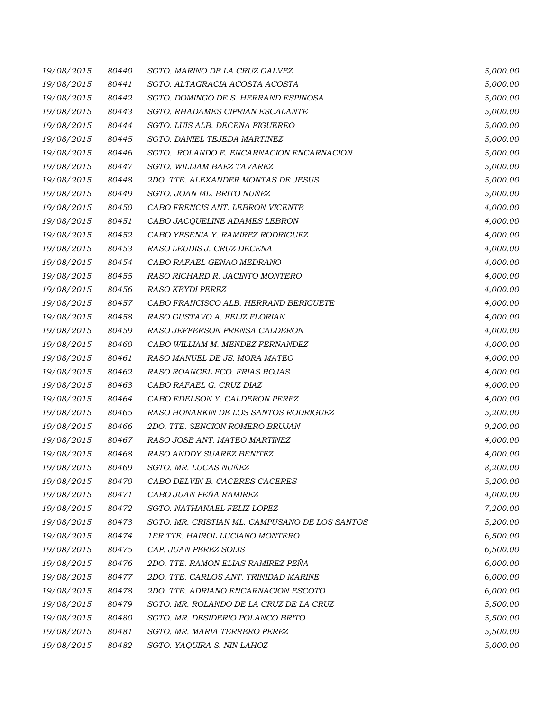| 19/08/2015 | 80440 | SGTO. MARINO DE LA CRUZ GALVEZ                 | 5,000.00 |
|------------|-------|------------------------------------------------|----------|
| 19/08/2015 | 80441 | SGTO. ALTAGRACIA ACOSTA ACOSTA                 | 5,000.00 |
| 19/08/2015 | 80442 | SGTO. DOMINGO DE S. HERRAND ESPINOSA           | 5,000.00 |
| 19/08/2015 | 80443 | SGTO. RHADAMES CIPRIAN ESCALANTE               | 5,000.00 |
| 19/08/2015 | 80444 | SGTO. LUIS ALB. DECENA FIGUEREO                | 5,000.00 |
| 19/08/2015 | 80445 | SGTO. DANIEL TEJEDA MARTINEZ                   | 5,000.00 |
| 19/08/2015 | 80446 | SGTO. ROLANDO E. ENCARNACION ENCARNACION       | 5,000.00 |
| 19/08/2015 | 80447 | SGTO. WILLIAM BAEZ TAVAREZ                     | 5,000.00 |
| 19/08/2015 | 80448 | 2DO. TTE. ALEXANDER MONTAS DE JESUS            | 5,000.00 |
| 19/08/2015 | 80449 | SGTO. JOAN ML. BRITO NUÑEZ                     | 5,000.00 |
| 19/08/2015 | 80450 | CABO FRENCIS ANT. LEBRON VICENTE               | 4,000.00 |
| 19/08/2015 | 80451 | CABO JACQUELINE ADAMES LEBRON                  | 4,000.00 |
| 19/08/2015 | 80452 | CABO YESENIA Y. RAMIREZ RODRIGUEZ              | 4,000.00 |
| 19/08/2015 | 80453 | RASO LEUDIS J. CRUZ DECENA                     | 4,000.00 |
| 19/08/2015 | 80454 | CABO RAFAEL GENAO MEDRANO                      | 4,000.00 |
| 19/08/2015 | 80455 | RASO RICHARD R. JACINTO MONTERO                | 4,000.00 |
| 19/08/2015 | 80456 | RASO KEYDI PEREZ                               | 4,000.00 |
| 19/08/2015 | 80457 | CABO FRANCISCO ALB. HERRAND BERIGUETE          | 4,000.00 |
| 19/08/2015 | 80458 | RASO GUSTAVO A. FELIZ FLORIAN                  | 4,000.00 |
| 19/08/2015 | 80459 | RASO JEFFERSON PRENSA CALDERON                 | 4,000.00 |
| 19/08/2015 | 80460 | CABO WILLIAM M. MENDEZ FERNANDEZ               | 4,000.00 |
| 19/08/2015 | 80461 | RASO MANUEL DE JS. MORA MATEO                  | 4,000.00 |
| 19/08/2015 | 80462 | RASO ROANGEL FCO. FRIAS ROJAS                  | 4,000.00 |
| 19/08/2015 | 80463 | CABO RAFAEL G. CRUZ DIAZ                       | 4,000.00 |
| 19/08/2015 | 80464 | CABO EDELSON Y. CALDERON PEREZ                 | 4,000.00 |
| 19/08/2015 | 80465 | RASO HONARKIN DE LOS SANTOS RODRIGUEZ          | 5,200.00 |
| 19/08/2015 | 80466 | 2DO. TTE. SENCION ROMERO BRUJAN                | 9,200.00 |
| 19/08/2015 | 80467 | RASO JOSE ANT. MATEO MARTINEZ                  | 4,000.00 |
| 19/08/2015 | 80468 | RASO ANDDY SUAREZ BENITEZ                      | 4,000.00 |
| 19/08/2015 | 80469 | SGTO. MR. LUCAS NUÑEZ                          | 8,200.00 |
| 19/08/2015 | 80470 | CABO DELVIN B. CACERES CACERES                 | 5,200.00 |
| 19/08/2015 | 80471 | CABO JUAN PEÑA RAMIREZ                         | 4,000.00 |
| 19/08/2015 | 80472 | SGTO. NATHANAEL FELIZ LOPEZ                    | 7,200.00 |
| 19/08/2015 | 80473 | SGTO. MR. CRISTIAN ML. CAMPUSANO DE LOS SANTOS | 5,200.00 |
| 19/08/2015 | 80474 | <b>1ER TTE. HAIROL LUCIANO MONTERO</b>         | 6,500.00 |
| 19/08/2015 | 80475 | CAP. JUAN PEREZ SOLIS                          | 6,500.00 |
| 19/08/2015 | 80476 | 2DO. TTE. RAMON ELIAS RAMIREZ PEÑA             | 6,000.00 |
| 19/08/2015 | 80477 | 2DO. TTE. CARLOS ANT. TRINIDAD MARINE          | 6,000.00 |
| 19/08/2015 | 80478 | 2DO. TTE. ADRIANO ENCARNACION ESCOTO           | 6,000.00 |
| 19/08/2015 | 80479 | SGTO. MR. ROLANDO DE LA CRUZ DE LA CRUZ        | 5,500.00 |
| 19/08/2015 | 80480 | SGTO. MR. DESIDERIO POLANCO BRITO              | 5,500.00 |
| 19/08/2015 | 80481 | SGTO. MR. MARIA TERRERO PEREZ                  | 5,500.00 |
| 19/08/2015 | 80482 | SGTO. YAQUIRA S. NIN LAHOZ                     | 5,000.00 |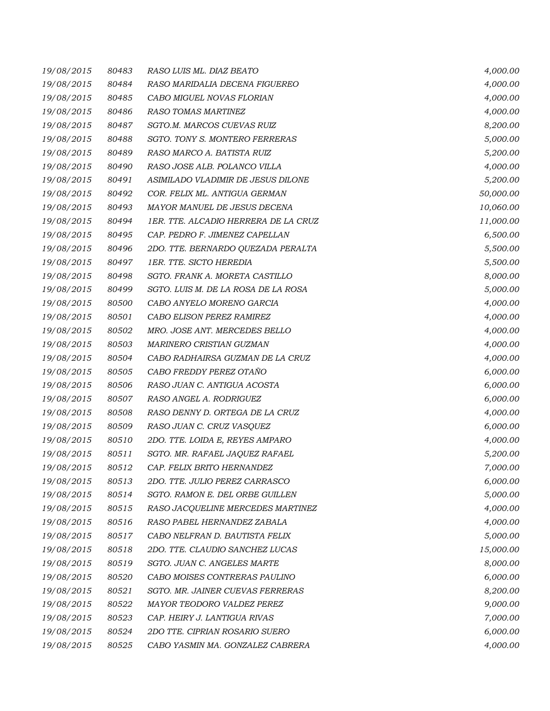| 19/08/2015 | 80483 | RASO LUIS ML. DIAZ BEATO             | 4,000.00  |
|------------|-------|--------------------------------------|-----------|
| 19/08/2015 | 80484 | RASO MARIDALIA DECENA FIGUEREO       | 4,000.00  |
| 19/08/2015 | 80485 | CABO MIGUEL NOVAS FLORIAN            | 4,000.00  |
| 19/08/2015 | 80486 | RASO TOMAS MARTINEZ                  | 4,000.00  |
| 19/08/2015 | 80487 | SGTO.M. MARCOS CUEVAS RUIZ           | 8,200.00  |
| 19/08/2015 | 80488 | SGTO. TONY S. MONTERO FERRERAS       | 5,000.00  |
| 19/08/2015 | 80489 | RASO MARCO A. BATISTA RUIZ           | 5,200.00  |
| 19/08/2015 | 80490 | RASO JOSE ALB. POLANCO VILLA         | 4,000.00  |
| 19/08/2015 | 80491 | ASIMILADO VLADIMIR DE JESUS DILONE   | 5,200.00  |
| 19/08/2015 | 80492 | COR. FELIX ML. ANTIGUA GERMAN        | 50,000.00 |
| 19/08/2015 | 80493 | MAYOR MANUEL DE JESUS DECENA         | 10,060.00 |
| 19/08/2015 | 80494 | 1ER. TTE. ALCADIO HERRERA DE LA CRUZ | 11,000.00 |
| 19/08/2015 | 80495 | CAP. PEDRO F. JIMENEZ CAPELLAN       | 6,500.00  |
| 19/08/2015 | 80496 | 2DO. TTE. BERNARDO QUEZADA PERALTA   | 5,500.00  |
| 19/08/2015 | 80497 | 1ER. TTE. SICTO HEREDIA              | 5,500.00  |
| 19/08/2015 | 80498 | SGTO. FRANK A. MORETA CASTILLO       | 8,000.00  |
| 19/08/2015 | 80499 | SGTO. LUIS M. DE LA ROSA DE LA ROSA  | 5,000.00  |
| 19/08/2015 | 80500 | CABO ANYELO MORENO GARCIA            | 4,000.00  |
| 19/08/2015 | 80501 | CABO ELISON PEREZ RAMIREZ            | 4,000.00  |
| 19/08/2015 | 80502 | MRO. JOSE ANT. MERCEDES BELLO        | 4,000.00  |
| 19/08/2015 | 80503 | MARINERO CRISTIAN GUZMAN             | 4,000.00  |
| 19/08/2015 | 80504 | CABO RADHAIRSA GUZMAN DE LA CRUZ     | 4,000.00  |
| 19/08/2015 | 80505 | CABO FREDDY PEREZ OTAÑO              | 6,000.00  |
| 19/08/2015 | 80506 | RASO JUAN C. ANTIGUA ACOSTA          | 6,000.00  |
| 19/08/2015 | 80507 | RASO ANGEL A. RODRIGUEZ              | 6,000.00  |
| 19/08/2015 | 80508 | RASO DENNY D. ORTEGA DE LA CRUZ      | 4,000.00  |
| 19/08/2015 | 80509 | RASO JUAN C. CRUZ VASQUEZ            | 6,000.00  |
| 19/08/2015 | 80510 | 2DO. TTE. LOIDA E, REYES AMPARO      | 4,000.00  |
| 19/08/2015 | 80511 | SGTO. MR. RAFAEL JAQUEZ RAFAEL       | 5,200.00  |
| 19/08/2015 | 80512 | <i>CAP. FELIX BRITO HERNANDEZ</i>    | 7,000.00  |
| 19/08/2015 | 80513 | 2DO. TTE. JULIO PEREZ CARRASCO       | 6,000.00  |
| 19/08/2015 | 80514 | SGTO. RAMON E. DEL ORBE GUILLEN      | 5,000.00  |
| 19/08/2015 | 80515 | RASO JACQUELINE MERCEDES MARTINEZ    | 4,000.00  |
| 19/08/2015 | 80516 | RASO PABEL HERNANDEZ ZABALA          | 4,000.00  |
| 19/08/2015 | 80517 | CABO NELFRAN D. BAUTISTA FELIX       | 5,000.00  |
| 19/08/2015 | 80518 | 2DO. TTE. CLAUDIO SANCHEZ LUCAS      | 15,000.00 |
| 19/08/2015 | 80519 | SGTO. JUAN C. ANGELES MARTE          | 8,000.00  |
| 19/08/2015 | 80520 | CABO MOISES CONTRERAS PAULINO        | 6,000.00  |
| 19/08/2015 | 80521 | SGTO. MR. JAINER CUEVAS FERRERAS     | 8,200.00  |
| 19/08/2015 | 80522 | MAYOR TEODORO VALDEZ PEREZ           | 9,000.00  |
| 19/08/2015 | 80523 | CAP. HEIRY J. LANTIGUA RIVAS         | 7,000.00  |
| 19/08/2015 | 80524 | 2DO TTE. CIPRIAN ROSARIO SUERO       | 6,000.00  |
| 19/08/2015 | 80525 | CABO YASMIN MA. GONZALEZ CABRERA     | 4,000.00  |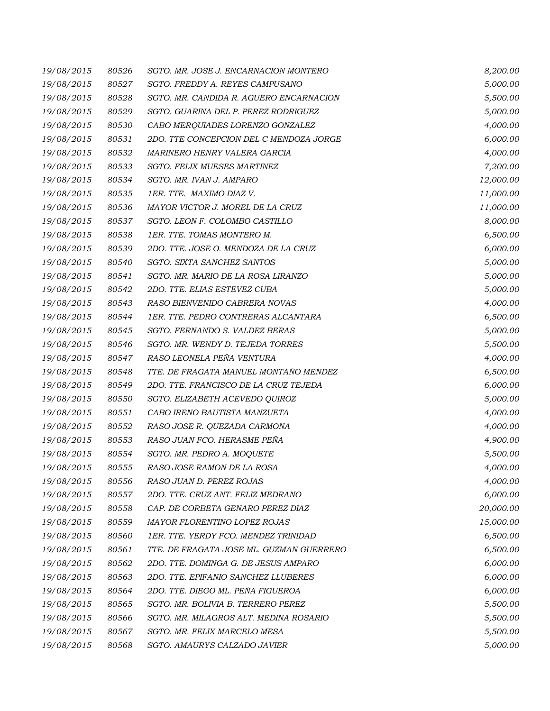| 19/08/2015 | 80526 | SGTO. MR. JOSE J. ENCARNACION MONTERO    | 8,200.00  |
|------------|-------|------------------------------------------|-----------|
| 19/08/2015 | 80527 | SGTO. FREDDY A. REYES CAMPUSANO          | 5,000.00  |
| 19/08/2015 | 80528 | SGTO. MR. CANDIDA R. AGUERO ENCARNACION  | 5,500.00  |
| 19/08/2015 | 80529 | SGTO. GUARINA DEL P. PEREZ RODRIGUEZ     | 5,000.00  |
| 19/08/2015 | 80530 | CABO MERQUIADES LORENZO GONZALEZ         | 4,000.00  |
| 19/08/2015 | 80531 | 2DO. TTE CONCEPCION DEL C MENDOZA JORGE  | 6,000.00  |
| 19/08/2015 | 80532 | MARINERO HENRY VALERA GARCIA             | 4,000.00  |
| 19/08/2015 | 80533 | SGTO. FELIX MUESES MARTINEZ              | 7,200.00  |
| 19/08/2015 | 80534 | SGTO. MR. IVAN J. AMPARO                 | 12,000.00 |
| 19/08/2015 | 80535 | 1ER. TTE. MAXIMO DIAZ V.                 | 11,000.00 |
| 19/08/2015 | 80536 | MAYOR VICTOR J. MOREL DE LA CRUZ         | 11,000.00 |
| 19/08/2015 | 80537 | SGTO. LEON F. COLOMBO CASTILLO           | 8,000.00  |
| 19/08/2015 | 80538 | 1ER. TTE. TOMAS MONTERO M.               | 6,500.00  |
| 19/08/2015 | 80539 | 2DO. TTE. JOSE O. MENDOZA DE LA CRUZ     | 6,000.00  |
| 19/08/2015 | 80540 | SGTO. SIXTA SANCHEZ SANTOS               | 5,000.00  |
| 19/08/2015 | 80541 | SGTO. MR. MARIO DE LA ROSA LIRANZO       | 5,000.00  |
| 19/08/2015 | 80542 | 2DO. TTE. ELIAS ESTEVEZ CUBA             | 5,000.00  |
| 19/08/2015 | 80543 | RASO BIENVENIDO CABRERA NOVAS            | 4,000.00  |
| 19/08/2015 | 80544 | 1ER. TTE. PEDRO CONTRERAS ALCANTARA      | 6,500.00  |
| 19/08/2015 | 80545 | SGTO. FERNANDO S. VALDEZ BERAS           | 5,000.00  |
| 19/08/2015 | 80546 | SGTO. MR. WENDY D. TEJEDA TORRES         | 5,500.00  |
| 19/08/2015 | 80547 | RASO LEONELA PEÑA VENTURA                | 4,000.00  |
| 19/08/2015 | 80548 | TTE. DE FRAGATA MANUEL MONTAÑO MENDEZ    | 6,500.00  |
| 19/08/2015 | 80549 | 2DO. TTE. FRANCISCO DE LA CRUZ TEJEDA    | 6,000.00  |
| 19/08/2015 | 80550 | SGTO. ELIZABETH ACEVEDO QUIROZ           | 5,000.00  |
| 19/08/2015 | 80551 | CABO IRENO BAUTISTA MANZUETA             | 4,000.00  |
| 19/08/2015 | 80552 | RASO JOSE R. QUEZADA CARMONA             | 4,000.00  |
| 19/08/2015 | 80553 | RASO JUAN FCO. HERASME PEÑA              | 4,900.00  |
| 19/08/2015 | 80554 | SGTO. MR. PEDRO A. MOQUETE               | 5,500.00  |
| 19/08/2015 | 80555 | RASO JOSE RAMON DE LA ROSA               | 4,000.00  |
| 19/08/2015 | 80556 | RASO JUAN D. PEREZ ROJAS                 | 4,000.00  |
| 19/08/2015 | 80557 | 2DO. TTE. CRUZ ANT. FELIZ MEDRANO        | 6,000.00  |
| 19/08/2015 | 80558 | CAP. DE CORBETA GENARO PEREZ DIAZ        | 20,000.00 |
| 19/08/2015 | 80559 | MAYOR FLORENTINO LOPEZ ROJAS             | 15,000.00 |
| 19/08/2015 | 80560 | 1ER. TTE. YERDY FCO. MENDEZ TRINIDAD     | 6,500.00  |
| 19/08/2015 | 80561 | TTE. DE FRAGATA JOSE ML. GUZMAN GUERRERO | 6,500.00  |
| 19/08/2015 | 80562 | 2DO. TTE. DOMINGA G. DE JESUS AMPARO     | 6,000.00  |
| 19/08/2015 | 80563 | 2DO. TTE. EPIFANIO SANCHEZ LLUBERES      | 6,000.00  |
| 19/08/2015 | 80564 | 2DO. TTE. DIEGO ML. PEÑA FIGUEROA        | 6,000.00  |
| 19/08/2015 | 80565 | SGTO. MR. BOLIVIA B. TERRERO PEREZ       | 5,500.00  |
| 19/08/2015 | 80566 | SGTO. MR. MILAGROS ALT. MEDINA ROSARIO   | 5,500.00  |
| 19/08/2015 | 80567 | SGTO. MR. FELIX MARCELO MESA             | 5,500.00  |
| 19/08/2015 | 80568 | SGTO. AMAURYS CALZADO JAVIER             | 5,000.00  |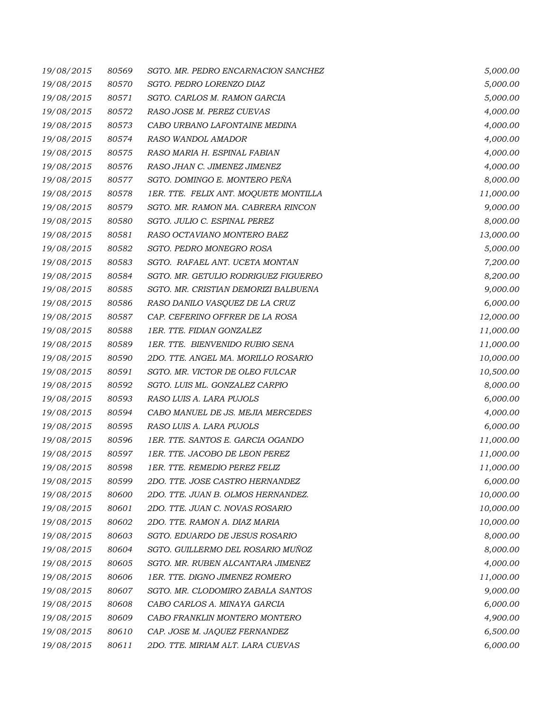| 19/08/2015 | 80569 | SGTO. MR. PEDRO ENCARNACION SANCHEZ   | 5,000.00  |
|------------|-------|---------------------------------------|-----------|
| 19/08/2015 | 80570 | SGTO. PEDRO LORENZO DIAZ              | 5,000.00  |
| 19/08/2015 | 80571 | SGTO. CARLOS M. RAMON GARCIA          | 5,000.00  |
| 19/08/2015 | 80572 | RASO JOSE M. PEREZ CUEVAS             | 4,000.00  |
| 19/08/2015 | 80573 | CABO URBANO LAFONTAINE MEDINA         | 4,000.00  |
| 19/08/2015 | 80574 | RASO WANDOL AMADOR                    | 4,000.00  |
| 19/08/2015 | 80575 | RASO MARIA H. ESPINAL FABIAN          | 4,000.00  |
| 19/08/2015 | 80576 | RASO JHAN C. JIMENEZ JIMENEZ          | 4,000.00  |
| 19/08/2015 | 80577 | SGTO. DOMINGO E. MONTERO PEÑA         | 8,000.00  |
| 19/08/2015 | 80578 | 1ER. TTE. FELIX ANT. MOQUETE MONTILLA | 11,000.00 |
| 19/08/2015 | 80579 | SGTO. MR. RAMON MA. CABRERA RINCON    | 9,000.00  |
| 19/08/2015 | 80580 | SGTO. JULIO C. ESPINAL PEREZ          | 8,000.00  |
| 19/08/2015 | 80581 | RASO OCTAVIANO MONTERO BAEZ           | 13,000.00 |
| 19/08/2015 | 80582 | SGTO. PEDRO MONEGRO ROSA              | 5,000.00  |
| 19/08/2015 | 80583 | SGTO. RAFAEL ANT. UCETA MONTAN        | 7,200.00  |
| 19/08/2015 | 80584 | SGTO. MR. GETULIO RODRIGUEZ FIGUEREO  | 8,200.00  |
| 19/08/2015 | 80585 | SGTO. MR. CRISTIAN DEMORIZI BALBUENA  | 9,000.00  |
| 19/08/2015 | 80586 | RASO DANILO VASQUEZ DE LA CRUZ        | 6,000.00  |
| 19/08/2015 | 80587 | CAP. CEFERINO OFFRER DE LA ROSA       | 12,000.00 |
| 19/08/2015 | 80588 | 1ER. TTE. FIDIAN GONZALEZ             | 11,000.00 |
| 19/08/2015 | 80589 | 1ER. TTE. BIENVENIDO RUBIO SENA       | 11,000.00 |
| 19/08/2015 | 80590 | 2DO. TTE. ANGEL MA. MORILLO ROSARIO   | 10,000.00 |
| 19/08/2015 | 80591 | SGTO. MR. VICTOR DE OLEO FULCAR       | 10,500.00 |
| 19/08/2015 | 80592 | SGTO. LUIS ML. GONZALEZ CARPIO        | 8,000.00  |
| 19/08/2015 | 80593 | RASO LUIS A. LARA PUJOLS              | 6,000.00  |
| 19/08/2015 | 80594 | CABO MANUEL DE JS. MEJIA MERCEDES     | 4,000.00  |
| 19/08/2015 | 80595 | RASO LUIS A. LARA PUJOLS              | 6,000.00  |
| 19/08/2015 | 80596 | 1ER. TTE. SANTOS E. GARCIA OGANDO     | 11,000.00 |
| 19/08/2015 | 80597 | 1ER. TTE. JACOBO DE LEON PEREZ        | 11,000.00 |
| 19/08/2015 | 80598 | <i>1ER. TTE. REMEDIO PEREZ FELIZ</i>  | 11,000.00 |
| 19/08/2015 | 80599 | 2DO. TTE. JOSE CASTRO HERNANDEZ       | 6,000.00  |
| 19/08/2015 | 80600 | 2DO. TTE. JUAN B. OLMOS HERNANDEZ.    | 10,000.00 |
| 19/08/2015 | 80601 | 2DO. TTE. JUAN C. NOVAS ROSARIO       | 10,000.00 |
| 19/08/2015 | 80602 | 2DO. TTE. RAMON A. DIAZ MARIA         | 10,000.00 |
| 19/08/2015 | 80603 | SGTO. EDUARDO DE JESUS ROSARIO        | 8,000.00  |
| 19/08/2015 | 80604 | SGTO. GUILLERMO DEL ROSARIO MUÑOZ     | 8,000.00  |
| 19/08/2015 | 80605 | SGTO. MR. RUBEN ALCANTARA JIMENEZ     | 4,000.00  |
| 19/08/2015 | 80606 | 1ER. TTE. DIGNO JIMENEZ ROMERO        | 11,000.00 |
| 19/08/2015 | 80607 | SGTO. MR. CLODOMIRO ZABALA SANTOS     | 9,000.00  |
| 19/08/2015 | 80608 | CABO CARLOS A. MINAYA GARCIA          | 6,000.00  |
| 19/08/2015 | 80609 | CABO FRANKLIN MONTERO MONTERO         | 4,900.00  |
| 19/08/2015 | 80610 | CAP. JOSE M. JAQUEZ FERNANDEZ         | 6,500.00  |
| 19/08/2015 | 80611 | 2DO. TTE. MIRIAM ALT. LARA CUEVAS     | 6,000.00  |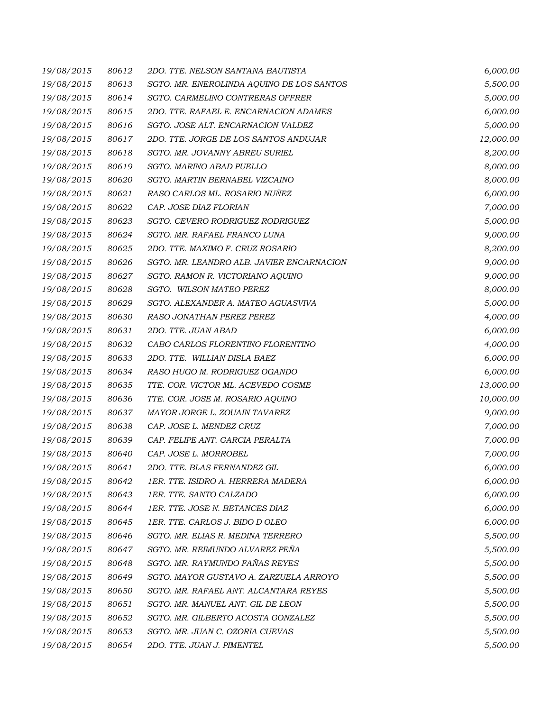| 19/08/2015 | 80612 | 2DO. TTE. NELSON SANTANA BAUTISTA         | 6,000.00  |
|------------|-------|-------------------------------------------|-----------|
| 19/08/2015 | 80613 | SGTO. MR. ENEROLINDA AQUINO DE LOS SANTOS | 5,500.00  |
| 19/08/2015 | 80614 | SGTO. CARMELINO CONTRERAS OFFRER          | 5,000.00  |
| 19/08/2015 | 80615 | 2DO. TTE. RAFAEL E. ENCARNACION ADAMES    | 6,000.00  |
| 19/08/2015 | 80616 | SGTO. JOSE ALT. ENCARNACION VALDEZ        | 5,000.00  |
| 19/08/2015 | 80617 | 2DO. TTE. JORGE DE LOS SANTOS ANDUJAR     | 12,000.00 |
| 19/08/2015 | 80618 | SGTO. MR. JOVANNY ABREU SURIEL            | 8,200.00  |
| 19/08/2015 | 80619 | SGTO. MARINO ABAD PUELLO                  | 8,000.00  |
| 19/08/2015 | 80620 | SGTO. MARTIN BERNABEL VIZCAINO            | 8,000.00  |
| 19/08/2015 | 80621 | RASO CARLOS ML. ROSARIO NUÑEZ             | 6,000.00  |
| 19/08/2015 | 80622 | CAP. JOSE DIAZ FLORIAN                    | 7,000.00  |
| 19/08/2015 | 80623 | SGTO. CEVERO RODRIGUEZ RODRIGUEZ          | 5,000.00  |
| 19/08/2015 | 80624 | SGTO. MR. RAFAEL FRANCO LUNA              | 9,000.00  |
| 19/08/2015 | 80625 | 2DO. TTE. MAXIMO F. CRUZ ROSARIO          | 8,200.00  |
| 19/08/2015 | 80626 | SGTO. MR. LEANDRO ALB. JAVIER ENCARNACION | 9,000.00  |
| 19/08/2015 | 80627 | SGTO. RAMON R. VICTORIANO AQUINO          | 9,000.00  |
| 19/08/2015 | 80628 | SGTO. WILSON MATEO PEREZ                  | 8,000.00  |
| 19/08/2015 | 80629 | SGTO. ALEXANDER A. MATEO AGUASVIVA        | 5,000.00  |
| 19/08/2015 | 80630 | RASO JONATHAN PEREZ PEREZ                 | 4,000.00  |
| 19/08/2015 | 80631 | 2DO. TTE. JUAN ABAD                       | 6,000.00  |
| 19/08/2015 | 80632 | CABO CARLOS FLORENTINO FLORENTINO         | 4,000.00  |
| 19/08/2015 | 80633 | 2DO. TTE. WILLIAN DISLA BAEZ              | 6,000.00  |
| 19/08/2015 | 80634 | RASO HUGO M. RODRIGUEZ OGANDO             | 6,000.00  |
| 19/08/2015 | 80635 | TTE. COR. VICTOR ML. ACEVEDO COSME        | 13,000.00 |
| 19/08/2015 | 80636 | TTE. COR. JOSE M. ROSARIO AQUINO          | 10,000.00 |
| 19/08/2015 | 80637 | MAYOR JORGE L. ZOUAIN TAVAREZ             | 9,000.00  |
| 19/08/2015 | 80638 | CAP. JOSE L. MENDEZ CRUZ                  | 7,000.00  |
| 19/08/2015 | 80639 | CAP. FELIPE ANT. GARCIA PERALTA           | 7,000.00  |
| 19/08/2015 | 80640 | CAP. JOSE L. MORROBEL                     | 7,000.00  |
| 19/08/2015 | 80641 | 2DO. TTE. BLAS FERNANDEZ GIL              | 6,000.00  |
| 19/08/2015 | 80642 | 1ER. TTE. ISIDRO A. HERRERA MADERA        | 6,000.00  |
| 19/08/2015 | 80643 | 1ER. TTE. SANTO CALZADO                   | 6,000.00  |
| 19/08/2015 | 80644 | 1ER. TTE. JOSE N. BETANCES DIAZ           | 6,000.00  |
| 19/08/2015 | 80645 | 1ER. TTE. CARLOS J. BIDO D OLEO           | 6,000.00  |
| 19/08/2015 | 80646 | SGTO. MR. ELIAS R. MEDINA TERRERO         | 5,500.00  |
| 19/08/2015 | 80647 | SGTO. MR. REIMUNDO ALVAREZ PEÑA           | 5,500.00  |
| 19/08/2015 | 80648 | SGTO. MR. RAYMUNDO FAÑAS REYES            | 5,500.00  |
| 19/08/2015 | 80649 | SGTO. MAYOR GUSTAVO A. ZARZUELA ARROYO    | 5,500.00  |
| 19/08/2015 | 80650 | SGTO. MR. RAFAEL ANT. ALCANTARA REYES     | 5,500.00  |
| 19/08/2015 | 80651 | SGTO. MR. MANUEL ANT. GIL DE LEON         | 5,500.00  |
| 19/08/2015 | 80652 | SGTO. MR. GILBERTO ACOSTA GONZALEZ        | 5,500.00  |
| 19/08/2015 | 80653 | SGTO. MR. JUAN C. OZORIA CUEVAS           | 5,500.00  |
| 19/08/2015 | 80654 | 2DO. TTE. JUAN J. PIMENTEL                | 5,500.00  |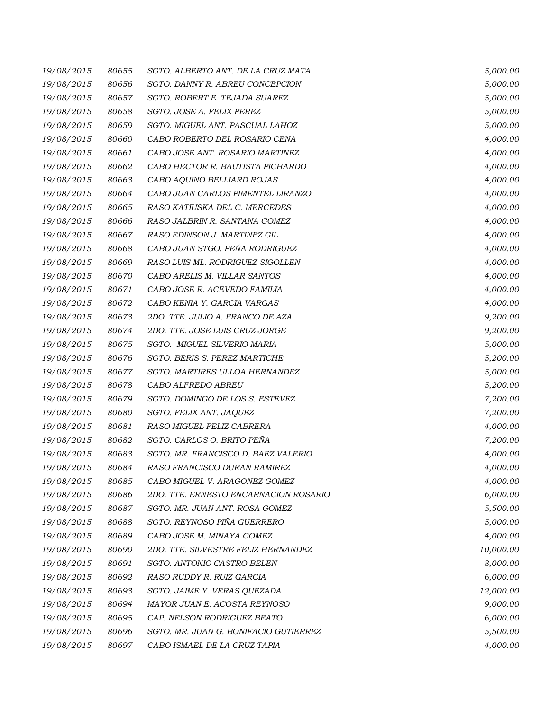| 19/08/2015 | 80655 | SGTO. ALBERTO ANT. DE LA CRUZ MATA    | 5,000.00  |
|------------|-------|---------------------------------------|-----------|
| 19/08/2015 | 80656 | SGTO. DANNY R. ABREU CONCEPCION       | 5,000.00  |
| 19/08/2015 | 80657 | SGTO. ROBERT E. TEJADA SUAREZ         | 5,000.00  |
| 19/08/2015 | 80658 | SGTO. JOSE A. FELIX PEREZ             | 5,000.00  |
| 19/08/2015 | 80659 | SGTO. MIGUEL ANT. PASCUAL LAHOZ       | 5,000.00  |
| 19/08/2015 | 80660 | CABO ROBERTO DEL ROSARIO CENA         | 4,000.00  |
| 19/08/2015 | 80661 | CABO JOSE ANT. ROSARIO MARTINEZ       | 4,000.00  |
| 19/08/2015 | 80662 | CABO HECTOR R. BAUTISTA PICHARDO      | 4,000.00  |
| 19/08/2015 | 80663 | CABO AQUINO BELLIARD ROJAS            | 4,000.00  |
| 19/08/2015 | 80664 | CABO JUAN CARLOS PIMENTEL LIRANZO     | 4,000.00  |
| 19/08/2015 | 80665 | RASO KATIUSKA DEL C. MERCEDES         | 4,000.00  |
| 19/08/2015 | 80666 | RASO JALBRIN R. SANTANA GOMEZ         | 4,000.00  |
| 19/08/2015 | 80667 | RASO EDINSON J. MARTINEZ GIL          | 4,000.00  |
| 19/08/2015 | 80668 | CABO JUAN STGO. PEÑA RODRIGUEZ        | 4,000.00  |
| 19/08/2015 | 80669 | RASO LUIS ML. RODRIGUEZ SIGOLLEN      | 4,000.00  |
| 19/08/2015 | 80670 | CABO ARELIS M. VILLAR SANTOS          | 4,000.00  |
| 19/08/2015 | 80671 | CABO JOSE R. ACEVEDO FAMILIA          | 4,000.00  |
| 19/08/2015 | 80672 | CABO KENIA Y. GARCIA VARGAS           | 4,000.00  |
| 19/08/2015 | 80673 | 2DO. TTE. JULIO A. FRANCO DE AZA      | 9,200.00  |
| 19/08/2015 | 80674 | 2DO. TTE. JOSE LUIS CRUZ JORGE        | 9,200.00  |
| 19/08/2015 | 80675 | SGTO. MIGUEL SILVERIO MARIA           | 5,000.00  |
| 19/08/2015 | 80676 | SGTO. BERIS S. PEREZ MARTICHE         | 5,200.00  |
| 19/08/2015 | 80677 | SGTO. MARTIRES ULLOA HERNANDEZ        | 5,000.00  |
| 19/08/2015 | 80678 | CABO ALFREDO ABREU                    | 5,200.00  |
| 19/08/2015 | 80679 | SGTO. DOMINGO DE LOS S. ESTEVEZ       | 7,200.00  |
| 19/08/2015 | 80680 | SGTO. FELIX ANT. JAQUEZ               | 7,200.00  |
| 19/08/2015 | 80681 | RASO MIGUEL FELIZ CABRERA             | 4,000.00  |
| 19/08/2015 | 80682 | SGTO. CARLOS O. BRITO PEÑA            | 7,200.00  |
| 19/08/2015 | 80683 | SGTO. MR. FRANCISCO D. BAEZ VALERIO   | 4,000.00  |
| 19/08/2015 | 80684 | RASO FRANCISCO DURAN RAMIREZ          | 4,000.00  |
| 19/08/2015 | 80685 | CABO MIGUEL V. ARAGONEZ GOMEZ         | 4,000.00  |
| 19/08/2015 | 80686 | 2DO. TTE. ERNESTO ENCARNACION ROSARIO | 6,000.00  |
| 19/08/2015 | 80687 | SGTO. MR. JUAN ANT. ROSA GOMEZ        | 5,500.00  |
| 19/08/2015 | 80688 | SGTO. REYNOSO PIÑA GUERRERO           | 5,000.00  |
| 19/08/2015 | 80689 | CABO JOSE M. MINAYA GOMEZ             | 4,000.00  |
| 19/08/2015 | 80690 | 2DO. TTE. SILVESTRE FELIZ HERNANDEZ   | 10,000.00 |
| 19/08/2015 | 80691 | SGTO. ANTONIO CASTRO BELEN            | 8,000.00  |
| 19/08/2015 | 80692 | RASO RUDDY R. RUIZ GARCIA             | 6,000.00  |
| 19/08/2015 | 80693 | SGTO. JAIME Y. VERAS QUEZADA          | 12,000.00 |
| 19/08/2015 | 80694 | MAYOR JUAN E. ACOSTA REYNOSO          | 9,000.00  |
| 19/08/2015 | 80695 | CAP. NELSON RODRIGUEZ BEATO           | 6,000.00  |
| 19/08/2015 | 80696 | SGTO. MR. JUAN G. BONIFACIO GUTIERREZ | 5,500.00  |
| 19/08/2015 | 80697 | CABO ISMAEL DE LA CRUZ TAPIA          | 4,000.00  |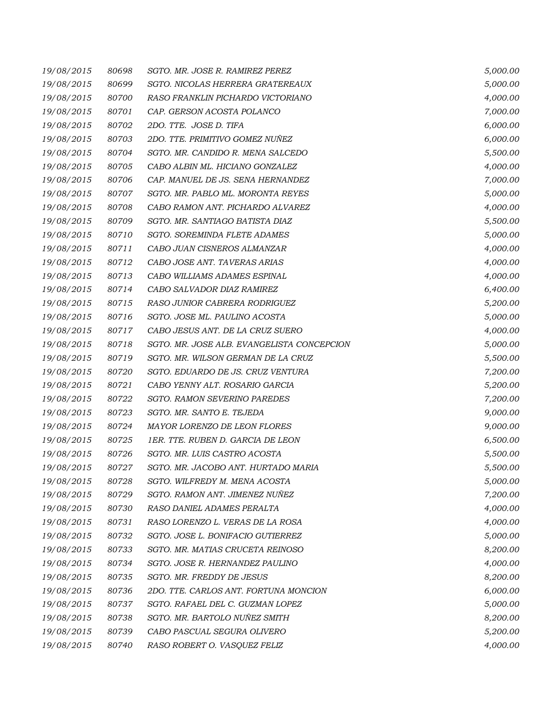| 19/08/2015 | 80698 | SGTO. MR. JOSE R. RAMIREZ PEREZ            | 5,000.00 |
|------------|-------|--------------------------------------------|----------|
| 19/08/2015 | 80699 | SGTO. NICOLAS HERRERA GRATEREAUX           | 5,000.00 |
| 19/08/2015 | 80700 | RASO FRANKLIN PICHARDO VICTORIANO          | 4,000.00 |
| 19/08/2015 | 80701 | CAP. GERSON ACOSTA POLANCO                 | 7,000.00 |
| 19/08/2015 | 80702 | 2DO. TTE. JOSE D. TIFA                     | 6,000.00 |
| 19/08/2015 | 80703 | 2DO. TTE. PRIMITIVO GOMEZ NUÑEZ            | 6,000.00 |
| 19/08/2015 | 80704 | SGTO. MR. CANDIDO R. MENA SALCEDO          | 5,500.00 |
| 19/08/2015 | 80705 | CABO ALBIN ML. HICIANO GONZALEZ            | 4,000.00 |
| 19/08/2015 | 80706 | CAP. MANUEL DE JS. SENA HERNANDEZ          | 7,000.00 |
| 19/08/2015 | 80707 | SGTO. MR. PABLO ML. MORONTA REYES          | 5,000.00 |
| 19/08/2015 | 80708 | CABO RAMON ANT. PICHARDO ALVAREZ           | 4,000.00 |
| 19/08/2015 | 80709 | SGTO. MR. SANTIAGO BATISTA DIAZ            | 5,500.00 |
| 19/08/2015 | 80710 | SGTO. SOREMINDA FLETE ADAMES               | 5,000.00 |
| 19/08/2015 | 80711 | CABO JUAN CISNEROS ALMANZAR                | 4,000.00 |
| 19/08/2015 | 80712 | CABO JOSE ANT. TAVERAS ARIAS               | 4,000.00 |
| 19/08/2015 | 80713 | CABO WILLIAMS ADAMES ESPINAL               | 4,000.00 |
| 19/08/2015 | 80714 | CABO SALVADOR DIAZ RAMIREZ                 | 6,400.00 |
| 19/08/2015 | 80715 | RASO JUNIOR CABRERA RODRIGUEZ              | 5,200.00 |
| 19/08/2015 | 80716 | SGTO. JOSE ML. PAULINO ACOSTA              | 5,000.00 |
| 19/08/2015 | 80717 | CABO JESUS ANT. DE LA CRUZ SUERO           | 4,000.00 |
| 19/08/2015 | 80718 | SGTO. MR. JOSE ALB. EVANGELISTA CONCEPCION | 5,000.00 |
| 19/08/2015 | 80719 | SGTO. MR. WILSON GERMAN DE LA CRUZ         | 5,500.00 |
| 19/08/2015 | 80720 | SGTO. EDUARDO DE JS. CRUZ VENTURA          | 7,200.00 |
| 19/08/2015 | 80721 | CABO YENNY ALT. ROSARIO GARCIA             | 5,200.00 |
| 19/08/2015 | 80722 | SGTO. RAMON SEVERINO PAREDES               | 7,200.00 |
| 19/08/2015 | 80723 | SGTO. MR. SANTO E. TEJEDA                  | 9,000.00 |
| 19/08/2015 | 80724 | MAYOR LORENZO DE LEON FLORES               | 9,000.00 |
| 19/08/2015 | 80725 | 1ER. TTE. RUBEN D. GARCIA DE LEON          | 6,500.00 |
| 19/08/2015 | 80726 | SGTO. MR. LUIS CASTRO ACOSTA               | 5,500.00 |
| 19/08/2015 | 80727 | SGTO. MR. JACOBO ANT. HURTADO MARIA        | 5,500.00 |
| 19/08/2015 | 80728 | SGTO. WILFREDY M. MENA ACOSTA              | 5,000.00 |
| 19/08/2015 | 80729 | SGTO. RAMON ANT. JIMENEZ NUÑEZ             | 7,200.00 |
| 19/08/2015 | 80730 | RASO DANIEL ADAMES PERALTA                 | 4,000.00 |
| 19/08/2015 | 80731 | RASO LORENZO L. VERAS DE LA ROSA           | 4,000.00 |
| 19/08/2015 | 80732 | SGTO. JOSE L. BONIFACIO GUTIERREZ          | 5,000.00 |
| 19/08/2015 | 80733 | SGTO. MR. MATIAS CRUCETA REINOSO           | 8,200.00 |
| 19/08/2015 | 80734 | SGTO. JOSE R. HERNANDEZ PAULINO            | 4,000.00 |
| 19/08/2015 | 80735 | SGTO. MR. FREDDY DE JESUS                  | 8,200.00 |
| 19/08/2015 | 80736 | 2DO. TTE. CARLOS ANT. FORTUNA MONCION      | 6,000.00 |
| 19/08/2015 | 80737 | SGTO. RAFAEL DEL C. GUZMAN LOPEZ           | 5,000.00 |
| 19/08/2015 | 80738 | SGTO. MR. BARTOLO NUÑEZ SMITH              | 8,200.00 |
| 19/08/2015 | 80739 | CABO PASCUAL SEGURA OLIVERO                | 5,200.00 |
| 19/08/2015 | 80740 | RASO ROBERT O. VASQUEZ FELIZ               | 4,000.00 |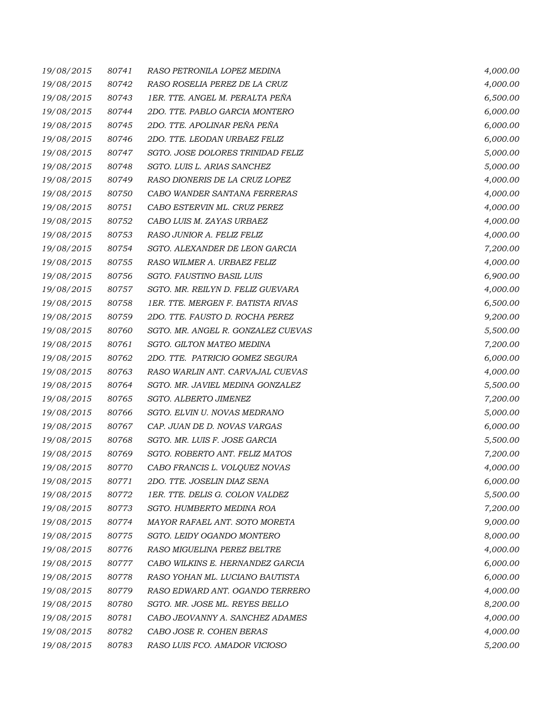| 19/08/2015 | 80741 | RASO PETRONILA LOPEZ MEDINA        | 4,000.00 |
|------------|-------|------------------------------------|----------|
| 19/08/2015 | 80742 | RASO ROSELIA PEREZ DE LA CRUZ      | 4,000.00 |
| 19/08/2015 | 80743 | 1ER. TTE. ANGEL M. PERALTA PEÑA    | 6,500.00 |
| 19/08/2015 | 80744 | 2DO. TTE. PABLO GARCIA MONTERO     | 6,000.00 |
| 19/08/2015 | 80745 | 2DO. TTE. APOLINAR PEÑA PEÑA       | 6,000.00 |
| 19/08/2015 | 80746 | 2DO. TTE. LEODAN URBAEZ FELIZ      | 6,000.00 |
| 19/08/2015 | 80747 | SGTO. JOSE DOLORES TRINIDAD FELIZ  | 5,000.00 |
| 19/08/2015 | 80748 | SGTO. LUIS L. ARIAS SANCHEZ        | 5,000.00 |
| 19/08/2015 | 80749 | RASO DIONERIS DE LA CRUZ LOPEZ     | 4,000.00 |
| 19/08/2015 | 80750 | CABO WANDER SANTANA FERRERAS       | 4,000.00 |
| 19/08/2015 | 80751 | CABO ESTERVIN ML. CRUZ PEREZ       | 4,000.00 |
| 19/08/2015 | 80752 | CABO LUIS M. ZAYAS URBAEZ          | 4,000.00 |
| 19/08/2015 | 80753 | RASO JUNIOR A. FELIZ FELIZ         | 4,000.00 |
| 19/08/2015 | 80754 | SGTO. ALEXANDER DE LEON GARCIA     | 7,200.00 |
| 19/08/2015 | 80755 | RASO WILMER A. URBAEZ FELIZ        | 4,000.00 |
| 19/08/2015 | 80756 | SGTO. FAUSTINO BASIL LUIS          | 6,900.00 |
| 19/08/2015 | 80757 | SGTO. MR. REILYN D. FELIZ GUEVARA  | 4,000.00 |
| 19/08/2015 | 80758 | 1ER. TTE. MERGEN F. BATISTA RIVAS  | 6,500.00 |
| 19/08/2015 | 80759 | 2DO. TTE. FAUSTO D. ROCHA PEREZ    | 9,200.00 |
| 19/08/2015 | 80760 | SGTO. MR. ANGEL R. GONZALEZ CUEVAS | 5,500.00 |
| 19/08/2015 | 80761 | SGTO. GILTON MATEO MEDINA          | 7,200.00 |
| 19/08/2015 | 80762 | 2DO. TTE. PATRICIO GOMEZ SEGURA    | 6,000.00 |
| 19/08/2015 | 80763 | RASO WARLIN ANT. CARVAJAL CUEVAS   | 4,000.00 |
| 19/08/2015 | 80764 | SGTO. MR. JAVIEL MEDINA GONZALEZ   | 5,500.00 |
| 19/08/2015 | 80765 | SGTO. ALBERTO JIMENEZ              | 7,200.00 |
| 19/08/2015 | 80766 | SGTO. ELVIN U. NOVAS MEDRANO       | 5,000.00 |
| 19/08/2015 | 80767 | CAP. JUAN DE D. NOVAS VARGAS       | 6,000.00 |
| 19/08/2015 | 80768 | SGTO. MR. LUIS F. JOSE GARCIA      | 5,500.00 |
| 19/08/2015 | 80769 | SGTO. ROBERTO ANT. FELIZ MATOS     | 7,200.00 |
| 19/08/2015 | 80770 | CABO FRANCIS L. VOLQUEZ NOVAS      | 4,000.00 |
| 19/08/2015 | 80771 | 2DO. TTE. JOSELIN DIAZ SENA        | 6,000.00 |
| 19/08/2015 | 80772 | 1ER. TTE. DELIS G. COLON VALDEZ    | 5,500.00 |
| 19/08/2015 | 80773 | SGTO. HUMBERTO MEDINA ROA          | 7,200.00 |
| 19/08/2015 | 80774 | MAYOR RAFAEL ANT. SOTO MORETA      | 9,000.00 |
| 19/08/2015 | 80775 | SGTO. LEIDY OGANDO MONTERO         | 8,000.00 |
| 19/08/2015 | 80776 | RASO MIGUELINA PEREZ BELTRE        | 4,000.00 |
| 19/08/2015 | 80777 | CABO WILKINS E. HERNANDEZ GARCIA   | 6,000.00 |
| 19/08/2015 | 80778 | RASO YOHAN ML. LUCIANO BAUTISTA    | 6,000.00 |
| 19/08/2015 | 80779 | RASO EDWARD ANT. OGANDO TERRERO    | 4,000.00 |
| 19/08/2015 | 80780 | SGTO. MR. JOSE ML. REYES BELLO     | 8,200.00 |
| 19/08/2015 | 80781 | CABO JEOVANNY A. SANCHEZ ADAMES    | 4,000.00 |
| 19/08/2015 | 80782 | CABO JOSE R. COHEN BERAS           | 4,000.00 |
| 19/08/2015 | 80783 | RASO LUIS FCO. AMADOR VICIOSO      | 5,200.00 |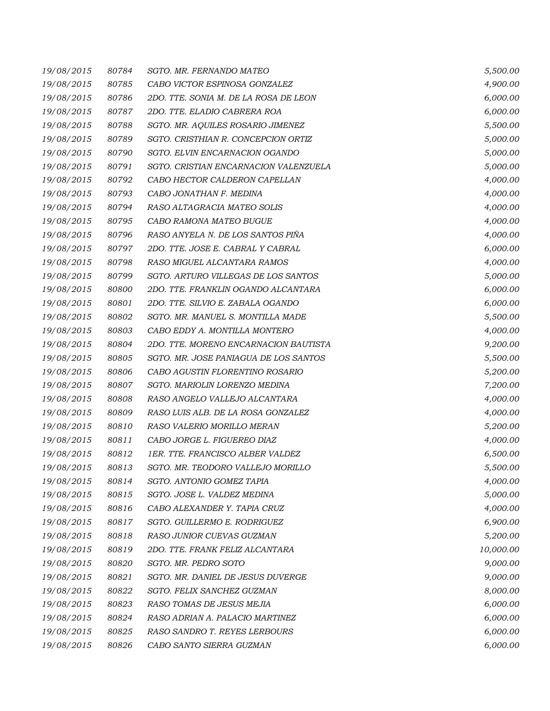| 19/08/2015 | 80784 | SGTO. MR. FERNANDO MATEO              | 5,500.00  |
|------------|-------|---------------------------------------|-----------|
| 19/08/2015 | 80785 | CABO VICTOR ESPINOSA GONZALEZ         | 4,900.00  |
| 19/08/2015 | 80786 | 2DO. TTE. SONIA M. DE LA ROSA DE LEON | 6,000.00  |
| 19/08/2015 | 80787 | 2DO. TTE. ELADIO CABRERA ROA          | 6,000.00  |
| 19/08/2015 | 80788 | SGTO. MR. AQUILES ROSARIO JIMENEZ     | 5,500.00  |
| 19/08/2015 | 80789 | SGTO. CRISTHIAN R. CONCEPCION ORTIZ   | 5,000.00  |
| 19/08/2015 | 80790 | SGTO. ELVIN ENCARNACION OGANDO        | 5,000.00  |
| 19/08/2015 | 80791 | SGTO. CRISTIAN ENCARNACION VALENZUELA | 5,000.00  |
| 19/08/2015 | 80792 | CABO HECTOR CALDERON CAPELLAN         | 4,000.00  |
| 19/08/2015 | 80793 | CABO JONATHAN F. MEDINA               | 4,000.00  |
| 19/08/2015 | 80794 | RASO ALTAGRACIA MATEO SOLIS           | 4,000.00  |
| 19/08/2015 | 80795 | CABO RAMONA MATEO BUGUE               | 4,000.00  |
| 19/08/2015 | 80796 | RASO ANYELA N. DE LOS SANTOS PIÑA     | 4,000.00  |
| 19/08/2015 | 80797 | 2DO. TTE. JOSE E. CABRAL Y CABRAL     | 6,000.00  |
| 19/08/2015 | 80798 | RASO MIGUEL ALCANTARA RAMOS           | 4,000.00  |
| 19/08/2015 | 80799 | SGTO. ARTURO VILLEGAS DE LOS SANTOS   | 5,000.00  |
| 19/08/2015 | 80800 | 2DO. TTE. FRANKLIN OGANDO ALCANTARA   | 6,000.00  |
| 19/08/2015 | 80801 | 2DO. TTE. SILVIO E. ZABALA OGANDO     | 6,000.00  |
| 19/08/2015 | 80802 | SGTO. MR. MANUEL S. MONTILLA MADE     | 5,500.00  |
| 19/08/2015 | 80803 | CABO EDDY A. MONTILLA MONTERO         | 4,000.00  |
| 19/08/2015 | 80804 | 2DO. TTE. MORENO ENCARNACION BAUTISTA | 9,200.00  |
| 19/08/2015 | 80805 | SGTO. MR. JOSE PANIAGUA DE LOS SANTOS | 5,500.00  |
| 19/08/2015 | 80806 | CABO AGUSTIN FLORENTINO ROSARIO       | 5,200.00  |
| 19/08/2015 | 80807 | SGTO. MARIOLIN LORENZO MEDINA         | 7,200.00  |
| 19/08/2015 | 80808 | RASO ANGELO VALLEJO ALCANTARA         | 4,000.00  |
| 19/08/2015 | 80809 | RASO LUIS ALB. DE LA ROSA GONZALEZ    | 4,000.00  |
| 19/08/2015 | 80810 | RASO VALERIO MORILLO MERAN            | 5,200.00  |
| 19/08/2015 | 80811 | CABO JORGE L. FIGUEREO DIAZ           | 4,000.00  |
| 19/08/2015 | 80812 | 1ER. TTE. FRANCISCO ALBER VALDEZ      | 6,500.00  |
| 19/08/2015 | 80813 | SGTO. MR. TEODORO VALLEJO MORILLO     | 5,500.00  |
| 19/08/2015 | 80814 | SGTO. ANTONIO GOMEZ TAPIA             | 4,000.00  |
| 19/08/2015 | 80815 | SGTO. JOSE L. VALDEZ MEDINA           | 5,000.00  |
| 19/08/2015 | 80816 | CABO ALEXANDER Y. TAPIA CRUZ          | 4,000.00  |
| 19/08/2015 | 80817 | SGTO. GUILLERMO E. RODRIGUEZ          | 6,900.00  |
| 19/08/2015 | 80818 | RASO JUNIOR CUEVAS GUZMAN             | 5,200.00  |
| 19/08/2015 | 80819 | 2DO. TTE. FRANK FELIZ ALCANTARA       | 10,000.00 |
| 19/08/2015 | 80820 | SGTO. MR. PEDRO SOTO                  | 9,000.00  |
| 19/08/2015 | 80821 | SGTO. MR. DANIEL DE JESUS DUVERGE     | 9,000.00  |
| 19/08/2015 | 80822 | SGTO. FELIX SANCHEZ GUZMAN            | 8,000.00  |
| 19/08/2015 | 80823 | RASO TOMAS DE JESUS MEJIA             | 6,000.00  |
| 19/08/2015 | 80824 | RASO ADRIAN A. PALACIO MARTINEZ       | 6,000.00  |
| 19/08/2015 | 80825 | RASO SANDRO T. REYES LERBOURS         | 6,000.00  |
| 19/08/2015 | 80826 | CABO SANTO SIERRA GUZMAN              | 6,000.00  |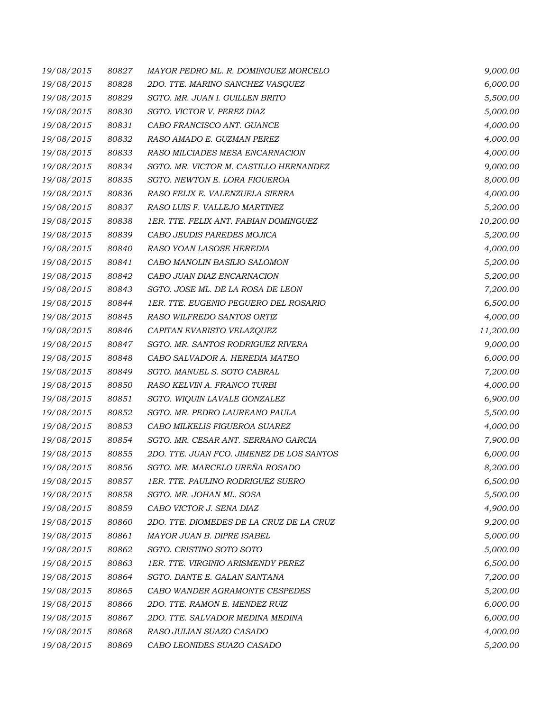| 19/08/2015 | 80827 | MAYOR PEDRO ML. R. DOMINGUEZ MORCELO      | 9,000.00  |
|------------|-------|-------------------------------------------|-----------|
| 19/08/2015 | 80828 | 2DO. TTE. MARINO SANCHEZ VASQUEZ          | 6,000.00  |
| 19/08/2015 | 80829 | SGTO. MR. JUAN I. GUILLEN BRITO           | 5,500.00  |
| 19/08/2015 | 80830 | SGTO. VICTOR V. PEREZ DIAZ                | 5,000.00  |
| 19/08/2015 | 80831 | CABO FRANCISCO ANT. GUANCE                | 4,000.00  |
| 19/08/2015 | 80832 | RASO AMADO E. GUZMAN PEREZ                | 4,000.00  |
| 19/08/2015 | 80833 | RASO MILCIADES MESA ENCARNACION           | 4,000.00  |
| 19/08/2015 | 80834 | SGTO. MR. VICTOR M. CASTILLO HERNANDEZ    | 9,000.00  |
| 19/08/2015 | 80835 | SGTO. NEWTON E. LORA FIGUEROA             | 8,000.00  |
| 19/08/2015 | 80836 | RASO FELIX E. VALENZUELA SIERRA           | 4,000.00  |
| 19/08/2015 | 80837 | RASO LUIS F. VALLEJO MARTINEZ             | 5,200.00  |
| 19/08/2015 | 80838 | 1ER. TTE. FELIX ANT. FABIAN DOMINGUEZ     | 10,200.00 |
| 19/08/2015 | 80839 | CABO JEUDIS PAREDES MOJICA                | 5,200.00  |
| 19/08/2015 | 80840 | RASO YOAN LASOSE HEREDIA                  | 4,000.00  |
| 19/08/2015 | 80841 | CABO MANOLIN BASILIO SALOMON              | 5,200.00  |
| 19/08/2015 | 80842 | CABO JUAN DIAZ ENCARNACION                | 5,200.00  |
| 19/08/2015 | 80843 | SGTO. JOSE ML. DE LA ROSA DE LEON         | 7,200.00  |
| 19/08/2015 | 80844 | 1ER. TTE. EUGENIO PEGUERO DEL ROSARIO     | 6,500.00  |
| 19/08/2015 | 80845 | RASO WILFREDO SANTOS ORTIZ                | 4,000.00  |
| 19/08/2015 | 80846 | CAPITAN EVARISTO VELAZQUEZ                | 11,200.00 |
| 19/08/2015 | 80847 | SGTO. MR. SANTOS RODRIGUEZ RIVERA         | 9,000.00  |
| 19/08/2015 | 80848 | CABO SALVADOR A. HEREDIA MATEO            | 6,000.00  |
| 19/08/2015 | 80849 | SGTO. MANUEL S. SOTO CABRAL               | 7,200.00  |
| 19/08/2015 | 80850 | RASO KELVIN A. FRANCO TURBI               | 4,000.00  |
| 19/08/2015 | 80851 | SGTO. WIQUIN LAVALE GONZALEZ              | 6,900.00  |
| 19/08/2015 | 80852 | SGTO. MR. PEDRO LAUREANO PAULA            | 5,500.00  |
| 19/08/2015 | 80853 | CABO MILKELIS FIGUEROA SUAREZ             | 4,000.00  |
| 19/08/2015 | 80854 | SGTO. MR. CESAR ANT. SERRANO GARCIA       | 7,900.00  |
| 19/08/2015 | 80855 | 2DO. TTE. JUAN FCO. JIMENEZ DE LOS SANTOS | 6,000.00  |
| 19/08/2015 | 80856 | SGTO. MR. MARCELO UREÑA ROSADO            | 8,200.00  |
| 19/08/2015 | 80857 | <i>1ER. TTE. PAULINO RODRIGUEZ SUERO</i>  | 6,500.00  |
| 19/08/2015 | 80858 | SGTO. MR. JOHAN ML. SOSA                  | 5,500.00  |
| 19/08/2015 | 80859 | CABO VICTOR J. SENA DIAZ                  | 4,900.00  |
| 19/08/2015 | 80860 | 2DO. TTE. DIOMEDES DE LA CRUZ DE LA CRUZ  | 9,200.00  |
| 19/08/2015 | 80861 | MAYOR JUAN B. DIPRE ISABEL                | 5,000.00  |
| 19/08/2015 | 80862 | SGTO. CRISTINO SOTO SOTO                  | 5,000.00  |
| 19/08/2015 | 80863 | 1ER. TTE. VIRGINIO ARISMENDY PEREZ        | 6,500.00  |
| 19/08/2015 | 80864 | SGTO. DANTE E. GALAN SANTANA              | 7,200.00  |
| 19/08/2015 | 80865 | CABO WANDER AGRAMONTE CESPEDES            | 5,200.00  |
| 19/08/2015 | 80866 | 2DO. TTE. RAMON E. MENDEZ RUIZ            | 6,000.00  |
| 19/08/2015 | 80867 | 2DO. TTE. SALVADOR MEDINA MEDINA          | 6,000.00  |
| 19/08/2015 | 80868 | RASO JULIAN SUAZO CASADO                  | 4,000.00  |
| 19/08/2015 | 80869 | CABO LEONIDES SUAZO CASADO                | 5,200.00  |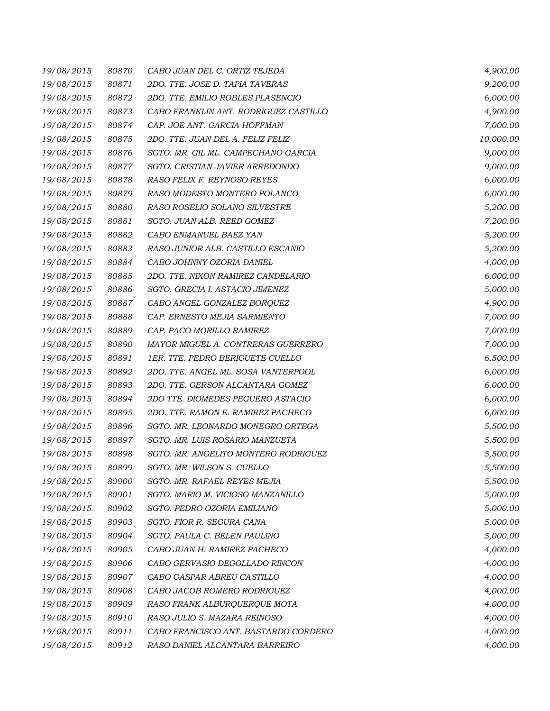| 19/08/2015 | 80870 | CABO JUAN DEL C. ORTIZ TEJEDA         | 4,900.00  |
|------------|-------|---------------------------------------|-----------|
| 19/08/2015 | 80871 | 2DO. TTE. JOSE D. TAPIA TAVERAS       | 9,200.00  |
| 19/08/2015 | 80872 | 2DO. TTE. EMILIO ROBLES PLASENCIO     | 6,000.00  |
| 19/08/2015 | 80873 | CABO FRANKLIN ANT. RODRIGUEZ CASTILLO | 4,900.00  |
| 19/08/2015 | 80874 | CAP. JOE ANT. GARCIA HOFFMAN          | 7,000.00  |
| 19/08/2015 | 80875 | 2DO. TTE. JUAN DEL A. FELIZ FELIZ     | 10,000.00 |
| 19/08/2015 | 80876 | SGTO. MR. GIL ML. CAMPECHANO GARCIA   | 9,000.00  |
| 19/08/2015 | 80877 | SGTO. CRISTIAN JAVIER ARREDONDO       | 9,000.00  |
| 19/08/2015 | 80878 | RASO FELIX F. REYNOSO REYES           | 6,000.00  |
| 19/08/2015 | 80879 | RASO MODESTO MONTERO POLANCO          | 6,000.00  |
| 19/08/2015 | 80880 | RASO ROSELIO SOLANO SILVESTRE         | 5,200.00  |
| 19/08/2015 | 80881 | SGTO. JUAN ALB. REED GOMEZ            | 7,200.00  |
| 19/08/2015 | 80882 | CABO ENMANUEL BAEZ YAN                | 5,200.00  |
| 19/08/2015 | 80883 | RASO JUNIOR ALB. CASTILLO ESCANIO     | 5,200.00  |
| 19/08/2015 | 80884 | CABO JOHNNY OZORIA DANIEL             | 4,000.00  |
| 19/08/2015 | 80885 | 2DO. TTE. NIXON RAMIREZ CANDELARIO    | 6,000.00  |
| 19/08/2015 | 80886 | SGTO. GRECIA I. ASTACIO JIMENEZ       | 5,000.00  |
| 19/08/2015 | 80887 | CABO ANGEL GONZALEZ BORQUEZ           | 4,900.00  |
| 19/08/2015 | 80888 | CAP. ERNESTO MEJIA SARMIENTO          | 7,000.00  |
| 19/08/2015 | 80889 | CAP. PACO MORILLO RAMIREZ             | 7,000.00  |
| 19/08/2015 | 80890 | MAYOR MIGUEL A. CONTRERAS GUERRERO    | 7,000.00  |
| 19/08/2015 | 80891 | 1ER. TTE. PEDRO BERIGUETE CUELLO      | 6,500.00  |
| 19/08/2015 | 80892 | 2DO. TTE. ANGEL ML. SOSA VANTERPOOL   | 6,000.00  |
| 19/08/2015 | 80893 | 2DO. TTE. GERSON ALCANTARA GOMEZ      | 6,000.00  |
| 19/08/2015 | 80894 | 2DO TTE. DIOMEDES PEGUERO ASTACIO     | 6,000.00  |
| 19/08/2015 | 80895 | 2DO. TTE. RAMON E. RAMIREZ PACHECO    | 6,000.00  |
| 19/08/2015 | 80896 | SGTO. MR. LEONARDO MONEGRO ORTEGA     | 5,500.00  |
| 19/08/2015 | 80897 | SGTO. MR. LUIS ROSARIO MANZUETA       | 5,500.00  |
| 19/08/2015 | 80898 | SGTO. MR. ANGELITO MONTERO RODRIGUEZ  | 5,500.00  |
| 19/08/2015 | 80899 | SGTO. MR. WILSON S. CUELLO            | 5,500.00  |
| 19/08/2015 | 80900 | SGTO. MR. RAFAEL REYES MEJIA          | 5,500.00  |
| 19/08/2015 | 80901 | SGTO. MARIO M. VICIOSO MANZANILLO     | 5,000.00  |
| 19/08/2015 | 80902 | SGTO. PEDRO OZORIA EMILIANO           | 5,000.00  |
| 19/08/2015 | 80903 | SGTO. FIOR R. SEGURA CANA             | 5,000.00  |
| 19/08/2015 | 80904 | SGTO. PAULA C. BELEN PAULINO          | 5,000.00  |
| 19/08/2015 | 80905 | CABO JUAN H. RAMIREZ PACHECO          | 4,000.00  |
| 19/08/2015 | 80906 | CABO GERVASIO DEGOLLADO RINCON        | 4,000.00  |
| 19/08/2015 | 80907 | CABO GASPAR ABREU CASTILLO            | 4,000.00  |
| 19/08/2015 | 80908 | CABO JACOB ROMERO RODRIGUEZ           | 4,000.00  |
| 19/08/2015 | 80909 | RASO FRANK ALBURQUERQUE MOTA          | 4,000.00  |
| 19/08/2015 | 80910 | RASO JULIO S. MAZARA REINOSO          | 4,000.00  |
| 19/08/2015 | 80911 | CABO FRANCISCO ANT. BASTARDO CORDERO  | 4,000.00  |
| 19/08/2015 | 80912 | RASO DANIEL ALCANTARA BARREIRO        | 4,000.00  |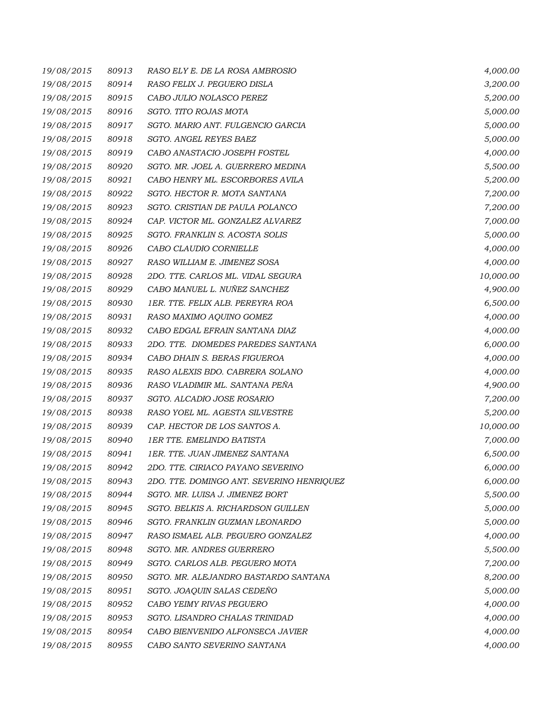| 19/08/2015 | 80913 | RASO ELY E. DE LA ROSA AMBROSIO           | 4,000.00  |
|------------|-------|-------------------------------------------|-----------|
| 19/08/2015 | 80914 | RASO FELIX J. PEGUERO DISLA               | 3,200.00  |
| 19/08/2015 | 80915 | CABO JULIO NOLASCO PEREZ                  | 5,200.00  |
| 19/08/2015 | 80916 | SGTO. TITO ROJAS MOTA                     | 5,000.00  |
| 19/08/2015 | 80917 | SGTO. MARIO ANT. FULGENCIO GARCIA         | 5,000.00  |
| 19/08/2015 | 80918 | SGTO. ANGEL REYES BAEZ                    | 5,000.00  |
| 19/08/2015 | 80919 | CABO ANASTACIO JOSEPH FOSTEL              | 4,000.00  |
| 19/08/2015 | 80920 | SGTO. MR. JOEL A. GUERRERO MEDINA         | 5,500.00  |
| 19/08/2015 | 80921 | CABO HENRY ML. ESCORBORES AVILA           | 5,200.00  |
| 19/08/2015 | 80922 | SGTO. HECTOR R. MOTA SANTANA              | 7,200.00  |
| 19/08/2015 | 80923 | SGTO. CRISTIAN DE PAULA POLANCO           | 7,200.00  |
| 19/08/2015 | 80924 | CAP. VICTOR ML. GONZALEZ ALVAREZ          | 7,000.00  |
| 19/08/2015 | 80925 | SGTO. FRANKLIN S. ACOSTA SOLIS            | 5,000.00  |
| 19/08/2015 | 80926 | CABO CLAUDIO CORNIELLE                    | 4,000.00  |
| 19/08/2015 | 80927 | RASO WILLIAM E. JIMENEZ SOSA              | 4,000.00  |
| 19/08/2015 | 80928 | 2DO. TTE. CARLOS ML. VIDAL SEGURA         | 10,000.00 |
| 19/08/2015 | 80929 | CABO MANUEL L. NUÑEZ SANCHEZ              | 4,900.00  |
| 19/08/2015 | 80930 | 1ER. TTE. FELIX ALB. PEREYRA ROA          | 6,500.00  |
| 19/08/2015 | 80931 | RASO MAXIMO AQUINO GOMEZ                  | 4,000.00  |
| 19/08/2015 | 80932 | CABO EDGAL EFRAIN SANTANA DIAZ            | 4,000.00  |
| 19/08/2015 | 80933 | 2DO. TTE. DIOMEDES PAREDES SANTANA        | 6,000.00  |
| 19/08/2015 | 80934 | CABO DHAIN S. BERAS FIGUEROA              | 4,000.00  |
| 19/08/2015 | 80935 | RASO ALEXIS BDO. CABRERA SOLANO           | 4,000.00  |
| 19/08/2015 | 80936 | RASO VLADIMIR ML. SANTANA PEÑA            | 4,900.00  |
| 19/08/2015 | 80937 | SGTO. ALCADIO JOSE ROSARIO                | 7,200.00  |
| 19/08/2015 | 80938 | RASO YOEL ML. AGESTA SILVESTRE            | 5,200.00  |
| 19/08/2015 | 80939 | CAP. HECTOR DE LOS SANTOS A.              | 10,000.00 |
| 19/08/2015 | 80940 | <b>1ER TTE. EMELINDO BATISTA</b>          | 7,000.00  |
| 19/08/2015 | 80941 | 1ER. TTE. JUAN JIMENEZ SANTANA            | 6,500.00  |
| 19/08/2015 | 80942 | 2DO. TTE. CIRIACO PAYANO SEVERINO         | 6,000.00  |
| 19/08/2015 | 80943 | 2DO. TTE. DOMINGO ANT. SEVERINO HENRIQUEZ | 6,000.00  |
| 19/08/2015 | 80944 | SGTO. MR. LUISA J. JIMENEZ BORT           | 5,500.00  |
| 19/08/2015 | 80945 | SGTO. BELKIS A. RICHARDSON GUILLEN        | 5,000.00  |
| 19/08/2015 | 80946 | SGTO. FRANKLIN GUZMAN LEONARDO            | 5,000.00  |
| 19/08/2015 | 80947 | RASO ISMAEL ALB. PEGUERO GONZALEZ         | 4,000.00  |
| 19/08/2015 | 80948 | SGTO. MR. ANDRES GUERRERO                 | 5,500.00  |
| 19/08/2015 | 80949 | SGTO. CARLOS ALB. PEGUERO MOTA            | 7,200.00  |
| 19/08/2015 | 80950 | SGTO. MR. ALEJANDRO BASTARDO SANTANA      | 8,200.00  |
| 19/08/2015 | 80951 | SGTO. JOAQUIN SALAS CEDEÑO                | 5,000.00  |
| 19/08/2015 | 80952 | CABO YEIMY RIVAS PEGUERO                  | 4,000.00  |
| 19/08/2015 | 80953 | SGTO. LISANDRO CHALAS TRINIDAD            | 4,000.00  |
| 19/08/2015 | 80954 | CABO BIENVENIDO ALFONSECA JAVIER          | 4,000.00  |
| 19/08/2015 | 80955 | CABO SANTO SEVERINO SANTANA               | 4,000.00  |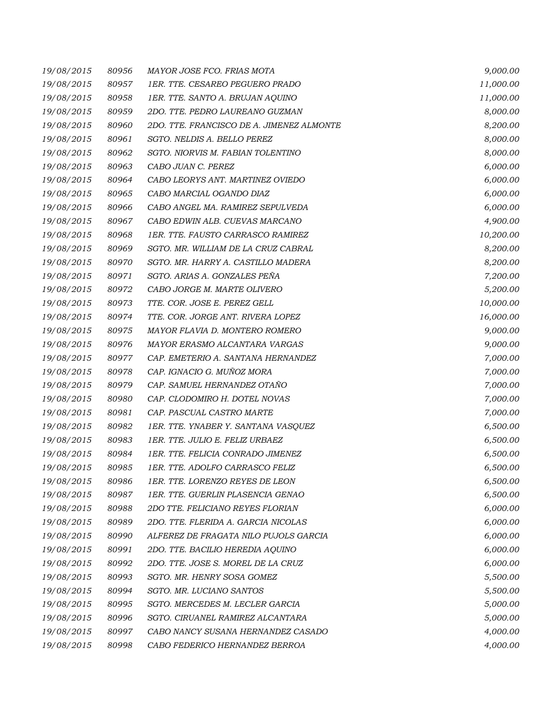| 19/08/2015 | 80956 | MAYOR JOSE FCO. FRIAS MOTA                | 9,000.00  |
|------------|-------|-------------------------------------------|-----------|
| 19/08/2015 | 80957 | 1ER. TTE. CESAREO PEGUERO PRADO           | 11,000.00 |
| 19/08/2015 | 80958 | 1ER. TTE. SANTO A. BRUJAN AQUINO          | 11,000.00 |
| 19/08/2015 | 80959 | 2DO. TTE. PEDRO LAUREANO GUZMAN           | 8,000.00  |
| 19/08/2015 | 80960 | 2DO. TTE. FRANCISCO DE A. JIMENEZ ALMONTE | 8,200.00  |
| 19/08/2015 | 80961 | SGTO. NELDIS A. BELLO PEREZ               | 8,000.00  |
| 19/08/2015 | 80962 | SGTO. NIORVIS M. FABIAN TOLENTINO         | 8,000.00  |
| 19/08/2015 | 80963 | CABO JUAN C. PEREZ                        | 6,000.00  |
| 19/08/2015 | 80964 | CABO LEORYS ANT. MARTINEZ OVIEDO          | 6,000.00  |
| 19/08/2015 | 80965 | CABO MARCIAL OGANDO DIAZ                  | 6,000.00  |
| 19/08/2015 | 80966 | CABO ANGEL MA. RAMIREZ SEPULVEDA          | 6,000.00  |
| 19/08/2015 | 80967 | CABO EDWIN ALB. CUEVAS MARCANO            | 4,900.00  |
| 19/08/2015 | 80968 | 1ER. TTE. FAUSTO CARRASCO RAMIREZ         | 10,200.00 |
| 19/08/2015 | 80969 | SGTO. MR. WILLIAM DE LA CRUZ CABRAL       | 8,200.00  |
| 19/08/2015 | 80970 | SGTO. MR. HARRY A. CASTILLO MADERA        | 8,200.00  |
| 19/08/2015 | 80971 | SGTO. ARIAS A. GONZALES PEÑA              | 7,200.00  |
| 19/08/2015 | 80972 | CABO JORGE M. MARTE OLIVERO               | 5,200.00  |
| 19/08/2015 | 80973 | TTE. COR. JOSE E. PEREZ GELL              | 10,000.00 |
| 19/08/2015 | 80974 | TTE. COR. JORGE ANT. RIVERA LOPEZ         | 16,000.00 |
| 19/08/2015 | 80975 | MAYOR FLAVIA D. MONTERO ROMERO            | 9,000.00  |
| 19/08/2015 | 80976 | MAYOR ERASMO ALCANTARA VARGAS             | 9,000.00  |
| 19/08/2015 | 80977 | CAP. EMETERIO A. SANTANA HERNANDEZ        | 7,000.00  |
| 19/08/2015 | 80978 | CAP. IGNACIO G. MUÑOZ MORA                | 7,000.00  |
| 19/08/2015 | 80979 | CAP. SAMUEL HERNANDEZ OTAÑO               | 7,000.00  |
| 19/08/2015 | 80980 | CAP. CLODOMIRO H. DOTEL NOVAS             | 7,000.00  |
| 19/08/2015 | 80981 | CAP. PASCUAL CASTRO MARTE                 | 7,000.00  |
| 19/08/2015 | 80982 | 1ER. TTE. YNABER Y. SANTANA VASQUEZ       | 6,500.00  |
| 19/08/2015 | 80983 | 1ER. TTE. JULIO E. FELIZ URBAEZ           | 6,500.00  |
| 19/08/2015 | 80984 | 1ER. TTE. FELICIA CONRADO JIMENEZ         | 6,500.00  |
| 19/08/2015 | 80985 | <i>1ER. TTE. ADOLFO CARRASCO FELIZ</i>    | 6,500.00  |
| 19/08/2015 | 80986 | 1ER. TTE. LORENZO REYES DE LEON           | 6,500.00  |
| 19/08/2015 | 80987 | <b>1ER. TTE. GUERLIN PLASENCIA GENAO</b>  | 6,500.00  |
| 19/08/2015 | 80988 | 2DO TTE. FELICIANO REYES FLORIAN          | 6,000.00  |
| 19/08/2015 | 80989 | 2DO. TTE. FLERIDA A. GARCIA NICOLAS       | 6,000.00  |
| 19/08/2015 | 80990 | ALFEREZ DE FRAGATA NILO PUJOLS GARCIA     | 6,000.00  |
| 19/08/2015 | 80991 | 2DO. TTE. BACILIO HEREDIA AOUINO          | 6,000.00  |
| 19/08/2015 | 80992 | 2DO. TTE. JOSE S. MOREL DE LA CRUZ        | 6,000.00  |
| 19/08/2015 | 80993 | SGTO. MR. HENRY SOSA GOMEZ                | 5,500.00  |
| 19/08/2015 | 80994 | SGTO. MR. LUCIANO SANTOS                  | 5,500.00  |
| 19/08/2015 | 80995 | SGTO. MERCEDES M. LECLER GARCIA           | 5,000.00  |
| 19/08/2015 | 80996 | SGTO. CIRUANEL RAMIREZ ALCANTARA          | 5,000.00  |
| 19/08/2015 | 80997 | CABO NANCY SUSANA HERNANDEZ CASADO        | 4,000.00  |
| 19/08/2015 | 80998 | CABO FEDERICO HERNANDEZ BERROA            | 4,000.00  |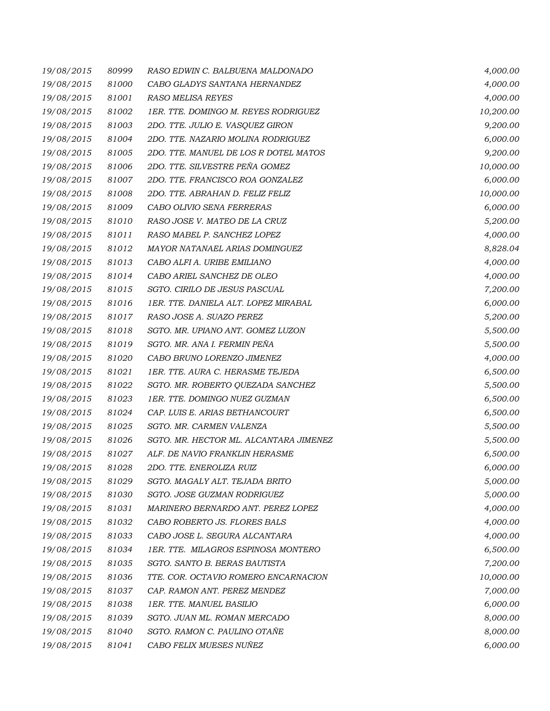| 19/08/2015 | 80999 | RASO EDWIN C. BALBUENA MALDONADO       | 4,000.00  |
|------------|-------|----------------------------------------|-----------|
| 19/08/2015 | 81000 | CABO GLADYS SANTANA HERNANDEZ          | 4,000.00  |
| 19/08/2015 | 81001 | RASO MELISA REYES                      | 4,000.00  |
| 19/08/2015 | 81002 | 1ER. TTE. DOMINGO M. REYES RODRIGUEZ   | 10,200.00 |
| 19/08/2015 | 81003 | 2DO. TTE. JULIO E. VASQUEZ GIRON       | 9,200.00  |
| 19/08/2015 | 81004 | 2DO. TTE. NAZARIO MOLINA RODRIGUEZ     | 6,000.00  |
| 19/08/2015 | 81005 | 2DO. TTE. MANUEL DE LOS R DOTEL MATOS  | 9,200.00  |
| 19/08/2015 | 81006 | 2DO. TTE. SILVESTRE PEÑA GOMEZ         | 10,000.00 |
| 19/08/2015 | 81007 | 2DO. TTE. FRANCISCO ROA GONZALEZ       | 6,000.00  |
| 19/08/2015 | 81008 | 2DO. TTE. ABRAHAN D. FELIZ FELIZ       | 10,000.00 |
| 19/08/2015 | 81009 | CABO OLIVIO SENA FERRERAS              | 6,000.00  |
| 19/08/2015 | 81010 | RASO JOSE V. MATEO DE LA CRUZ          | 5,200.00  |
| 19/08/2015 | 81011 | RASO MABEL P. SANCHEZ LOPEZ            | 4,000.00  |
| 19/08/2015 | 81012 | MAYOR NATANAEL ARIAS DOMINGUEZ         | 8,828.04  |
| 19/08/2015 | 81013 | CABO ALFI A. URIBE EMILIANO            | 4,000.00  |
| 19/08/2015 | 81014 | CABO ARIEL SANCHEZ DE OLEO             | 4,000.00  |
| 19/08/2015 | 81015 | SGTO. CIRILO DE JESUS PASCUAL          | 7,200.00  |
| 19/08/2015 | 81016 | 1ER. TTE. DANIELA ALT. LOPEZ MIRABAL   | 6,000.00  |
| 19/08/2015 | 81017 | RASO JOSE A. SUAZO PEREZ               | 5,200.00  |
| 19/08/2015 | 81018 | SGTO. MR. UPIANO ANT. GOMEZ LUZON      | 5,500.00  |
| 19/08/2015 | 81019 | SGTO. MR. ANA I. FERMIN PEÑA           | 5,500.00  |
| 19/08/2015 | 81020 | CABO BRUNO LORENZO JIMENEZ             | 4,000.00  |
| 19/08/2015 | 81021 | 1ER. TTE. AURA C. HERASME TEJEDA       | 6,500.00  |
| 19/08/2015 | 81022 | SGTO. MR. ROBERTO QUEZADA SANCHEZ      | 5,500.00  |
| 19/08/2015 | 81023 | 1ER. TTE. DOMINGO NUEZ GUZMAN          | 6,500.00  |
| 19/08/2015 | 81024 | CAP. LUIS E. ARIAS BETHANCOURT         | 6,500.00  |
| 19/08/2015 | 81025 | SGTO. MR. CARMEN VALENZA               | 5,500.00  |
| 19/08/2015 | 81026 | SGTO. MR. HECTOR ML. ALCANTARA JIMENEZ | 5,500.00  |
| 19/08/2015 | 81027 | ALF. DE NAVIO FRANKLIN HERASME         | 6,500.00  |
| 19/08/2015 | 81028 | 2DO. TTE. ENEROLIZA RUIZ               | 6,000.00  |
| 19/08/2015 | 81029 | SGTO. MAGALY ALT. TEJADA BRITO         | 5,000.00  |
| 19/08/2015 | 81030 | SGTO. JOSE GUZMAN RODRIGUEZ            | 5,000.00  |
| 19/08/2015 | 81031 | MARINERO BERNARDO ANT. PEREZ LOPEZ     | 4,000.00  |
| 19/08/2015 | 81032 | CABO ROBERTO JS. FLORES BALS           | 4,000.00  |
| 19/08/2015 | 81033 | CABO JOSE L. SEGURA ALCANTARA          | 4,000.00  |
| 19/08/2015 | 81034 | 1ER. TTE. MILAGROS ESPINOSA MONTERO    | 6,500.00  |
| 19/08/2015 | 81035 | SGTO. SANTO B. BERAS BAUTISTA          | 7,200.00  |
| 19/08/2015 | 81036 | TTE. COR. OCTAVIO ROMERO ENCARNACION   | 10,000.00 |
| 19/08/2015 | 81037 | CAP. RAMON ANT. PEREZ MENDEZ           | 7,000.00  |
| 19/08/2015 | 81038 | 1ER. TTE. MANUEL BASILIO               | 6,000.00  |
| 19/08/2015 | 81039 | SGTO. JUAN ML. ROMAN MERCADO           | 8,000.00  |
| 19/08/2015 | 81040 | SGTO. RAMON C. PAULINO OTAÑE           | 8,000.00  |
| 19/08/2015 | 81041 | CABO FELIX MUESES NUÑEZ                | 6,000.00  |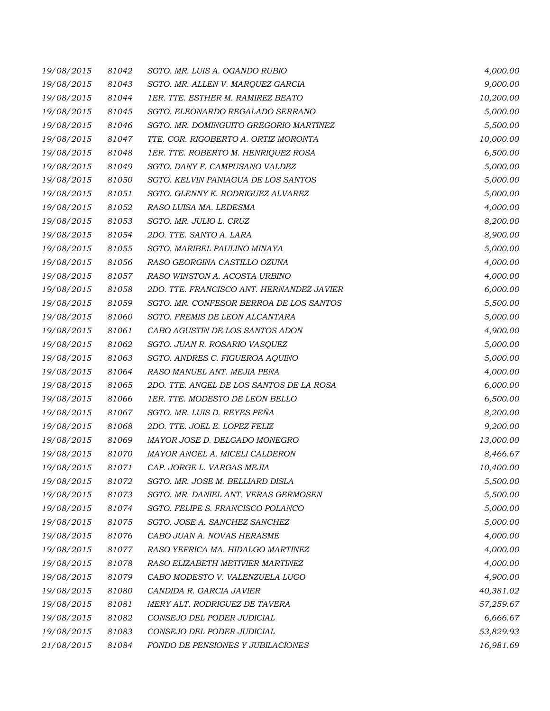| 19/08/2015 | 81042 | SGTO. MR. LUIS A. OGANDO RUBIO            | 4,000.00  |
|------------|-------|-------------------------------------------|-----------|
| 19/08/2015 | 81043 | SGTO. MR. ALLEN V. MARQUEZ GARCIA         | 9,000.00  |
| 19/08/2015 | 81044 | 1ER. TTE. ESTHER M. RAMIREZ BEATO         | 10,200.00 |
| 19/08/2015 | 81045 | SGTO. ELEONARDO REGALADO SERRANO          | 5,000.00  |
| 19/08/2015 | 81046 | SGTO. MR. DOMINGUITO GREGORIO MARTINEZ    | 5,500.00  |
| 19/08/2015 | 81047 | TTE. COR. RIGOBERTO A. ORTIZ MORONTA      | 10,000.00 |
| 19/08/2015 | 81048 | 1ER. TTE. ROBERTO M. HENRIQUEZ ROSA       | 6,500.00  |
| 19/08/2015 | 81049 | SGTO. DANY F. CAMPUSANO VALDEZ            | 5,000.00  |
| 19/08/2015 | 81050 | SGTO. KELVIN PANIAGUA DE LOS SANTOS       | 5,000.00  |
| 19/08/2015 | 81051 | SGTO. GLENNY K. RODRIGUEZ ALVAREZ         | 5,000.00  |
| 19/08/2015 | 81052 | RASO LUISA MA. LEDESMA                    | 4,000.00  |
| 19/08/2015 | 81053 | SGTO. MR. JULIO L. CRUZ                   | 8,200.00  |
| 19/08/2015 | 81054 | 2DO. TTE. SANTO A. LARA                   | 8,900.00  |
| 19/08/2015 | 81055 | SGTO. MARIBEL PAULINO MINAYA              | 5,000.00  |
| 19/08/2015 | 81056 | RASO GEORGINA CASTILLO OZUNA              | 4,000.00  |
| 19/08/2015 | 81057 | RASO WINSTON A. ACOSTA URBINO             | 4,000.00  |
| 19/08/2015 | 81058 | 2DO. TTE. FRANCISCO ANT. HERNANDEZ JAVIER | 6,000.00  |
| 19/08/2015 | 81059 | SGTO. MR. CONFESOR BERROA DE LOS SANTOS   | 5,500.00  |
| 19/08/2015 | 81060 | SGTO. FREMIS DE LEON ALCANTARA            | 5,000.00  |
| 19/08/2015 | 81061 | CABO AGUSTIN DE LOS SANTOS ADON           | 4,900.00  |
| 19/08/2015 | 81062 | SGTO. JUAN R. ROSARIO VASQUEZ             | 5,000.00  |
| 19/08/2015 | 81063 | SGTO. ANDRES C. FIGUEROA AQUINO           | 5,000.00  |
| 19/08/2015 | 81064 | RASO MANUEL ANT. MEJIA PEÑA               | 4,000.00  |
| 19/08/2015 | 81065 | 2DO. TTE. ANGEL DE LOS SANTOS DE LA ROSA  | 6,000.00  |
| 19/08/2015 | 81066 | 1ER. TTE. MODESTO DE LEON BELLO           | 6,500.00  |
| 19/08/2015 | 81067 | SGTO. MR. LUIS D. REYES PEÑA              | 8,200.00  |
| 19/08/2015 | 81068 | 2DO. TTE. JOEL E. LOPEZ FELIZ             | 9,200.00  |
| 19/08/2015 | 81069 | MAYOR JOSE D. DELGADO MONEGRO             | 13,000.00 |
| 19/08/2015 | 81070 | MAYOR ANGEL A. MICELI CALDERON            | 8,466.67  |
| 19/08/2015 | 81071 | CAP. JORGE L. VARGAS MEJIA                | 10,400.00 |
| 19/08/2015 | 81072 | SGTO. MR. JOSE M. BELLIARD DISLA          | 5,500.00  |
| 19/08/2015 | 81073 | SGTO. MR. DANIEL ANT. VERAS GERMOSEN      | 5,500.00  |
| 19/08/2015 | 81074 | SGTO. FELIPE S. FRANCISCO POLANCO         | 5,000.00  |
| 19/08/2015 | 81075 | SGTO. JOSE A. SANCHEZ SANCHEZ             | 5,000.00  |
| 19/08/2015 | 81076 | CABO JUAN A. NOVAS HERASME                | 4,000.00  |
| 19/08/2015 | 81077 | RASO YEFRICA MA. HIDALGO MARTINEZ         | 4,000.00  |
| 19/08/2015 | 81078 | RASO ELIZABETH METIVIER MARTINEZ          | 4,000.00  |
| 19/08/2015 | 81079 | CABO MODESTO V. VALENZUELA LUGO           | 4,900.00  |
| 19/08/2015 | 81080 | CANDIDA R. GARCIA JAVIER                  | 40,381.02 |
| 19/08/2015 | 81081 | MERY ALT. RODRIGUEZ DE TAVERA             | 57,259.67 |
| 19/08/2015 | 81082 | CONSEJO DEL PODER JUDICIAL                | 6,666.67  |
| 19/08/2015 | 81083 | CONSEJO DEL PODER JUDICIAL                | 53,829.93 |
| 21/08/2015 | 81084 | FONDO DE PENSIONES Y JUBILACIONES         | 16,981.69 |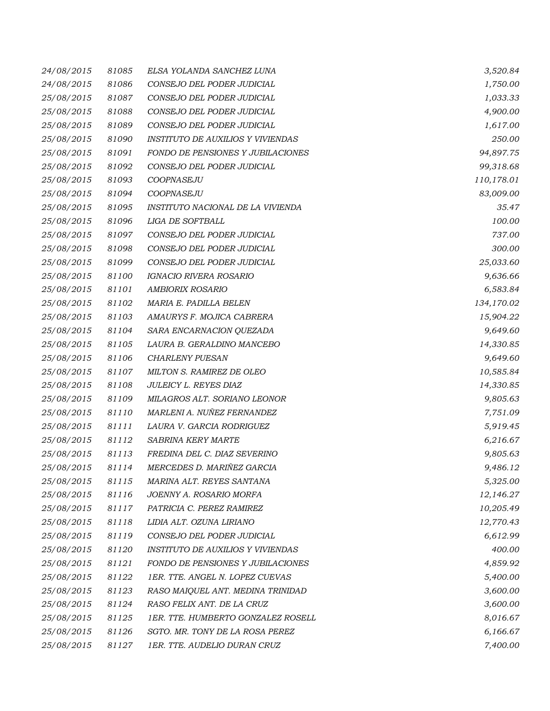| 24/08/2015 | 81085 | ELSA YOLANDA SANCHEZ LUNA                | 3,520.84   |
|------------|-------|------------------------------------------|------------|
| 24/08/2015 | 81086 | CONSEJO DEL PODER JUDICIAL               | 1,750.00   |
| 25/08/2015 | 81087 | CONSEJO DEL PODER JUDICIAL               | 1,033.33   |
| 25/08/2015 | 81088 | CONSEJO DEL PODER JUDICIAL               | 4,900.00   |
| 25/08/2015 | 81089 | CONSEJO DEL PODER JUDICIAL               | 1,617.00   |
| 25/08/2015 | 81090 | <b>INSTITUTO DE AUXILIOS Y VIVIENDAS</b> | 250.00     |
| 25/08/2015 | 81091 | FONDO DE PENSIONES Y JUBILACIONES        | 94,897.75  |
| 25/08/2015 | 81092 | CONSEJO DEL PODER JUDICIAL               | 99,318.68  |
| 25/08/2015 | 81093 | COOPNASEJU                               | 110,178.01 |
| 25/08/2015 | 81094 | COOPNASEJU                               | 83,009.00  |
| 25/08/2015 | 81095 | INSTITUTO NACIONAL DE LA VIVIENDA        | 35.47      |
| 25/08/2015 | 81096 | LIGA DE SOFTBALL                         | 100.00     |
| 25/08/2015 | 81097 | CONSEJO DEL PODER JUDICIAL               | 737.00     |
| 25/08/2015 | 81098 | CONSEJO DEL PODER JUDICIAL               | 300.00     |
| 25/08/2015 | 81099 | CONSEJO DEL PODER JUDICIAL               | 25,033.60  |
| 25/08/2015 | 81100 | <b>IGNACIO RIVERA ROSARIO</b>            | 9,636.66   |
| 25/08/2015 | 81101 | AMBIORIX ROSARIO                         | 6,583.84   |
| 25/08/2015 | 81102 | MARIA E. PADILLA BELEN                   | 134,170.02 |
| 25/08/2015 | 81103 | AMAURYS F. MOJICA CABRERA                | 15,904.22  |
| 25/08/2015 | 81104 | SARA ENCARNACION QUEZADA                 | 9,649.60   |
| 25/08/2015 | 81105 | LAURA B. GERALDINO MANCEBO               | 14,330.85  |
| 25/08/2015 | 81106 | <b>CHARLENY PUESAN</b>                   | 9,649.60   |
| 25/08/2015 | 81107 | MILTON S. RAMIREZ DE OLEO                | 10,585.84  |
| 25/08/2015 | 81108 | JULEICY L. REYES DIAZ                    | 14,330.85  |
| 25/08/2015 | 81109 | MILAGROS ALT. SORIANO LEONOR             | 9,805.63   |
| 25/08/2015 | 81110 | MARLENI A. NUÑEZ FERNANDEZ               | 7,751.09   |
| 25/08/2015 | 81111 | LAURA V. GARCIA RODRIGUEZ                | 5,919.45   |
| 25/08/2015 | 81112 | SABRINA KERY MARTE                       | 6,216.67   |
| 25/08/2015 | 81113 | FREDINA DEL C. DIAZ SEVERINO             | 9,805.63   |
| 25/08/2015 | 81114 | MERCEDES D. MARIÑEZ GARCIA               | 9,486.12   |
| 25/08/2015 | 81115 | MARINA ALT. REYES SANTANA                | 5,325.00   |
| 25/08/2015 | 81116 | JOENNY A. ROSARIO MORFA                  | 12,146.27  |
| 25/08/2015 | 81117 | PATRICIA C. PEREZ RAMIREZ                | 10,205.49  |
| 25/08/2015 | 81118 | LIDIA ALT. OZUNA LIRIANO                 | 12,770.43  |
| 25/08/2015 | 81119 | CONSEJO DEL PODER JUDICIAL               | 6,612.99   |
| 25/08/2015 | 81120 | <b>INSTITUTO DE AUXILIOS Y VIVIENDAS</b> | 400.00     |
| 25/08/2015 | 81121 | FONDO DE PENSIONES Y JUBILACIONES        | 4,859.92   |
| 25/08/2015 | 81122 | 1ER. TTE. ANGEL N. LOPEZ CUEVAS          | 5,400.00   |
| 25/08/2015 | 81123 | RASO MAIQUEL ANT. MEDINA TRINIDAD        | 3,600.00   |
| 25/08/2015 | 81124 | RASO FELIX ANT. DE LA CRUZ               | 3,600.00   |
| 25/08/2015 | 81125 | 1ER. TTE. HUMBERTO GONZALEZ ROSELL       | 8,016.67   |
| 25/08/2015 | 81126 | SGTO. MR. TONY DE LA ROSA PEREZ          | 6,166.67   |
| 25/08/2015 | 81127 | 1ER. TTE. AUDELIO DURAN CRUZ             | 7,400.00   |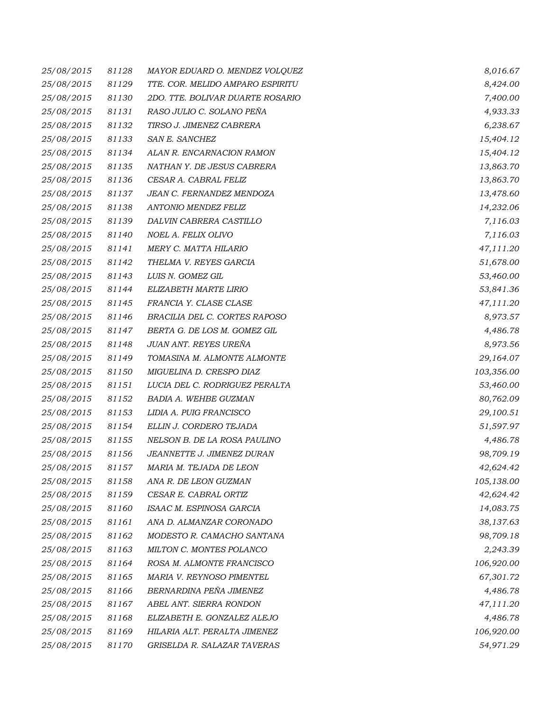| 25/08/2015 | 81128 | MAYOR EDUARD O. MENDEZ VOLQUEZ   | 8,016.67   |
|------------|-------|----------------------------------|------------|
| 25/08/2015 | 81129 | TTE. COR. MELIDO AMPARO ESPIRITU | 8,424.00   |
| 25/08/2015 | 81130 | 2DO. TTE. BOLIVAR DUARTE ROSARIO | 7,400.00   |
| 25/08/2015 | 81131 | RASO JULIO C. SOLANO PEÑA        | 4,933.33   |
| 25/08/2015 | 81132 | TIRSO J. JIMENEZ CABRERA         | 6,238.67   |
| 25/08/2015 | 81133 | SAN E. SANCHEZ                   | 15,404.12  |
| 25/08/2015 | 81134 | ALAN R. ENCARNACION RAMON        | 15,404.12  |
| 25/08/2015 | 81135 | NATHAN Y. DE JESUS CABRERA       | 13,863.70  |
| 25/08/2015 | 81136 | CESAR A. CABRAL FELIZ            | 13,863.70  |
| 25/08/2015 | 81137 | JEAN C. FERNANDEZ MENDOZA        | 13,478.60  |
| 25/08/2015 | 81138 | ANTONIO MENDEZ FELIZ             | 14,232.06  |
| 25/08/2015 | 81139 | DALVIN CABRERA CASTILLO          | 7,116.03   |
| 25/08/2015 | 81140 | NOEL A. FELIX OLIVO              | 7,116.03   |
| 25/08/2015 | 81141 | MERY C. MATTA HILARIO            | 47,111.20  |
| 25/08/2015 | 81142 | THELMA V. REYES GARCIA           | 51,678.00  |
| 25/08/2015 | 81143 | LUIS N. GOMEZ GIL                | 53,460.00  |
| 25/08/2015 | 81144 | ELIZABETH MARTE LIRIO            | 53,841.36  |
| 25/08/2015 | 81145 | FRANCIA Y. CLASE CLASE           | 47,111.20  |
| 25/08/2015 | 81146 | BRACILIA DEL C. CORTES RAPOSO    | 8,973.57   |
| 25/08/2015 | 81147 | BERTA G. DE LOS M. GOMEZ GIL     | 4,486.78   |
| 25/08/2015 | 81148 | JUAN ANT. REYES UREÑA            | 8,973.56   |
| 25/08/2015 | 81149 | TOMASINA M. ALMONTE ALMONTE      | 29,164.07  |
| 25/08/2015 | 81150 | MIGUELINA D. CRESPO DIAZ         | 103,356.00 |
| 25/08/2015 | 81151 | LUCIA DEL C. RODRIGUEZ PERALTA   | 53,460.00  |
| 25/08/2015 | 81152 | BADIA A. WEHBE GUZMAN            | 80,762.09  |
| 25/08/2015 | 81153 | LIDIA A. PUIG FRANCISCO          | 29,100.51  |
| 25/08/2015 | 81154 | ELLIN J. CORDERO TEJADA          | 51,597.97  |
| 25/08/2015 | 81155 | NELSON B. DE LA ROSA PAULINO     | 4,486.78   |
| 25/08/2015 | 81156 | JEANNETTE J. JIMENEZ DURAN       | 98,709.19  |
| 25/08/2015 | 81157 | MARIA M. TEJADA DE LEON          | 42,624.42  |
| 25/08/2015 | 81158 | ANA R. DE LEON GUZMAN            | 105,138.00 |
| 25/08/2015 | 81159 | CESAR E. CABRAL ORTIZ            | 42,624.42  |
| 25/08/2015 | 81160 | ISAAC M. ESPINOSA GARCIA         | 14,083.75  |
| 25/08/2015 | 81161 | ANA D. ALMANZAR CORONADO         | 38,137.63  |
| 25/08/2015 | 81162 | MODESTO R. CAMACHO SANTANA       | 98,709.18  |
| 25/08/2015 | 81163 | MILTON C. MONTES POLANCO         | 2,243.39   |
| 25/08/2015 | 81164 | ROSA M. ALMONTE FRANCISCO        | 106,920.00 |
| 25/08/2015 | 81165 | MARIA V. REYNOSO PIMENTEL        | 67,301.72  |
| 25/08/2015 | 81166 | BERNARDINA PEÑA JIMENEZ          | 4,486.78   |
| 25/08/2015 | 81167 | ABEL ANT. SIERRA RONDON          | 47,111.20  |
| 25/08/2015 | 81168 | ELIZABETH E. GONZALEZ ALEJO      | 4,486.78   |
| 25/08/2015 | 81169 | HILARIA ALT. PERALTA JIMENEZ     | 106,920.00 |
| 25/08/2015 | 81170 | GRISELDA R. SALAZAR TAVERAS      | 54,971.29  |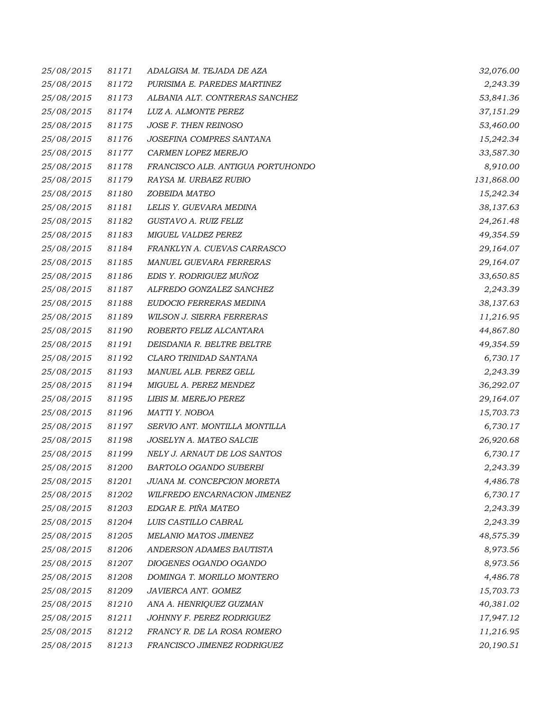| 25/08/2015 | 81171 | ADALGISA M. TEJADA DE AZA         | 32,076.00  |
|------------|-------|-----------------------------------|------------|
| 25/08/2015 | 81172 | PURISIMA E. PAREDES MARTINEZ      | 2,243.39   |
| 25/08/2015 | 81173 | ALBANIA ALT. CONTRERAS SANCHEZ    | 53,841.36  |
| 25/08/2015 | 81174 | LUZ A. ALMONTE PEREZ              | 37,151.29  |
| 25/08/2015 | 81175 | JOSE F. THEN REINOSO              | 53,460.00  |
| 25/08/2015 | 81176 | JOSEFINA COMPRES SANTANA          | 15,242.34  |
| 25/08/2015 | 81177 | CARMEN LOPEZ MEREJO               | 33,587.30  |
| 25/08/2015 | 81178 | FRANCISCO ALB. ANTIGUA PORTUHONDO | 8,910.00   |
| 25/08/2015 | 81179 | RAYSA M. URBAEZ RUBIO             | 131,868.00 |
| 25/08/2015 | 81180 | ZOBEIDA MATEO                     | 15,242.34  |
| 25/08/2015 | 81181 | LELIS Y. GUEVARA MEDINA           | 38,137.63  |
| 25/08/2015 | 81182 | GUSTAVO A. RUIZ FELIZ             | 24,261.48  |
| 25/08/2015 | 81183 | MIGUEL VALDEZ PEREZ               | 49,354.59  |
| 25/08/2015 | 81184 | FRANKLYN A. CUEVAS CARRASCO       | 29,164.07  |
| 25/08/2015 | 81185 | MANUEL GUEVARA FERRERAS           | 29,164.07  |
| 25/08/2015 | 81186 | EDIS Y. RODRIGUEZ MUÑOZ           | 33,650.85  |
| 25/08/2015 | 81187 | ALFREDO GONZALEZ SANCHEZ          | 2,243.39   |
| 25/08/2015 | 81188 | EUDOCIO FERRERAS MEDINA           | 38,137.63  |
| 25/08/2015 | 81189 | WILSON J. SIERRA FERRERAS         | 11,216.95  |
| 25/08/2015 | 81190 | ROBERTO FELIZ ALCANTARA           | 44,867.80  |
| 25/08/2015 | 81191 | DEISDANIA R. BELTRE BELTRE        | 49,354.59  |
| 25/08/2015 | 81192 | CLARO TRINIDAD SANTANA            | 6,730.17   |
| 25/08/2015 | 81193 | MANUEL ALB. PEREZ GELL            | 2,243.39   |
| 25/08/2015 | 81194 | MIGUEL A. PEREZ MENDEZ            | 36,292.07  |
| 25/08/2015 | 81195 | LIBIS M. MEREJO PEREZ             | 29,164.07  |
| 25/08/2015 | 81196 | MATTI Y. NOBOA                    | 15,703.73  |
| 25/08/2015 | 81197 | SERVIO ANT. MONTILLA MONTILLA     | 6,730.17   |
| 25/08/2015 | 81198 | JOSELYN A. MATEO SALCIE           | 26,920.68  |
| 25/08/2015 | 81199 | NELY J. ARNAUT DE LOS SANTOS      | 6,730.17   |
| 25/08/2015 | 81200 | BARTOLO OGANDO SUBERBI            | 2,243.39   |
| 25/08/2015 | 81201 | JUANA M. CONCEPCION MORETA        | 4,486.78   |
| 25/08/2015 | 81202 | WILFREDO ENCARNACION JIMENEZ      | 6,730.17   |
| 25/08/2015 | 81203 | EDGAR E. PIÑA MATEO               | 2,243.39   |
| 25/08/2015 | 81204 | LUIS CASTILLO CABRAL              | 2,243.39   |
| 25/08/2015 | 81205 | MELANIO MATOS JIMENEZ             | 48,575.39  |
| 25/08/2015 | 81206 | ANDERSON ADAMES BAUTISTA          | 8,973.56   |
| 25/08/2015 | 81207 | DIOGENES OGANDO OGANDO            | 8,973.56   |
| 25/08/2015 | 81208 | DOMINGA T. MORILLO MONTERO        | 4,486.78   |
| 25/08/2015 | 81209 | JAVIERCA ANT. GOMEZ               | 15,703.73  |
| 25/08/2015 | 81210 | ANA A. HENRIQUEZ GUZMAN           | 40,381.02  |
| 25/08/2015 | 81211 | JOHNNY F. PEREZ RODRIGUEZ         | 17,947.12  |
| 25/08/2015 | 81212 | FRANCY R. DE LA ROSA ROMERO       | 11,216.95  |
| 25/08/2015 | 81213 | FRANCISCO JIMENEZ RODRIGUEZ       | 20,190.51  |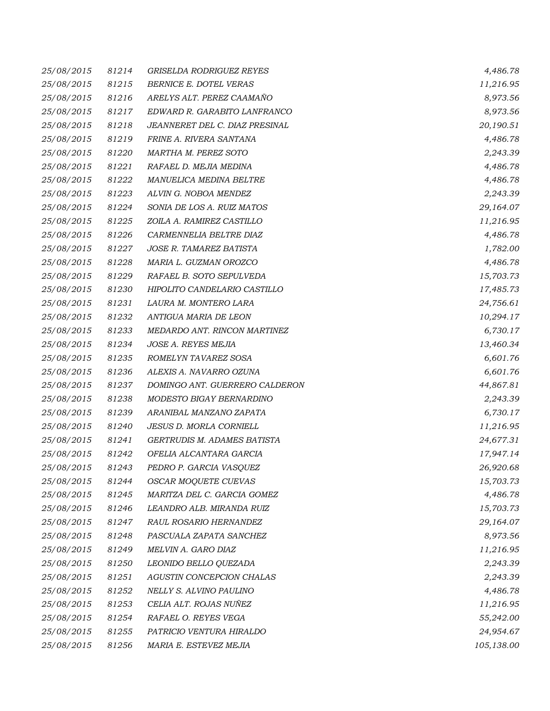| 25/08/2015 | 81214 | <b>GRISELDA RODRIGUEZ REYES</b> | 4,486.78   |
|------------|-------|---------------------------------|------------|
| 25/08/2015 | 81215 | BERNICE E. DOTEL VERAS          | 11,216.95  |
| 25/08/2015 | 81216 | ARELYS ALT. PEREZ CAAMAÑO       | 8,973.56   |
| 25/08/2015 | 81217 | EDWARD R. GARABITO LANFRANCO    | 8,973.56   |
| 25/08/2015 | 81218 | JEANNERET DEL C. DIAZ PRESINAL  | 20,190.51  |
| 25/08/2015 | 81219 | FRINE A. RIVERA SANTANA         | 4,486.78   |
| 25/08/2015 | 81220 | MARTHA M. PEREZ SOTO            | 2,243.39   |
| 25/08/2015 | 81221 | RAFAEL D. MEJIA MEDINA          | 4,486.78   |
| 25/08/2015 | 81222 | MANUELICA MEDINA BELTRE         | 4,486.78   |
| 25/08/2015 | 81223 | ALVIN G. NOBOA MENDEZ           | 2,243.39   |
| 25/08/2015 | 81224 | SONIA DE LOS A. RUIZ MATOS      | 29,164.07  |
| 25/08/2015 | 81225 | ZOILA A. RAMIREZ CASTILLO       | 11,216.95  |
| 25/08/2015 | 81226 | CARMENNELIA BELTRE DIAZ         | 4,486.78   |
| 25/08/2015 | 81227 | JOSE R. TAMAREZ BATISTA         | 1,782.00   |
| 25/08/2015 | 81228 | MARIA L. GUZMAN OROZCO          | 4,486.78   |
| 25/08/2015 | 81229 | RAFAEL B. SOTO SEPULVEDA        | 15,703.73  |
| 25/08/2015 | 81230 | HIPOLITO CANDELARIO CASTILLO    | 17,485.73  |
| 25/08/2015 | 81231 | LAURA M. MONTERO LARA           | 24,756.61  |
| 25/08/2015 | 81232 | ANTIGUA MARIA DE LEON           | 10,294.17  |
| 25/08/2015 | 81233 | MEDARDO ANT. RINCON MARTINEZ    | 6,730.17   |
| 25/08/2015 | 81234 | JOSE A. REYES MEJIA             | 13,460.34  |
| 25/08/2015 | 81235 | ROMELYN TAVAREZ SOSA            | 6,601.76   |
| 25/08/2015 | 81236 | ALEXIS A. NAVARRO OZUNA         | 6,601.76   |
| 25/08/2015 | 81237 | DOMINGO ANT. GUERRERO CALDERON  | 44,867.81  |
| 25/08/2015 | 81238 | MODESTO BIGAY BERNARDINO        | 2,243.39   |
| 25/08/2015 | 81239 | ARANIBAL MANZANO ZAPATA         | 6,730.17   |
| 25/08/2015 | 81240 | <b>JESUS D. MORLA CORNIELL</b>  | 11,216.95  |
| 25/08/2015 | 81241 | GERTRUDIS M. ADAMES BATISTA     | 24,677.31  |
| 25/08/2015 | 81242 | OFELIA ALCANTARA GARCIA         | 17,947.14  |
| 25/08/2015 | 81243 | PEDRO P. GARCIA VASQUEZ         | 26,920.68  |
| 25/08/2015 | 81244 | OSCAR MOQUETE CUEVAS            | 15,703.73  |
| 25/08/2015 | 81245 | MARITZA DEL C. GARCIA GOMEZ     | 4,486.78   |
| 25/08/2015 | 81246 | LEANDRO ALB. MIRANDA RUIZ       | 15,703.73  |
| 25/08/2015 | 81247 | RAUL ROSARIO HERNANDEZ          | 29,164.07  |
| 25/08/2015 | 81248 | PASCUALA ZAPATA SANCHEZ         | 8,973.56   |
| 25/08/2015 | 81249 | MELVIN A. GARO DIAZ             | 11,216.95  |
| 25/08/2015 | 81250 | LEONIDO BELLO QUEZADA           | 2,243.39   |
| 25/08/2015 | 81251 | AGUSTIN CONCEPCION CHALAS       | 2,243.39   |
| 25/08/2015 | 81252 | NELLY S. ALVINO PAULINO         | 4,486.78   |
| 25/08/2015 | 81253 | CELIA ALT. ROJAS NUÑEZ          | 11,216.95  |
| 25/08/2015 | 81254 | RAFAEL O. REYES VEGA            | 55,242.00  |
| 25/08/2015 | 81255 | PATRICIO VENTURA HIRALDO        | 24,954.67  |
| 25/08/2015 | 81256 | MARIA E. ESTEVEZ MEJIA          | 105,138.00 |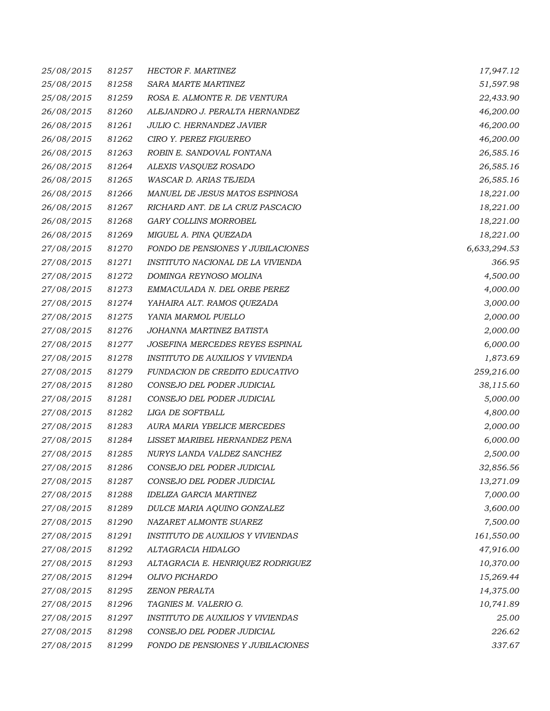| 25/08/2015 | 81257 | <b>HECTOR F. MARTINEZ</b>                | 17,947.12    |
|------------|-------|------------------------------------------|--------------|
| 25/08/2015 | 81258 | SARA MARTE MARTINEZ                      | 51,597.98    |
| 25/08/2015 | 81259 | ROSA E. ALMONTE R. DE VENTURA            | 22,433.90    |
| 26/08/2015 | 81260 | ALEJANDRO J. PERALTA HERNANDEZ           | 46,200.00    |
| 26/08/2015 | 81261 | JULIO C. HERNANDEZ JAVIER                | 46,200.00    |
| 26/08/2015 | 81262 | CIRO Y. PEREZ FIGUEREO                   | 46,200.00    |
| 26/08/2015 | 81263 | ROBIN E. SANDOVAL FONTANA                | 26,585.16    |
| 26/08/2015 | 81264 | ALEXIS VASQUEZ ROSADO                    | 26,585.16    |
| 26/08/2015 | 81265 | WASCAR D. ARIAS TEJEDA                   | 26,585.16    |
| 26/08/2015 | 81266 | MANUEL DE JESUS MATOS ESPINOSA           | 18,221.00    |
| 26/08/2015 | 81267 | RICHARD ANT. DE LA CRUZ PASCACIO         | 18,221.00    |
| 26/08/2015 | 81268 | <b>GARY COLLINS MORROBEL</b>             | 18,221.00    |
| 26/08/2015 | 81269 | MIGUEL A. PINA QUEZADA                   | 18,221.00    |
| 27/08/2015 | 81270 | FONDO DE PENSIONES Y JUBILACIONES        | 6,633,294.53 |
| 27/08/2015 | 81271 | INSTITUTO NACIONAL DE LA VIVIENDA        | 366.95       |
| 27/08/2015 | 81272 | DOMINGA REYNOSO MOLINA                   | 4,500.00     |
| 27/08/2015 | 81273 | EMMACULADA N. DEL ORBE PEREZ             | 4,000.00     |
| 27/08/2015 | 81274 | YAHAIRA ALT. RAMOS QUEZADA               | 3,000.00     |
| 27/08/2015 | 81275 | YANIA MARMOL PUELLO                      | 2,000.00     |
| 27/08/2015 | 81276 | JOHANNA MARTINEZ BATISTA                 | 2,000.00     |
| 27/08/2015 | 81277 | JOSEFINA MERCEDES REYES ESPINAL          | 6,000.00     |
| 27/08/2015 | 81278 | INSTITUTO DE AUXILIOS Y VIVIENDA         | 1,873.69     |
| 27/08/2015 | 81279 | FUNDACION DE CREDITO EDUCATIVO           | 259,216.00   |
| 27/08/2015 | 81280 | CONSEJO DEL PODER JUDICIAL               | 38,115.60    |
| 27/08/2015 | 81281 | CONSEJO DEL PODER JUDICIAL               | 5,000.00     |
| 27/08/2015 | 81282 | LIGA DE SOFTBALL                         | 4,800.00     |
| 27/08/2015 | 81283 | AURA MARIA YBELICE MERCEDES              | 2,000.00     |
| 27/08/2015 | 81284 | LISSET MARIBEL HERNANDEZ PENA            | 6,000.00     |
| 27/08/2015 | 81285 | NURYS LANDA VALDEZ SANCHEZ               | 2,500.00     |
| 27/08/2015 | 81286 | CONSEJO DEL PODER JUDICIAL               | 32,856.56    |
| 27/08/2015 | 81287 | CONSEJO DEL PODER JUDICIAL               | 13,271.09    |
| 27/08/2015 | 81288 | <b>IDELIZA GARCIA MARTINEZ</b>           | 7,000.00     |
| 27/08/2015 | 81289 | DULCE MARIA AQUINO GONZALEZ              | 3,600.00     |
| 27/08/2015 | 81290 | NAZARET ALMONTE SUAREZ                   | 7,500.00     |
| 27/08/2015 | 81291 | <b>INSTITUTO DE AUXILIOS Y VIVIENDAS</b> | 161,550.00   |
| 27/08/2015 | 81292 | ALTAGRACIA HIDALGO                       | 47,916.00    |
| 27/08/2015 | 81293 | ALTAGRACIA E. HENRIQUEZ RODRIGUEZ        | 10,370.00    |
| 27/08/2015 | 81294 | OLIVO PICHARDO                           | 15,269.44    |
| 27/08/2015 | 81295 | <b>ZENON PERALTA</b>                     | 14,375.00    |
| 27/08/2015 | 81296 | TAGNIES M. VALERIO G.                    | 10,741.89    |
| 27/08/2015 | 81297 | <b>INSTITUTO DE AUXILIOS Y VIVIENDAS</b> | 25.00        |
| 27/08/2015 | 81298 | CONSEJO DEL PODER JUDICIAL               | 226.62       |
| 27/08/2015 | 81299 | FONDO DE PENSIONES Y JUBILACIONES        | 337.67       |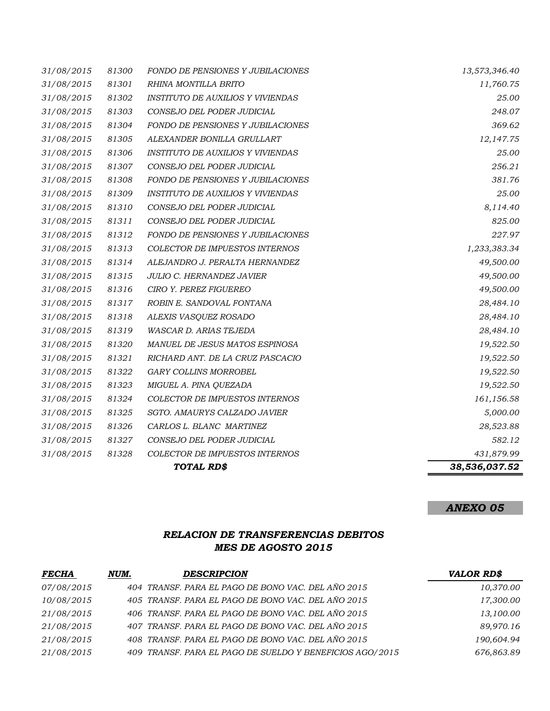|                          |                | TOTAL RD\$                                                             | 38,536,037.52       |
|--------------------------|----------------|------------------------------------------------------------------------|---------------------|
| 31/08/2015               | 81328          | COLECTOR DE IMPUESTOS INTERNOS                                         | 431,879.99          |
| 31/08/2015               | 81327          | CONSEJO DEL PODER JUDICIAL                                             | 582.12              |
| 31/08/2015               | 81326          | CARLOS L. BLANC MARTINEZ                                               | 28,523.88           |
| 31/08/2015               | 81325          | SGTO. AMAURYS CALZADO JAVIER                                           | 5,000.00            |
| 31/08/2015               | 81324          | COLECTOR DE IMPUESTOS INTERNOS                                         | 161,156.58          |
| 31/08/2015               | 81323          | MIGUEL A. PINA QUEZADA                                                 | 19,522.50           |
| 31/08/2015               | 81322          | GARY COLLINS MORROBEL                                                  | 19,522.50           |
| 31/08/2015               | 81321          | RICHARD ANT. DE LA CRUZ PASCACIO                                       | 19,522.50           |
| 31/08/2015               | 81320          | MANUEL DE JESUS MATOS ESPINOSA                                         | 19,522.50           |
| 31/08/2015               | 81319          | WASCAR D. ARIAS TEJEDA                                                 | 28,484.10           |
| 31/08/2015               | 81318          | ALEXIS VASQUEZ ROSADO                                                  | 28,484.10           |
| 31/08/2015               | 81317          | ROBIN E. SANDOVAL FONTANA                                              | 28,484.10           |
| 31/08/2015               | 81316          | CIRO Y. PEREZ FIGUEREO                                                 | 49,500.00           |
| 31/08/2015               | 81315          | <b>JULIO C. HERNANDEZ JAVIER</b>                                       | 49,500.00           |
| 31/08/2015               | 81314          | ALEJANDRO J. PERALTA HERNANDEZ                                         | 49,500.00           |
| 31/08/2015               | 81313          | <b>COLECTOR DE IMPUESTOS INTERNOS</b>                                  | 1,233,383.34        |
| 31/08/2015               | 81312          | <b>FONDO DE PENSIONES Y JUBILACIONES</b>                               | 227.97              |
| 31/08/2015               | 81311          | CONSEJO DEL PODER JUDICIAL                                             | 825.00              |
| 31/08/2015               | 81310          | CONSEJO DEL PODER JUDICIAL                                             | 8,114.40            |
| 31/08/2015               | 81309          | INSTITUTO DE AUXILIOS Y VIVIENDAS                                      | 25.00               |
| 31/08/2015               | 81308          | <b>FONDO DE PENSIONES Y JUBILACIONES</b>                               | 381.76              |
| 31/08/2015               | 81307          | CONSEJO DEL PODER JUDICIAL                                             | 256.21              |
| 31/08/2015               | 81306          | <b>INSTITUTO DE AUXILIOS Y VIVIENDAS</b>                               | 25.00               |
| 31/08/2015<br>31/08/2015 | 81304<br>81305 | <b>FONDO DE PENSIONES Y JUBILACIONES</b><br>ALEXANDER BONILLA GRULLART | 369.62<br>12,147.75 |
| 31/08/2015               | 81303          | CONSEJO DEL PODER JUDICIAL                                             | 248.07              |
| 31/08/2015               | 81302          | <b>INSTITUTO DE AUXILIOS Y VIVIENDAS</b>                               | 25.00               |
| 31/08/2015               | 81301          | RHINA MONTILLA BRITO                                                   | 11,760.75           |
| 31/08/2015               | 81300          | <b>FONDO DE PENSIONES Y JUBILACIONES</b>                               | 13,573,346.40       |
|                          |                |                                                                        |                     |

# *ANEXO 05*

## *RELACION DE TRANSFERENCIAS DEBITOS MES DE AGOSTO 2015*

| <b>FECHA</b> | NUM. | <b>DESCRIPCION</b>                                       | <b>VALOR RD\$</b> |
|--------------|------|----------------------------------------------------------|-------------------|
| 07/08/2015   |      | 404 TRANSF. PARA EL PAGO DE BONO VAC. DEL AÑO 2015       | 10,370.00         |
| 10/08/2015   |      | 405 TRANSF. PARA EL PAGO DE BONO VAC. DEL AÑO 2015       | 17,300.00         |
| 21/08/2015   |      | 406 TRANSF. PARA EL PAGO DE BONO VAC. DEL AÑO 2015       | 13,100.00         |
| 21/08/2015   |      | 407 TRANSF, PARA EL PAGO DE BONO VAC. DEL AÑO 2015       | 89,970.16         |
| 21/08/2015   |      | 408 TRANSF. PARA EL PAGO DE BONO VAC. DEL AÑO 2015       | 190,604.94        |
| 21/08/2015   |      | 409 TRANSF. PARA EL PAGO DE SUELDO Y BENEFICIOS AGO/2015 | 676,863.89        |